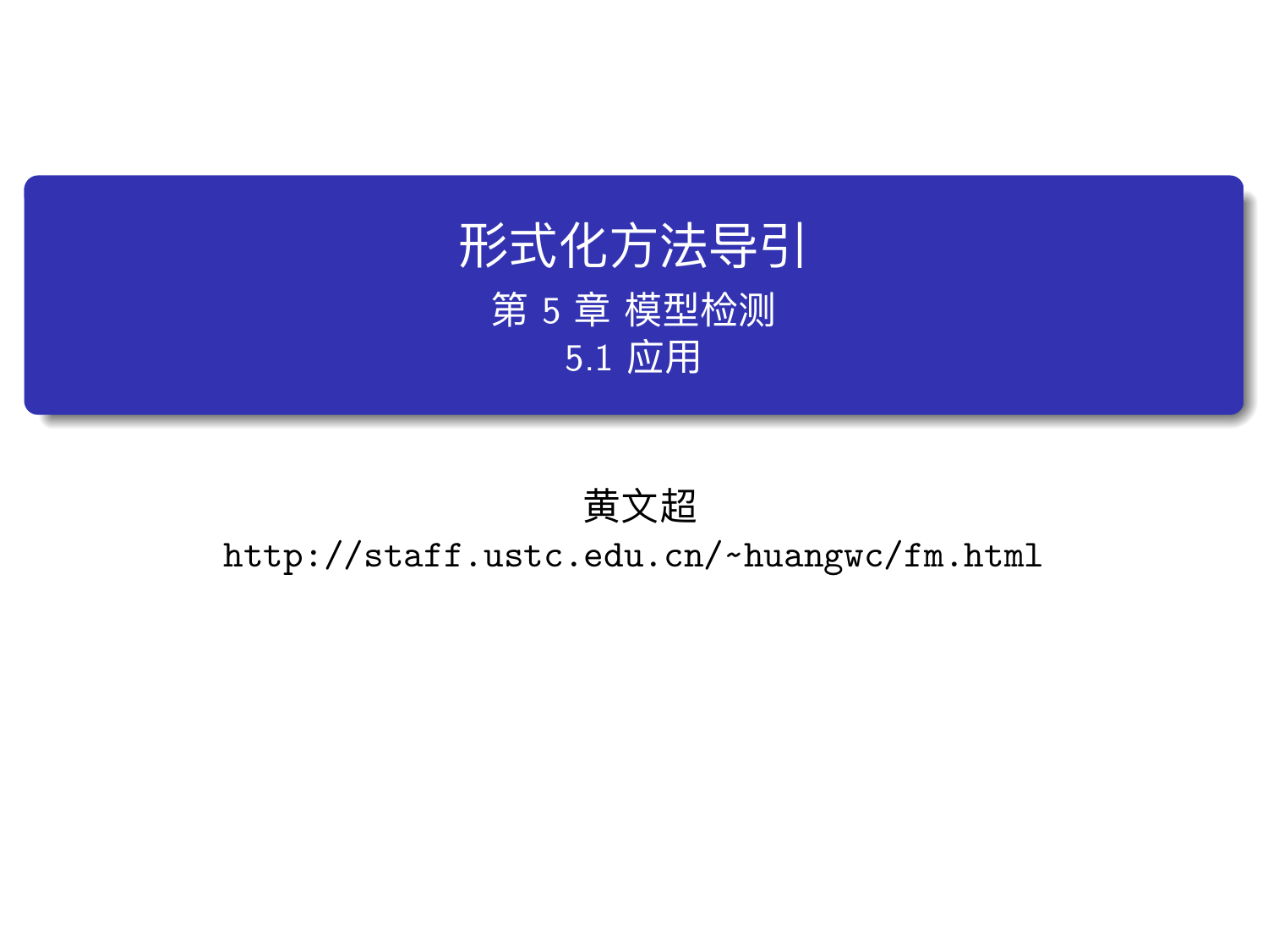## 形式化方法导引 第 5 章 模型检测 5.1 应用

黄文超 http://staff.ustc.edu.cn/~huangwc/fm.html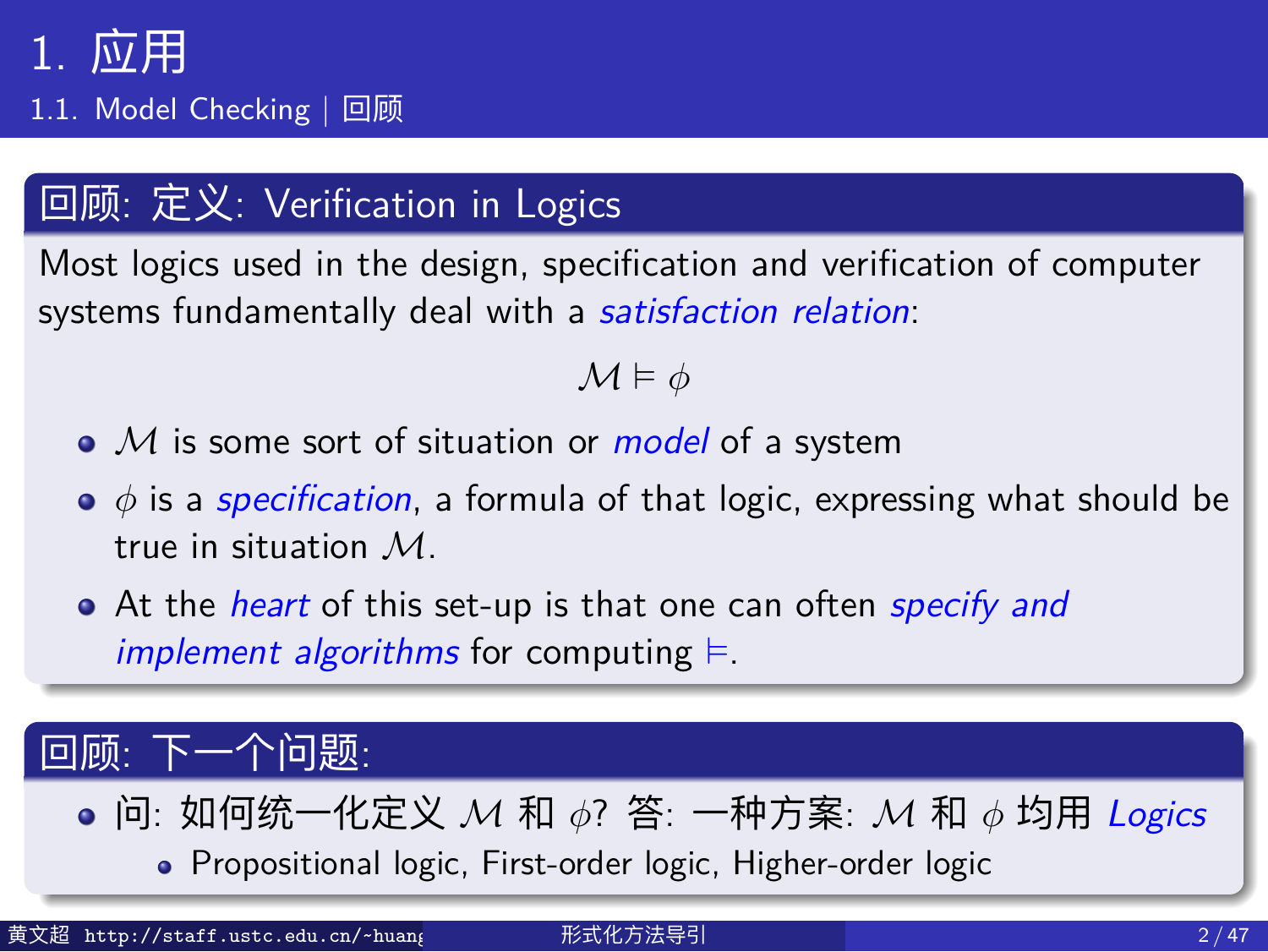1.1. Model Checking | 回顾

#### 回顾: 定义: Verification in Logics

Most logics used in the design, specification and verification of computer systems fundamentally deal with a *satisfaction relation*:

#### *M* ⊨ *ϕ*

- *M* is some sort of situation or *model* of a system
- *ϕ* is a *specification*, a formula of that logic, expressing what should be true in situation *M*.
- At the *heart* of this set-up is that one can often *specify and implement algorithms* for computing ⊨.

#### 回顾: 下一个问题:

- 问: 如何统一化定义 *M* 和 *ϕ*? 答: 一种方案: *M* 和 *ϕ* 均用 *Logics* Propositional logic, First-order logic, Higher-order logic
- 黄文超 http://staff.ustc.edu.cn/~huang 形式化方法导引 2 / 47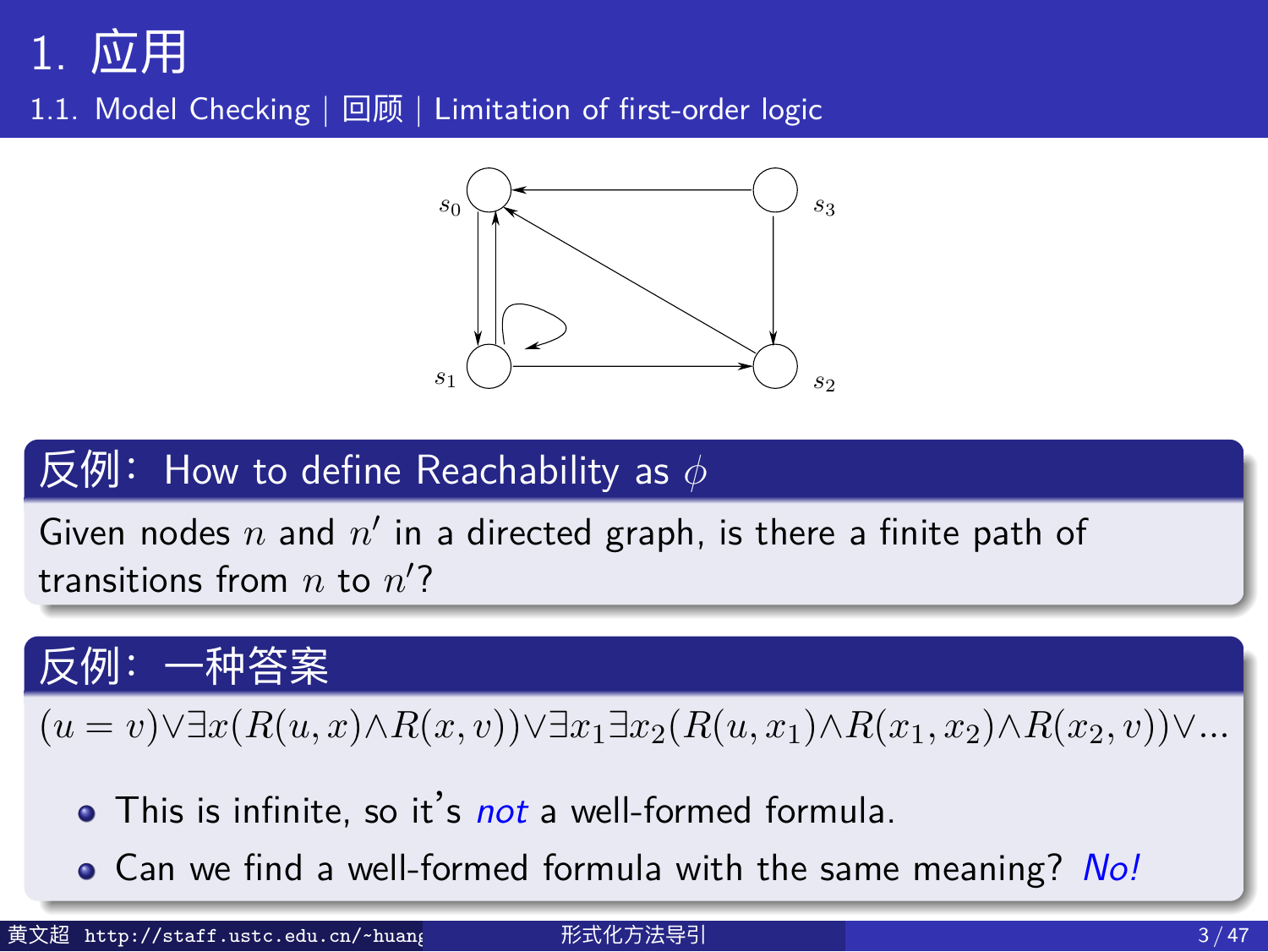1.1. Model Checking | 回顾 | Limitation of first-order logic 1378 Particle 1378 Pa



#### **Figure 2.5.** A directed graph, which is a model *M* for a predicate sym-bol *R* with two arguments. A pair of nodes (*n, n*! 反例: How to define Reachability as *ϕ* \_\_\_\_\_\_\_\_\_\_\_\_\_\_\_\_

Given nodes  $n$  and  $n'$  in a directed graph, is there a finite path of  $\frac{1}{2}$  transitions from *n* to *n*<sup>'</sup>?

?

## path of transitions from *n* to *n*! 反例:一种答案

 $\sum_{i=1}^{\infty} \frac{D(a_i, a_i)}{D(a_i, a_i)}$  $(u = v) \forall \exists x (R(u, x) \land R(x, v)) \forall \exists x_1 \exists x_2 (R(u, x_1) \land R(x_1, x_2) \land R(x_2, v)) \forall ...$ 

- 0. State *s*3, however, is not reachable from *s*0; only states *s*0, *s*1, and *s*<sup>2</sup> This is infinite, so it's *not* a well-formed formula.
- $m$  we find a well formed formula with the came meaning? Can we find a well-formed formula with the same meaning? *No!*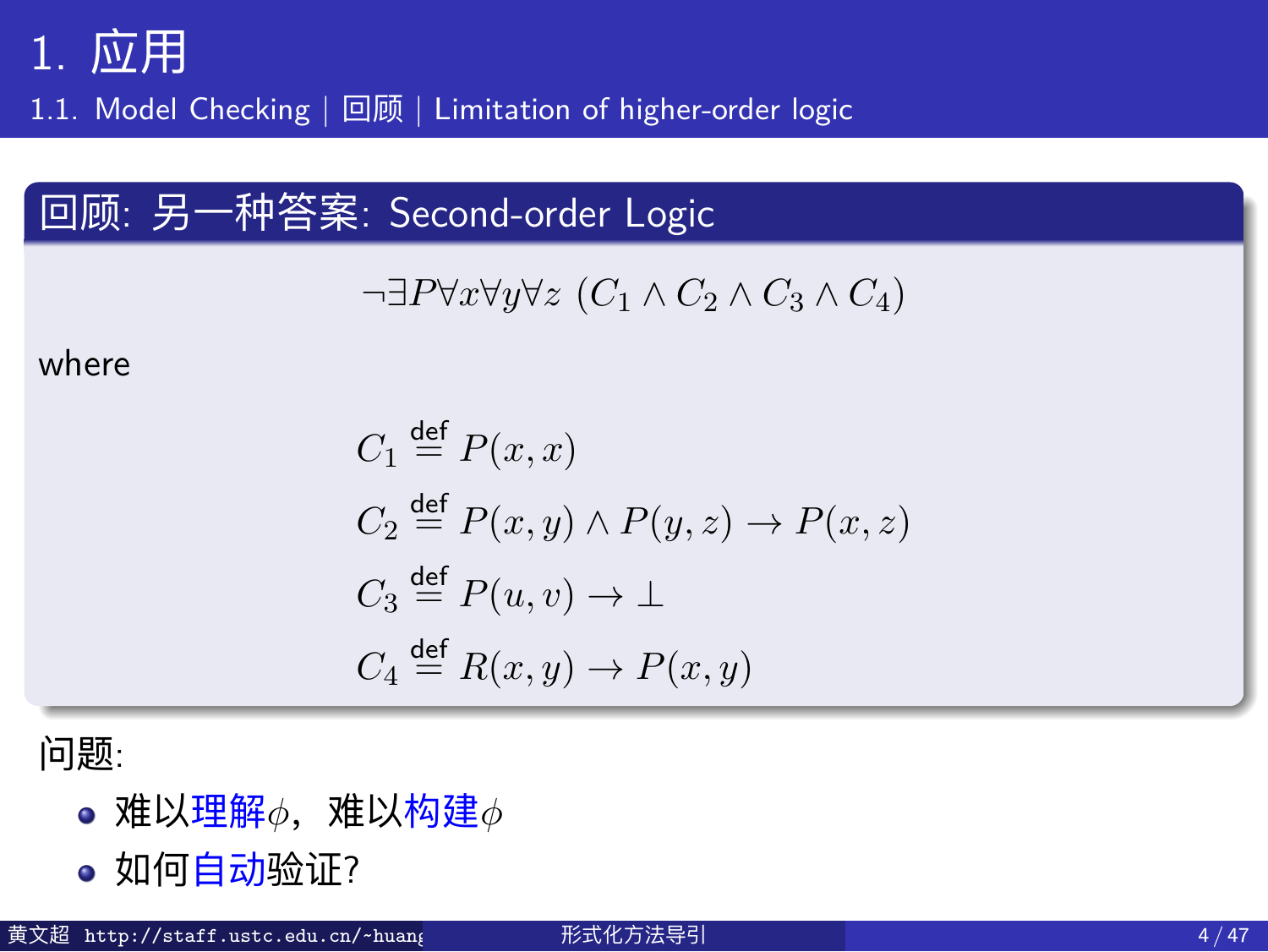1.1. Model Checking | 回顾 | Limitation of higher-order logic

#### 回顾: 另一种答案: Second-order Logic

$$
\neg \exists P \forall x \forall y \forall z (C_1 \land C_2 \land C_3 \land C_4)
$$

where

$$
C_1 \stackrel{\text{def}}{=} P(x, x)
$$
  
\n
$$
C_2 \stackrel{\text{def}}{=} P(x, y) \land P(y, z) \to P(x, z)
$$
  
\n
$$
C_3 \stackrel{\text{def}}{=} P(u, v) \to \bot
$$
  
\n
$$
C_4 \stackrel{\text{def}}{=} R(x, y) \to P(x, y)
$$

问题:

- 难以理解<sup>*ϕ*, 难以构建*ϕ*</sup>
- 如何自动验证?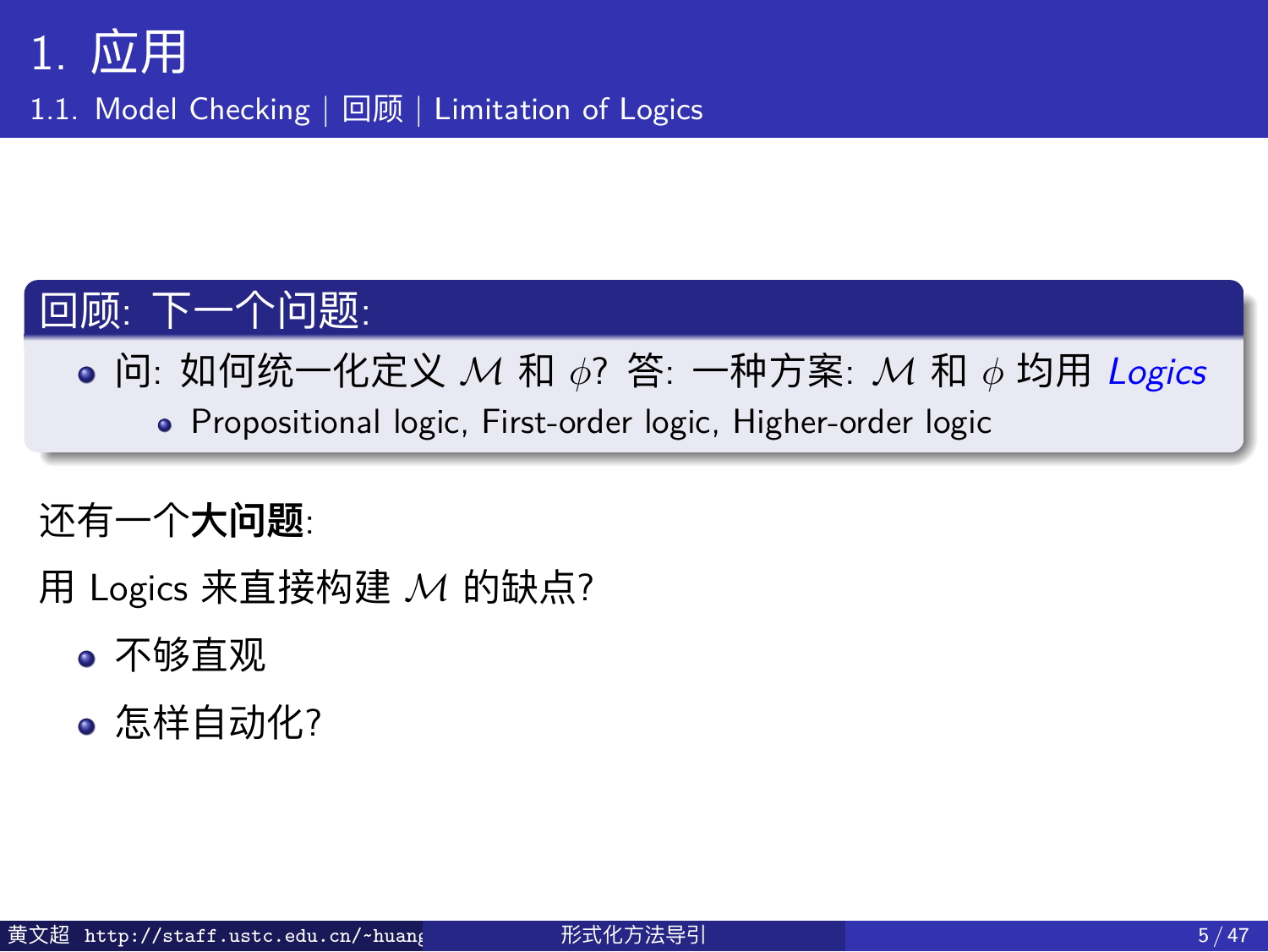1.1. Model Checking | 回顾 | Limitation of Logics

#### 回顾: 下一个问题:

问: 如何统一化定义 *M* 和 *ϕ*? 答: 一种方案: *M* 和 *ϕ* 均用 *Logics* Propositional logic, First-order logic, Higher-order logic

#### 还有一个**大问题**:

用 Logics 来直接构建 *M* 的缺点?

- 不够直观
- 怎样自动化?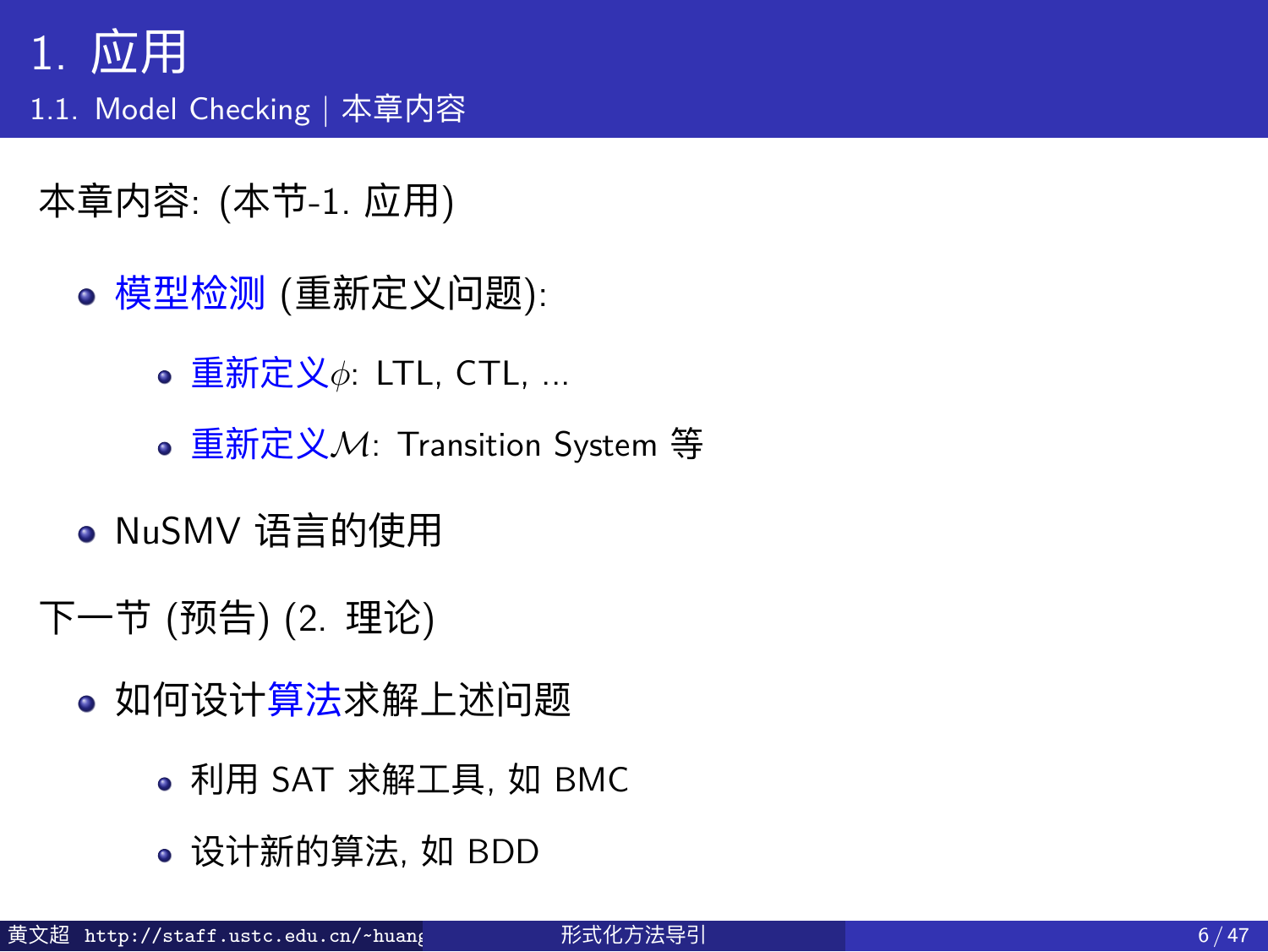1.1. Model Checking | 本章内容

本章内容: (本节-1. 应用)

- 模型检测 (重新定义问题):
	- 重新定义*ϕ*: LTL, CTL, ...
	- 重新定义*M*: Transition System 等
- NuSMV 语言的使用
- 下一节 (预告) (2. 理论)
	- 如何设计算法求解上述问题
		- 利用 SAT 求解工具, 如 BMC
		- 设计新的算法, 如 BDD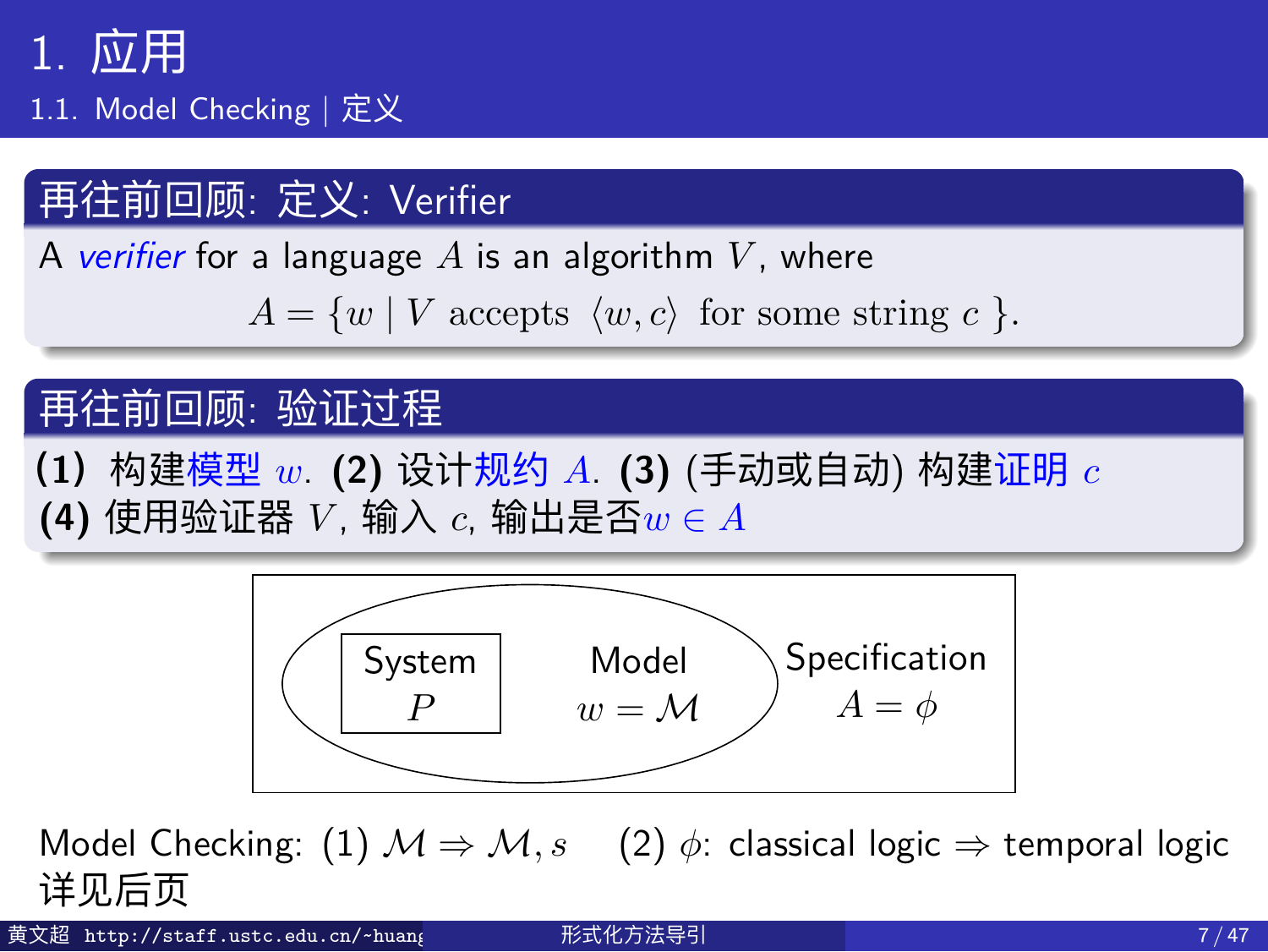1.1. Model Checking | 定义

#### 再往前回顾: 定义: Verifier

A *verifier* for a language *A* is an algorithm *V* , where  $A = \{w \mid V \text{ accepts } \langle w, c \rangle \text{ for some string } c \}.$ 再往前回顾: 验证过程 **(1)**构建模型 *w*. **(2)** 设计规约 *A*. **(3)** (手动或自动) 构建证明 *c* **(4)** 使用验证器 *V* , 输入 *c*, 输出是否*w ∈ A*



Model Checking: (1)  $M$   $\Rightarrow$   $M$ ,  $s$  (2)  $\phi$ : classical logic  $\Rightarrow$  temporal logic 详见后页

文超 http://staff.ustc.edu.cn/~huang 形式化方法导引 7 / 47 /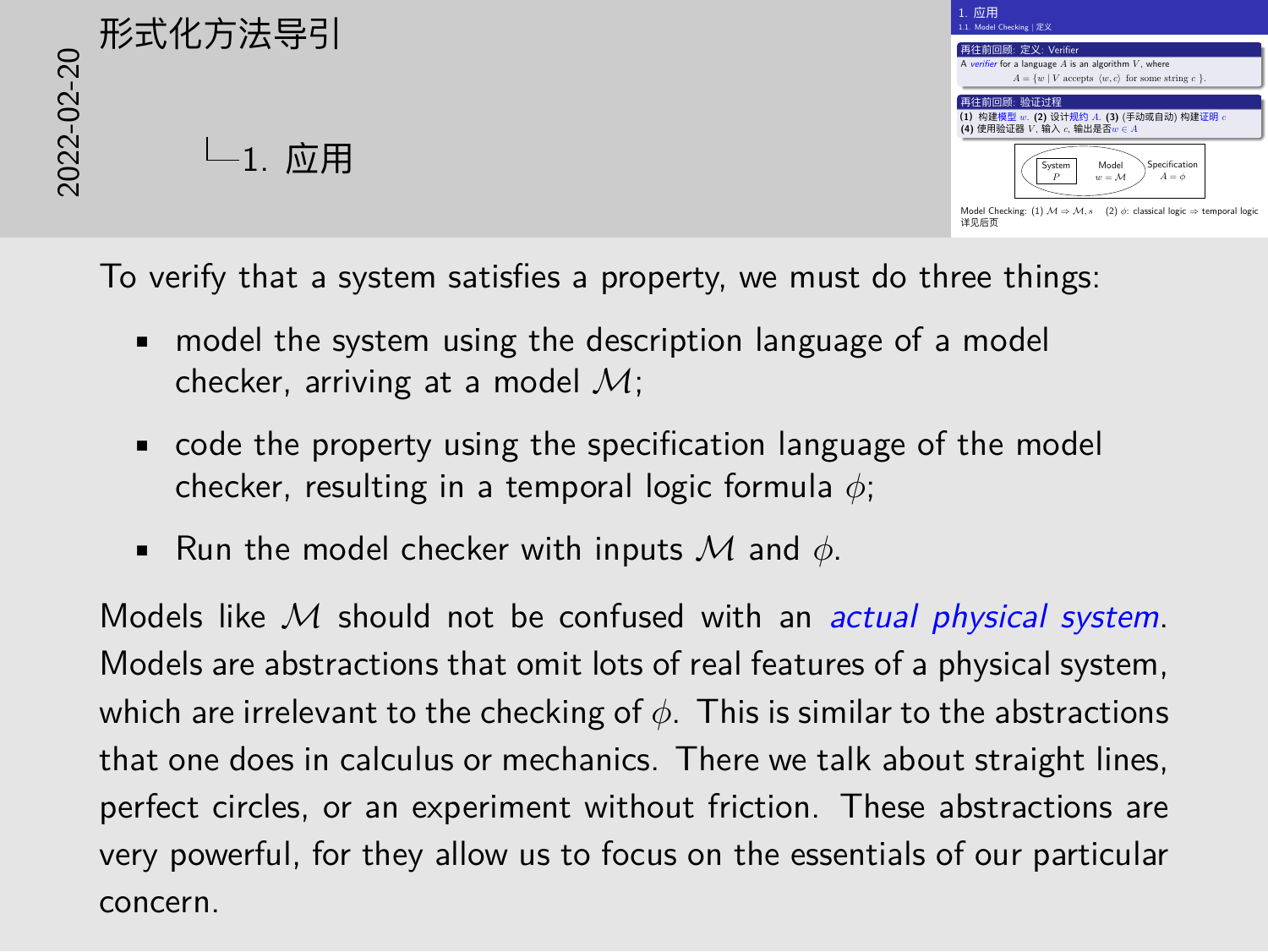| 再往前回顾: 定义: Verifier                                    |
|--------------------------------------------------------|
| A verifier for a language A is an algorithm V, where   |
| $A = \{w \mid V$ accepts $(w, c)$ for some string c 1. |
| 再往前回题: 脸证过程                                            |
|                                                        |
| (1) 构建模型 =: (2) 设计规约 A. (3) (手动或自动) 构建证明 c             |
| (4) 使用验证器 V. 输入 c. 输出是否 = c A                          |
|                                                        |
|                                                        |
|                                                        |
| Specification<br>System<br>Model                       |
| $A = \phi$<br>$w = M$                                  |

To verify that a system satisfies a property, we must do three things:

- model the system using the description language of a model checker, arriving at a model *M*;
- code the property using the specification language of the model checker, resulting in a temporal logic formula *ϕ*;
- Run the model checker with inputs *M* and *ϕ*.

Models like *M* should not be confused with an *actual physical system*. Models are abstractions that omit lots of real features of a physical system, which are irrelevant to the checking of *ϕ*. This is similar to the abstractions that one does in calculus or mechanics. There we talk about straight lines, perfect circles, or an experiment without friction. These abstractions are very powerful, for they allow us to focus on the essentials of our particular concern.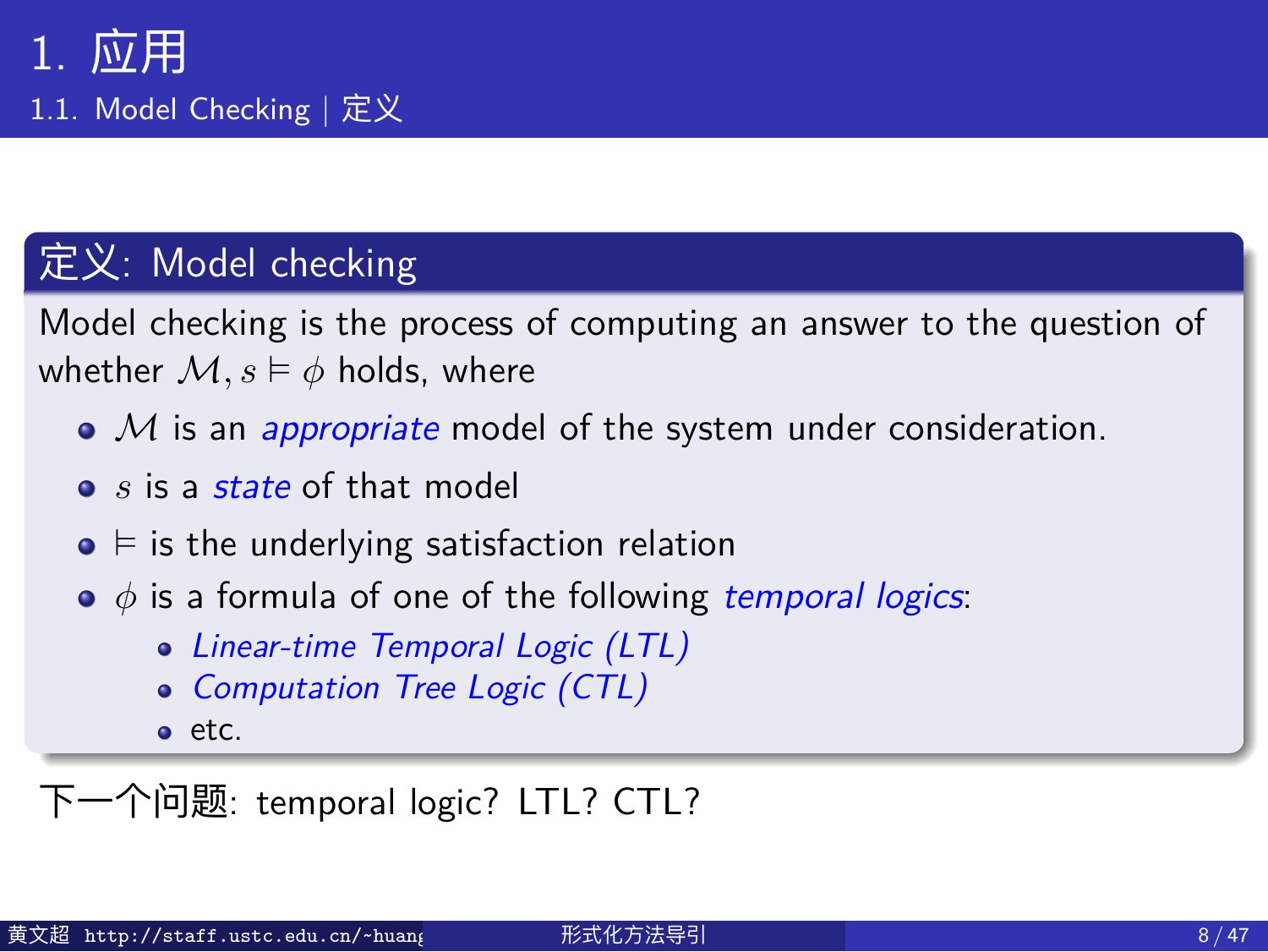1.1. Model Checking | 定义

#### 定义: Model checking

Model checking is the process of computing an answer to the question of whether  $\mathcal{M}, s \models \phi$  holds, where

- *M* is an *appropriate* model of the system under consideration.
- *s* is a *state* of that model
- ⊨ is the underlying satisfaction relation
- *ϕ* is a formula of one of the following *temporal logics*:
	- *Linear-time Temporal Logic (LTL)*
	- *Computation Tree Logic (CTL)*
	- $e$  etc.
- 下一个问题: temporal logic? LTL? CTL?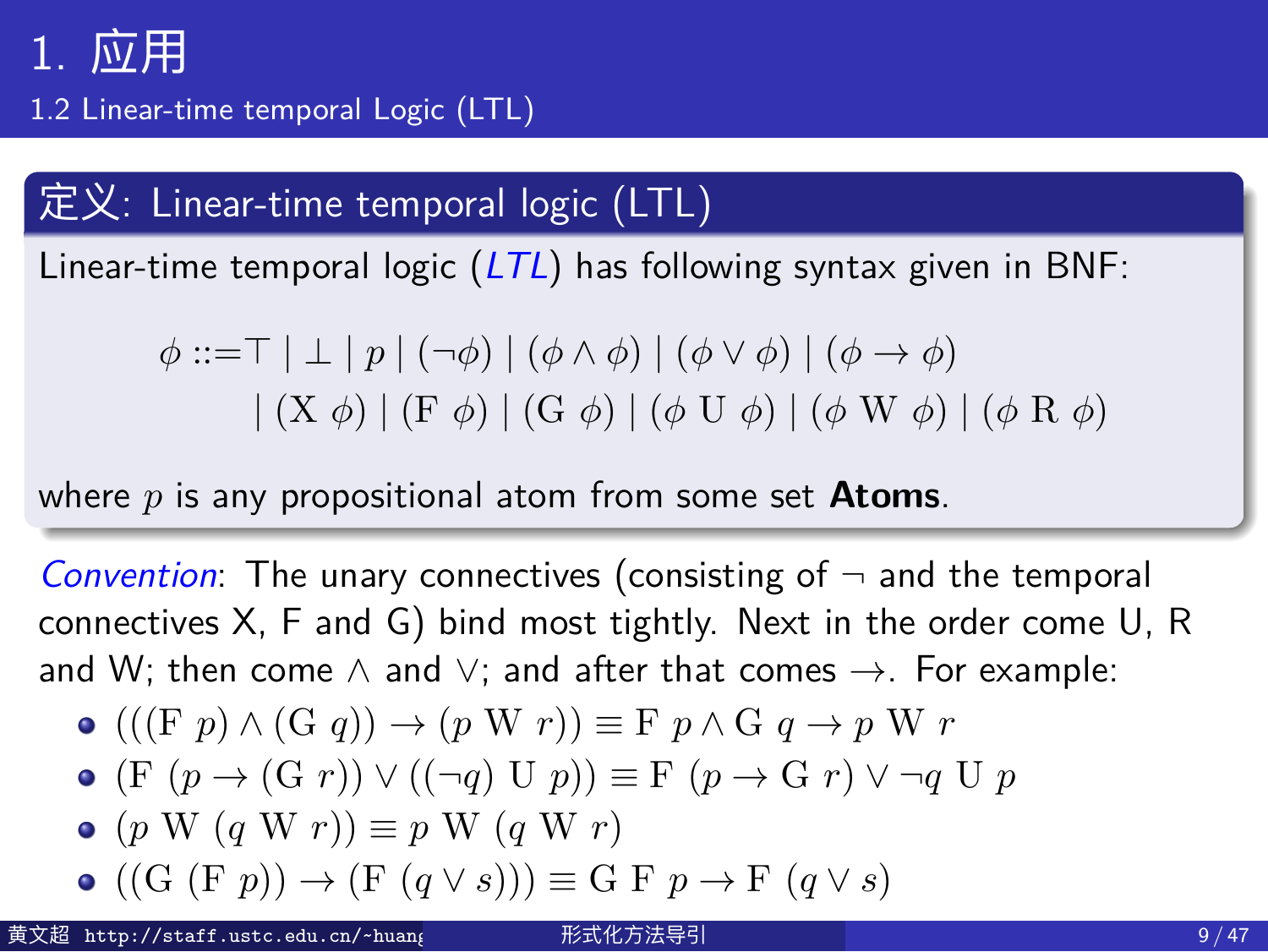1.2 Linear-time temporal Logic (LTL)

#### 定义: Linear-time temporal logic (LTL)

Linear-time temporal logic (*LTL*) has following syntax given in BNF:

$$
\phi ::= \top | \bot | p | (\neg \phi) | (\phi \land \phi) | (\phi \lor \phi) | (\phi \to \phi)
$$
  
 
$$
| (X \phi) | (F \phi) | (G \phi) | (\phi U \phi) | (\phi W \phi) | (\phi R \phi)
$$

where *p* is any propositional atom from some set **Atoms**.

*Convention*: The unary connectives (consisting of *¬* and the temporal connectives X, F and G) bind most tightly. Next in the order come U, R and W; then come *∧* and *∨*; and after that comes *→*. For example:

$$
\bullet (( (F p) \land (G q)) \to (p W r)) \equiv F p \land G q \to p W r
$$

• (F 
$$
(p \rightarrow (G r)) \vee ((\neg q) U p)
$$
)  $\equiv$  F  $(p \rightarrow G r) \vee \neg q U p$ 

$$
\bullet \ (p \ W \ (q \ W \ r)) \equiv p \ W \ (q \ W \ r)
$$

$$
\bullet \ ((G (F p)) \rightarrow (F (q \vee s))) \equiv G F p \rightarrow F (q \vee s)
$$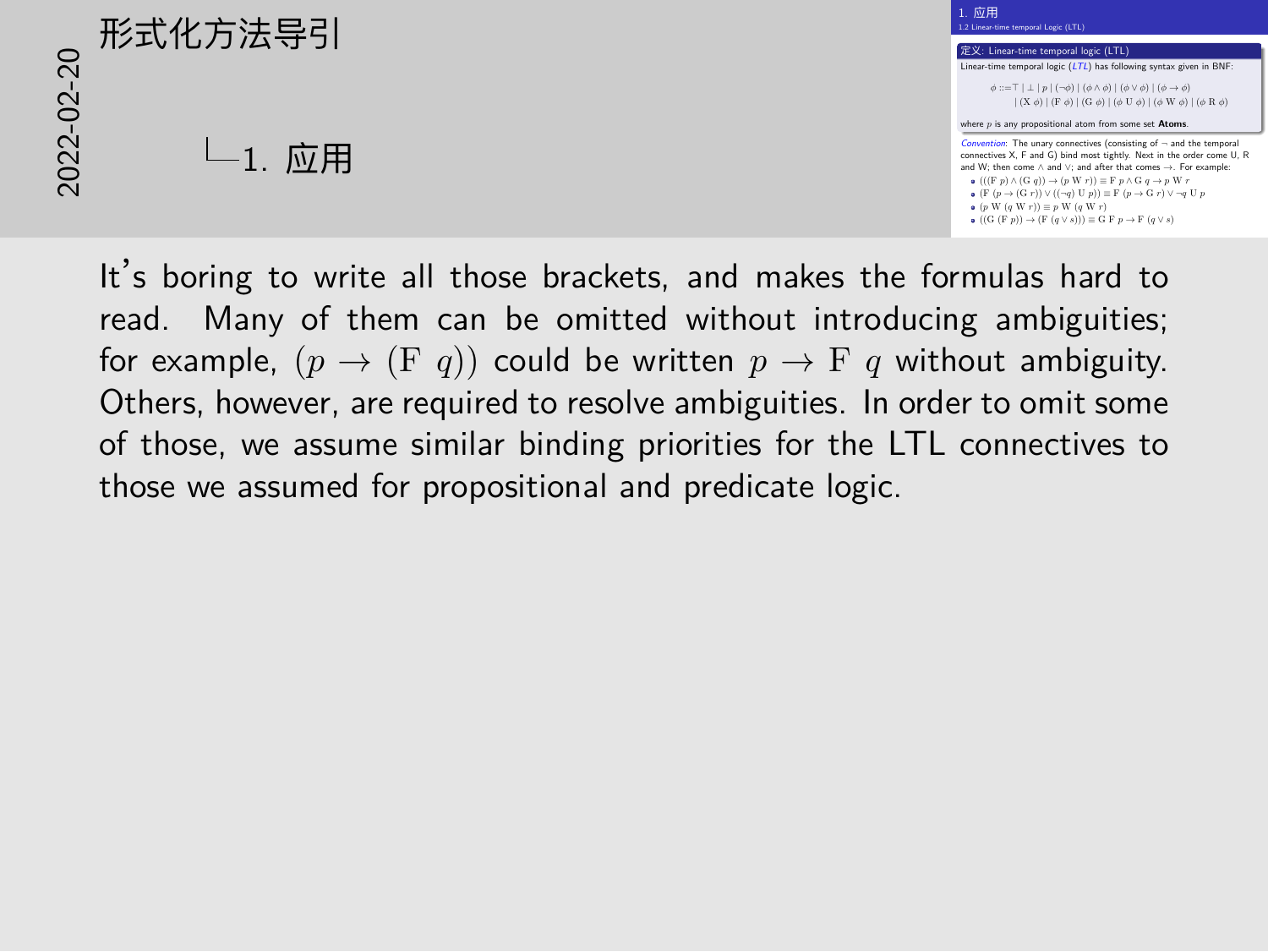## ((<sup>G</sup> (<sup>F</sup> *<sup>p</sup>*)) *<sup>→</sup>* (<sup>F</sup> (*<sup>q</sup> <sup>∨</sup> <sup>s</sup>*))) *<sup>≡</sup>* G F *<sup>p</sup> <sup>→</sup>* <sup>F</sup>(*<sup>q</sup> <sup>∨</sup> <sup>s</sup>*)2022-02-20形式化方法导引  $L_1$ . 应用



It's boring to write all those brackets, and makes the formulas hard to read. Many of them can be omitted without introducing ambiguities; for example,  $(p \rightarrow (F q))$  could be written  $p \rightarrow F q$  without ambiguity. Others, however, are required to resolve ambiguities. In order to omit some of those, we assume similar binding priorities for the LTL connectives to those we assumed for propositional and predicate logic.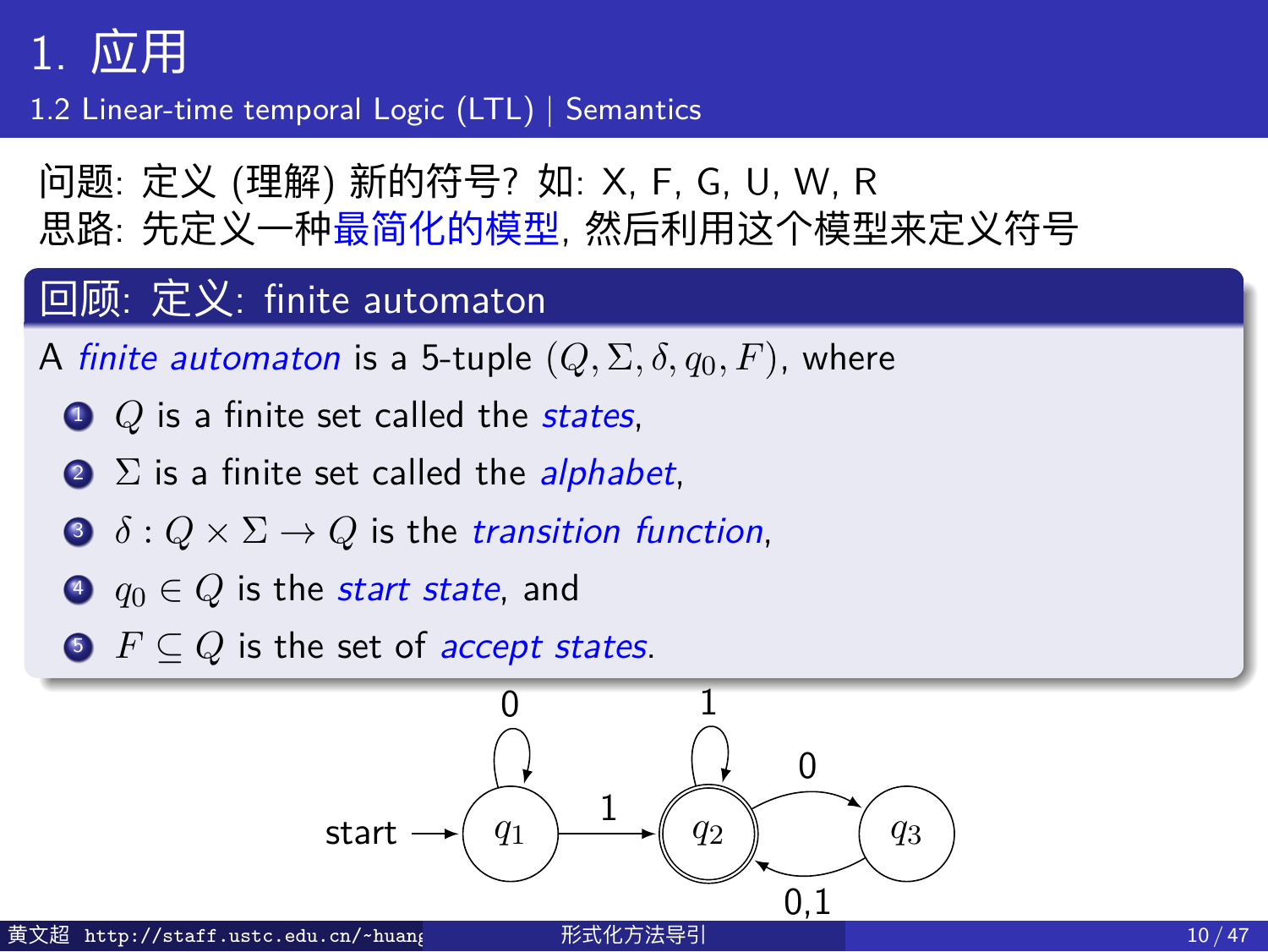1.2 Linear-time temporal Logic (LTL) | Semantics

问题: 定义 (理解) 新的符号? 如: X, F, G, U, W, R 思路: 先定义一种最简化的模型, 然后利用这个模型来定义符号

#### 回顾: 定义: finite automaton

- A *finite automaton* is a 5-tuple  $(Q, \Sigma, \delta, q_0, F)$ , where
- <sup>1</sup> *Q* is a finite set called the *states*,
- <sup>2</sup> Σ is a finite set called the *alphabet*,
- $\bullet$   $\delta$  :  $Q \times \Sigma \rightarrow Q$  is the *transition function*,
- <sup>4</sup> *q*<sup>0</sup> *∈ Q* is the *start state*, and
- <sup>5</sup> *F ⊆ Q* is the set of *accept states*.

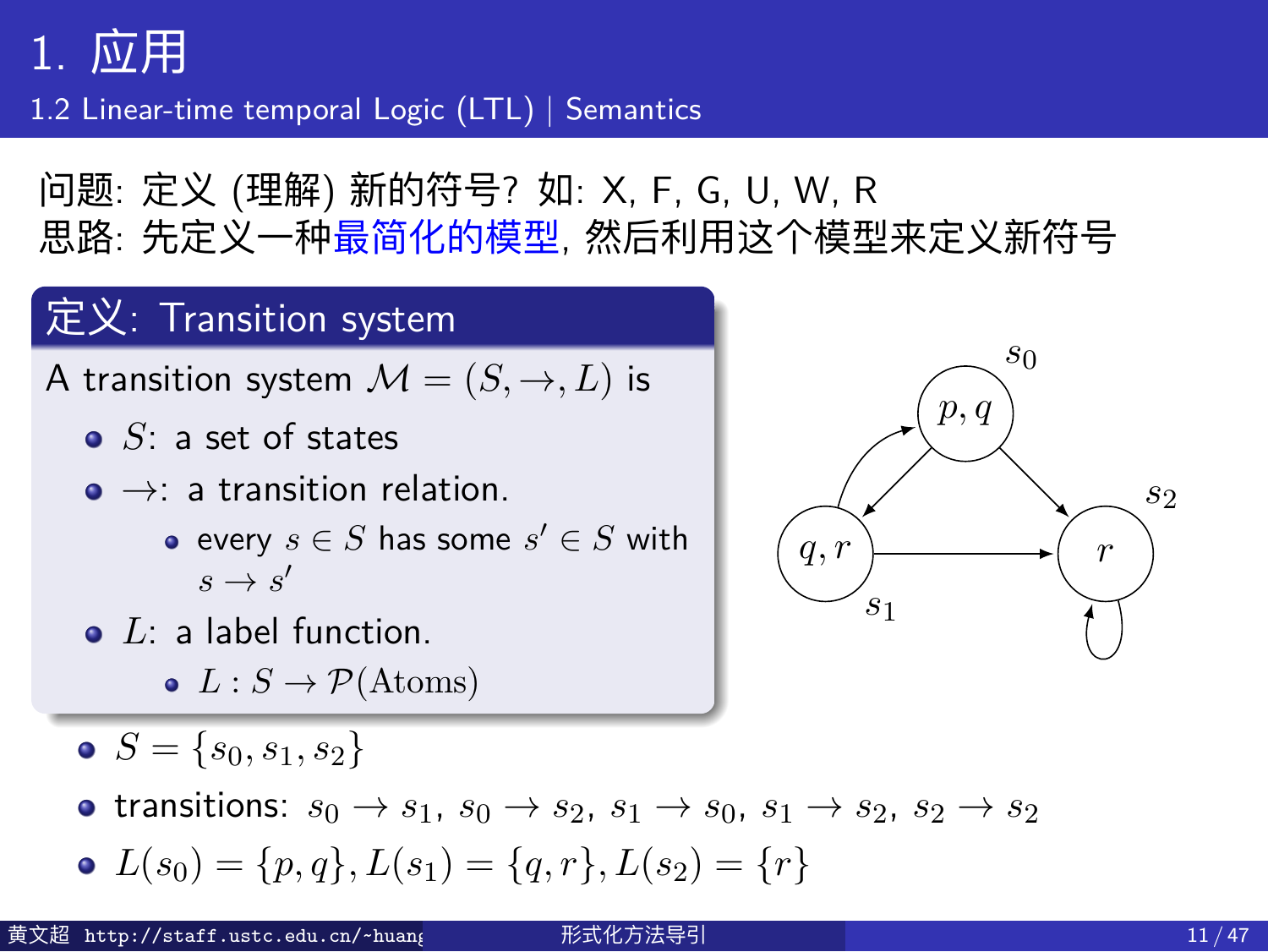1.2 Linear-time temporal Logic (LTL) | Semantics

问题: 定义 (理解) 新的符号? 如: X, F, G, U, W, R 思路: 先定义一种最简化的模型, 然后利用这个模型来定义新符号

#### 定义: Transition system

A transition system  $\mathcal{M} = (S, \rightarrow, L)$  is

- *S*: a set of states
- *→*: a transition relation.
	- $\mathsf{every}\ s\in S$  has some  $s'\in S$  with  $s \rightarrow s'$
- *L*: a label function.
	- $L: S \rightarrow \mathcal{P}(\textrm{Atoms})$
- $S = \{s_0, s_1, s_2\}$
- transitions:  $s_0 \rightarrow s_1$ ,  $s_0 \rightarrow s_2$ ,  $s_1 \rightarrow s_0$ ,  $s_1 \rightarrow s_2$ ,  $s_2 \rightarrow s_2$
- $L(s_0) = \{p, q\}, L(s_1) = \{q, r\}, L(s_2) = \{r\}$

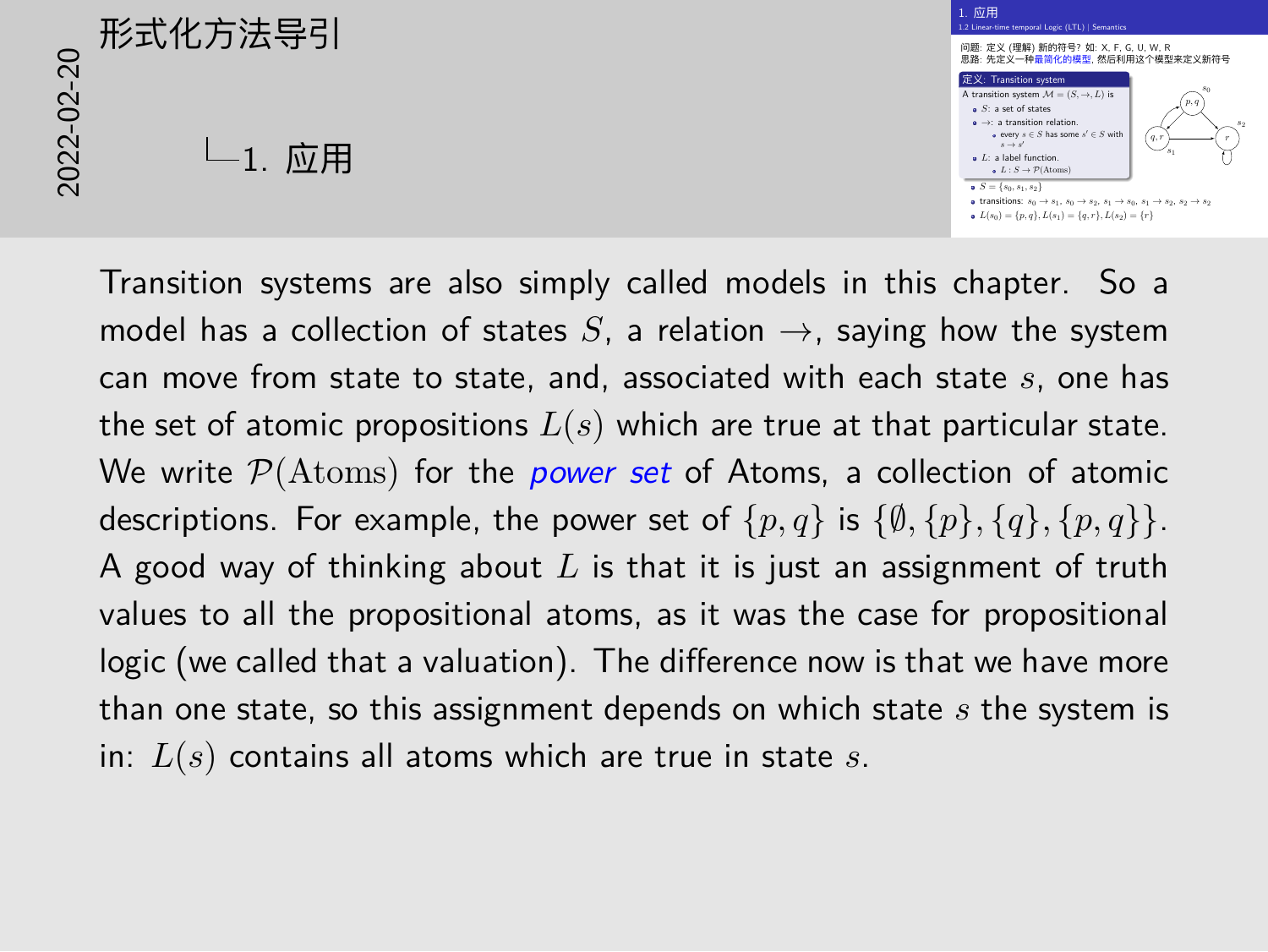# $L_{1.}$ 应用

#### 1. 应用  $1.~\overline{\underline{m}}$   $\overline{\overline{H}}$ <br>1.2 Linear-time temporal Logic (LTL) | Semantics i 2 Linear-time temporal Logic (LTL) | Semantics<br>问题: 定义 (理解) 新的符号? 如: X, F, G, U, W, R<br>思路: 先定义—种最简化的模型, 然后利用这个模型来定义新符号 ngs: 左文(<del>tzin)</del><br><br><br>定义: Transition system<br> A transition system *<sup>M</sup>* = (*S,→, L*) is *<sup>S</sup>*: a set of states *<sup>→</sup>*: a transition relation.  $\text{ar}$  or scattes<br>**a** transition relation.<br>**every**  $s \in S$  has some  $s' \in$ *′ ∈ S* with *s → s*  $\begin{aligned} &\text{$s\to s'$} \\ &\text{$s\to s'$} \\ &\text{$L\colon$ a label function.} \\ &\text{$\bullet$ $\text{$L\colon S\to\mathcal{P}$(Atorms)}$} \end{aligned}$ *p, q q, r <sup>r</sup> s*<sup>0</sup> *s*<sup>1</sup> *s*<sup>2</sup>  $S = \{s_0, s_1, s_2\}$ transitions: *s*<sup>0</sup> *→ s*1, *s*<sup>0</sup> *→ s*2, *s*<sup>1</sup> *→ s*0, *s*<sup>1</sup> *→ s*2, *s*<sup>2</sup> *→ s*<sup>2</sup> *<sup>L</sup>*(*s*0) = *{p, q}, L*(*s*1) = *{q, r}, L*(*s*2) = *{r}* 2022-02-20形式化方法导引

Transition systems are also simply called models in this chapter. So a model has a collection of states  $S$ , a relation  $\rightarrow$ , saying how the system can move from state to state, and, associated with each state *s*, one has the set of atomic propositions *L*(*s*) which are true at that particular state. We write *P*(Atoms) for the *power set* of Atoms, a collection of atomic descriptions. For example, the power set of  $\{p, q\}$  is  $\{\emptyset, \{p\}, \{q\}, \{p, q\}\}.$ A good way of thinking about *L* is that it is just an assignment of truth values to all the propositional atoms, as it was the case for propositional logic (we called that a valuation). The difference now is that we have more than one state, so this assignment depends on which state *s* the system is in: *L*(*s*) contains all atoms which are true in state *s*.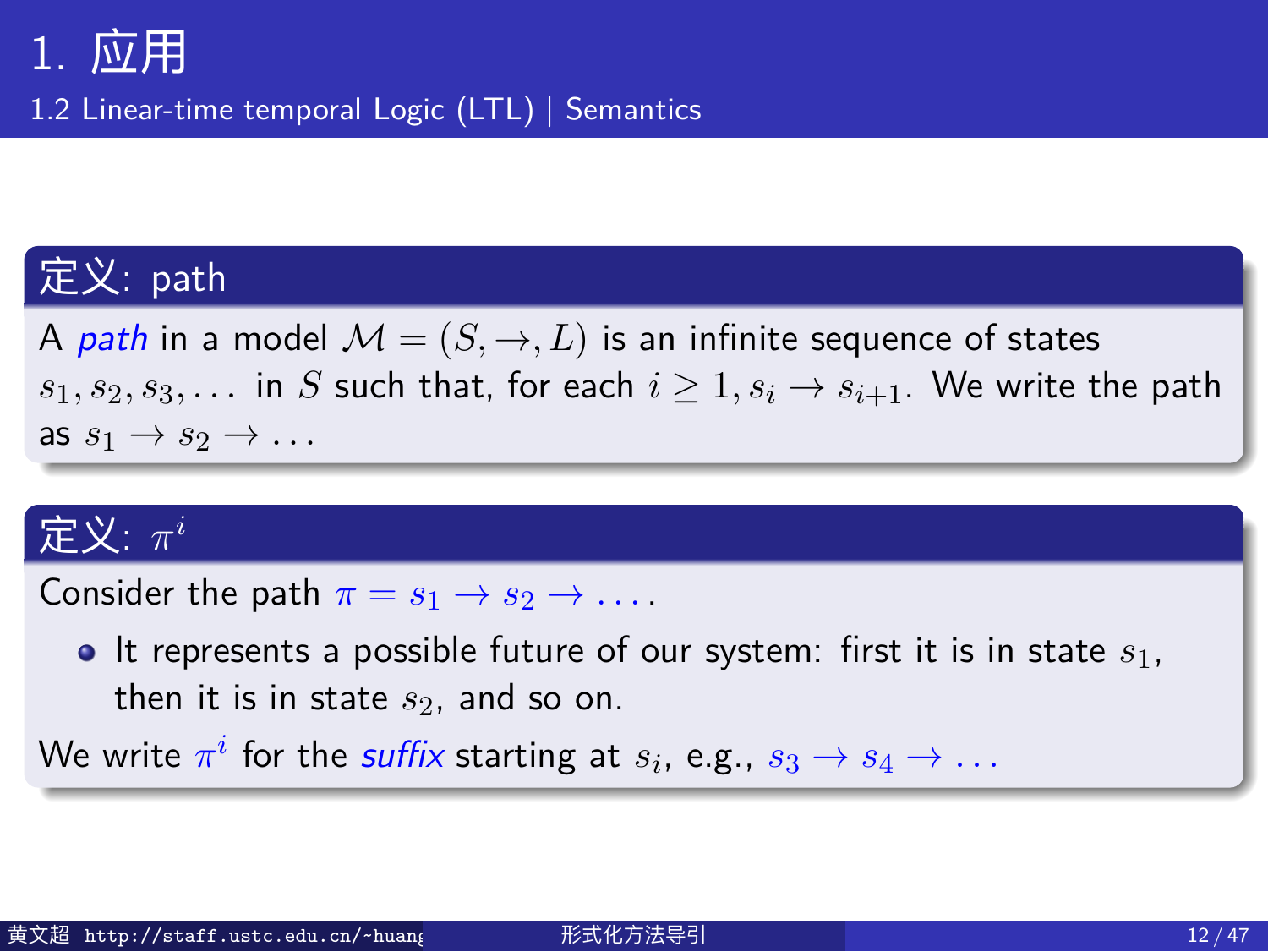1.2 Linear-time temporal Logic (LTL) | Semantics

#### 定义: path

A *path* in a model  $M = (S, \rightarrow, L)$  is an infinite sequence of states *s*<sub>1</sub>*, s*<sub>2</sub>*, s*<sub>3</sub>*,...* in *S* such that, for each  $i \geq 1, s_i \rightarrow s_{i+1}$ . We write the path as  $s_1 \rightarrow s_2 \rightarrow \ldots$ 

#### 定义: *π i*

Consider the path  $\pi = s_1 \rightarrow s_2 \rightarrow \ldots$ .

It represents a possible future of our system: first it is in state *s*1, then it is in state *s*2, and so on.

We write  $\pi^i$  for the *suffix* starting at  $s_i$ , e.g.,  $s_3 \rightarrow s_4 \rightarrow \dots$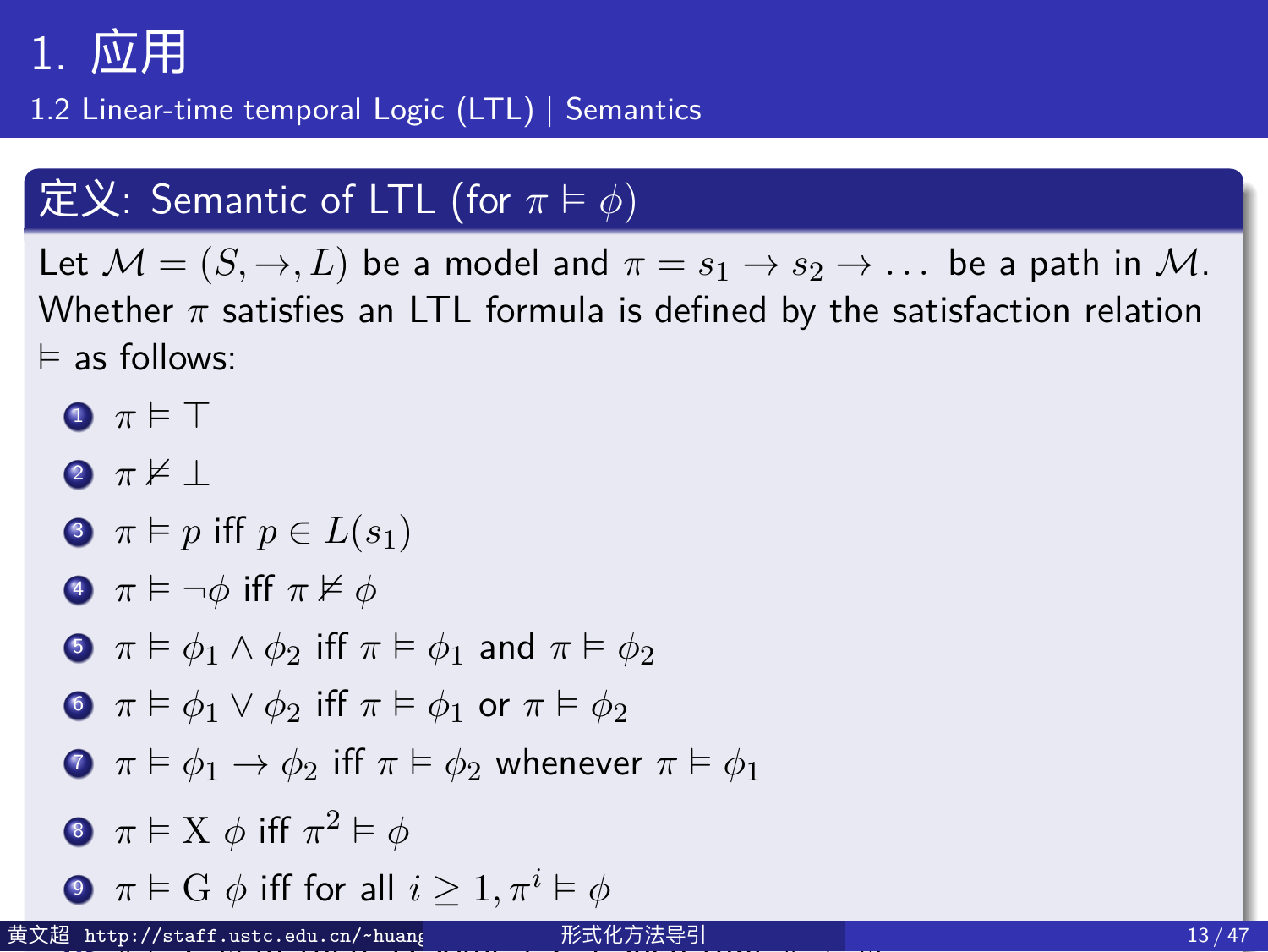1.2 Linear-time temporal Logic (LTL) | Semantics

#### 定义: Semantic of LTL (for *π* ⊨ *ϕ*)

Let  $M = (S, \rightarrow, L)$  be a model and  $\pi = s_1 \rightarrow s_2 \rightarrow \dots$  be a path in M. Whether *π* satisfies an LTL formula is defined by the satisfaction relation ⊨ as follows:

- **0**  $π$  ⊨ ⊤ <sup>2</sup> *π* ⊭ *⊥*
- $\bullet \ \pi \models p \text{ iff } p \in L(s_1)$
- <sup>4</sup> *π* ⊨ *¬ϕ* iff *π* ⊭ *ϕ*
- **5**  $\pi \models \phi_1 \land \phi_2$  iff  $\pi \models \phi_1$  and  $\pi \models \phi_2$
- **0**  $\pi \models \phi_1 \lor \phi_2$  iff  $\pi \models \phi_1$  or  $\pi \models \phi_2$
- **O**  $\pi \models \phi_1 \rightarrow \phi_2$  iff  $\pi \models \phi_2$  whenever  $\pi \models \phi_1$
- 8  $\pi \models X \phi$  iff  $\pi^2 \models \phi$
- **0**  $\pi \models G \phi$  iff for all  $i \geq 1, \pi^i \models \phi$
- <sup>10</sup> *π* ⊨ F *ϕ* iff there is some *i ≥* 1 such that *π* 黄文超 http://staff.ustc.edu.cn/~huangwc/fm.html 形式化方法导引 13 / 47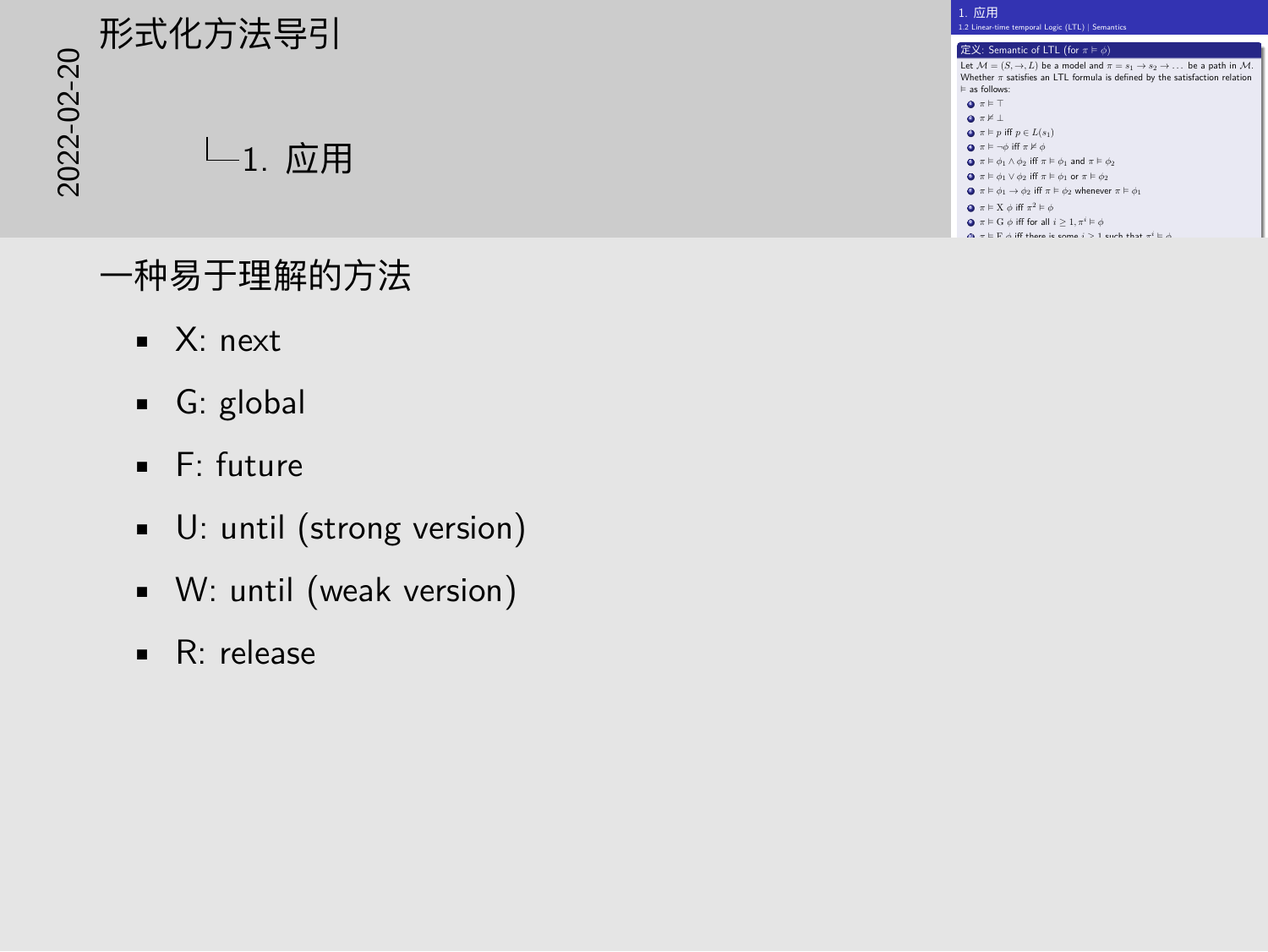## 2022-02-20形式化方法导引 1. 应用

#### 一种易于理解的方法

- X: next
- G: global
- F: future
- U: until (strong version)
- W: until (weak version)
- R: release

| 1 应用<br>1.2 Linear-time temporal Logic (LTL)   Semastics                                                                                                                                                     |
|--------------------------------------------------------------------------------------------------------------------------------------------------------------------------------------------------------------|
| $\mathcal{B} \times$ : Semantic of LTL (for $\pi \vDash \phi$ )                                                                                                                                              |
| Let $M = (S, \rightarrow, L)$ be a model and $\pi = s_1 \rightarrow s_2 \rightarrow \dots$ be a path in M.<br>Whether x satisfies an LTL formula is defined by the satisfaction relation<br>to an infliment  |
| $Q$ $\pi \models T$<br>$Q = \mathbb{X} \perp$                                                                                                                                                                |
| $\mathbf{Q}$ $\pi \models p$ iff $p \in L(s_1)$<br>$Q \tau \models \neg \phi$ iff $\tau \not\vdash \phi$<br>$\mathbf{Q}$ $\pi \models \phi_1 \land \phi_2$ iff $\pi \models \phi_1$ and $\pi \models \phi_2$ |
| $\mathbf{G}$ $\pi \models \phi_1 \lor \phi_2$ iff $\pi \models \phi_1$ or $\pi \models \phi_2$<br>$\Omega$ $\pi \models \phi_1 \rightarrow \phi_2$ iff $\pi \models \phi_2$ whenever $\pi \models \phi_2$    |
| $\mathbf{Q}$ $\pi \models$ X $\phi$ iff $\pi^2 \models \phi$<br>$\mathbf{Q}$ = $\mathbf{E}$ G $\phi$ iff for all $i \geq 1$ , $\pi^i \vDash \phi$                                                            |
| $m_{\rm c} = 1000$ of $R_{\rm c}$ theory is seemed in $\sim 1$ strath that with the                                                                                                                          |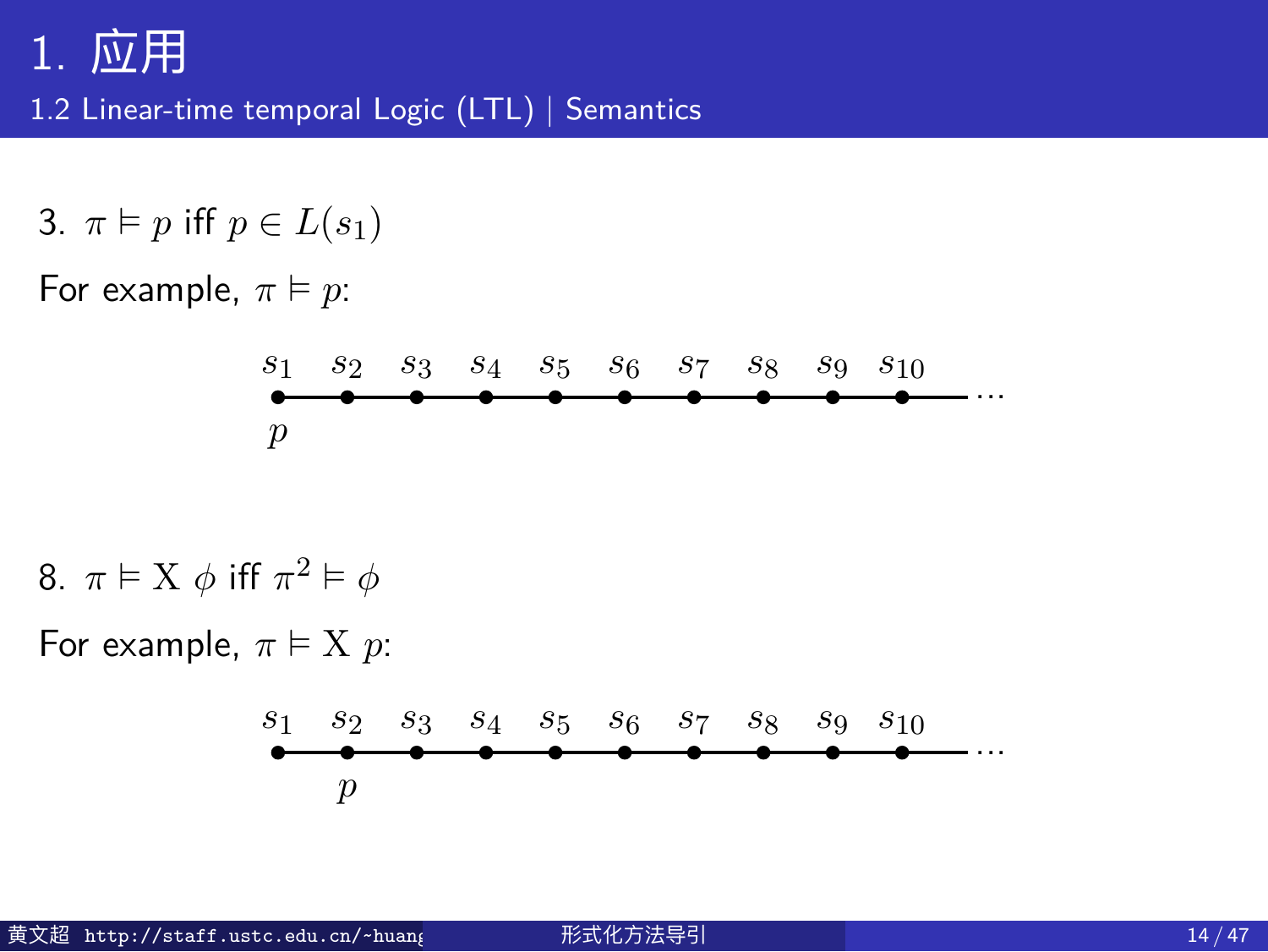1.2 Linear-time temporal Logic (LTL) | Semantics

3. 
$$
\pi \vDash p
$$
 iff  $p \in L(s_1)$ 

For example,  $\pi \models p$ :

$$
\begin{array}{cccccccc}\ns_1 & s_2 & s_3 & s_4 & s_5 & s_6 & s_7 & s_8 & s_9 & s_{10} \\
\hline\np & \bullet & \bullet & \bullet & \bullet & \bullet & \bullet & \bullet & \bullet\n\end{array} \cdots
$$

8.  $\pi \models X \phi$  iff  $\pi^2 \models \phi$ 

For example,  $\pi \models X \ p$ :

$$
\begin{array}{cccccccc}\ns_1 & s_2 & s_3 & s_4 & s_5 & s_6 & s_7 & s_8 & s_9 & s_{10} \\
\hline\n& \bullet & \bullet & \bullet & \bullet & \bullet & \bullet & \bullet & \bullet & \bullet\n\end{array} \dots
$$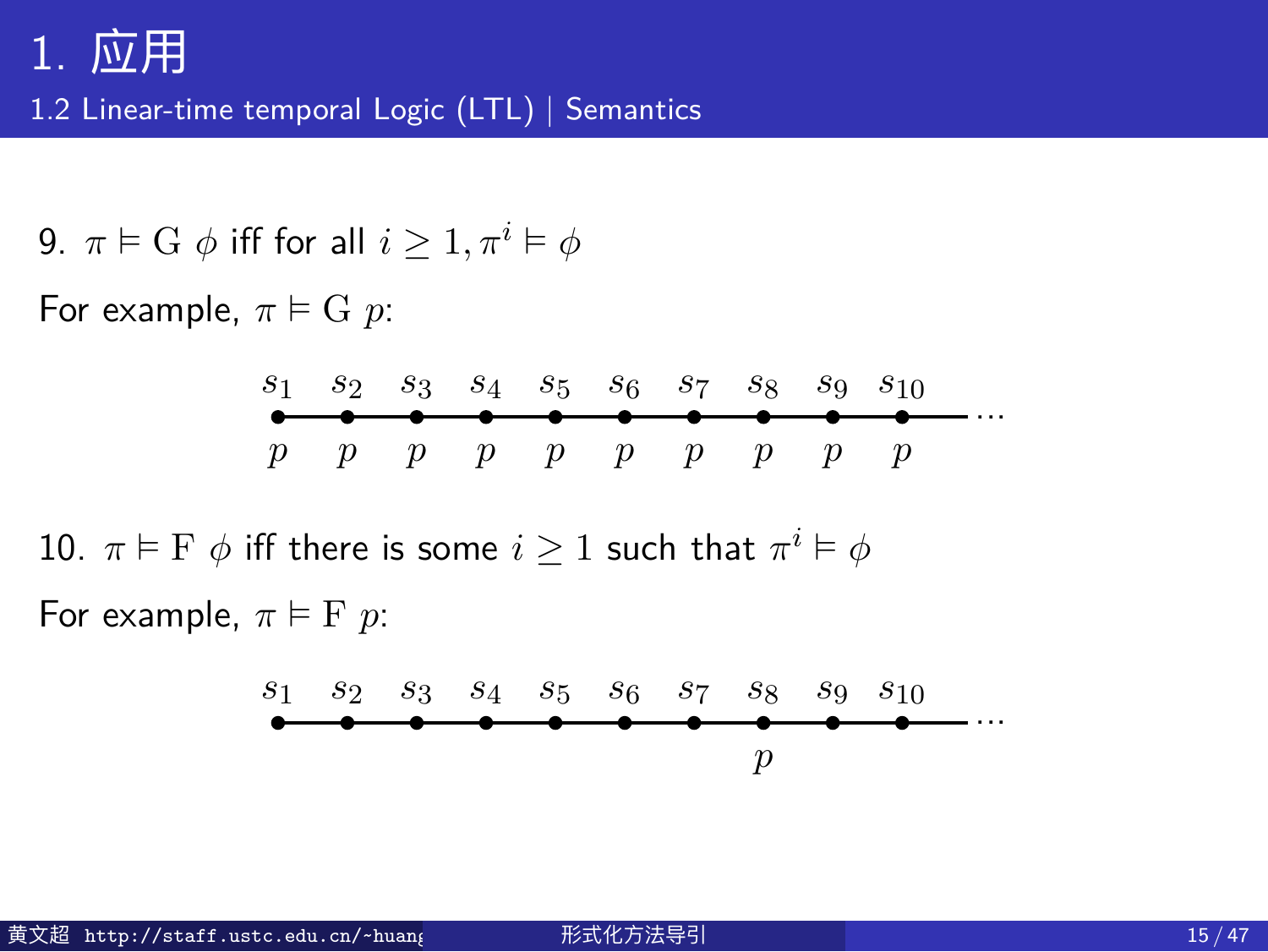1.2 Linear-time temporal Logic (LTL) | Semantics

9.  $\pi \models G \phi$  iff for all  $i \geq 1, \pi^i \models \phi$ 

For example,  $\pi \models G$  *p*:

$$
\begin{array}{cccccccccccc}\ns_1 & s_2 & s_3 & s_4 & s_5 & s_6 & s_7 & s_8 & s_9 & s_{10} \\
\hline\np & p & p & p & p & p & p & p & p & p & p\n\end{array}
$$

10.  $\pi \vDash \mathrm{F} \; \phi$  iff there is some  $i \geq 1$  such that  $\pi^i \vDash \phi$ For example,  $\pi \models F$  *p*:

$$
\begin{array}{cccccccc}\ns_1 & s_2 & s_3 & s_4 & s_5 & s_6 & s_7 & s_8 & s_9 & s_{10} \\
\hline\n\end{array}
$$
 ...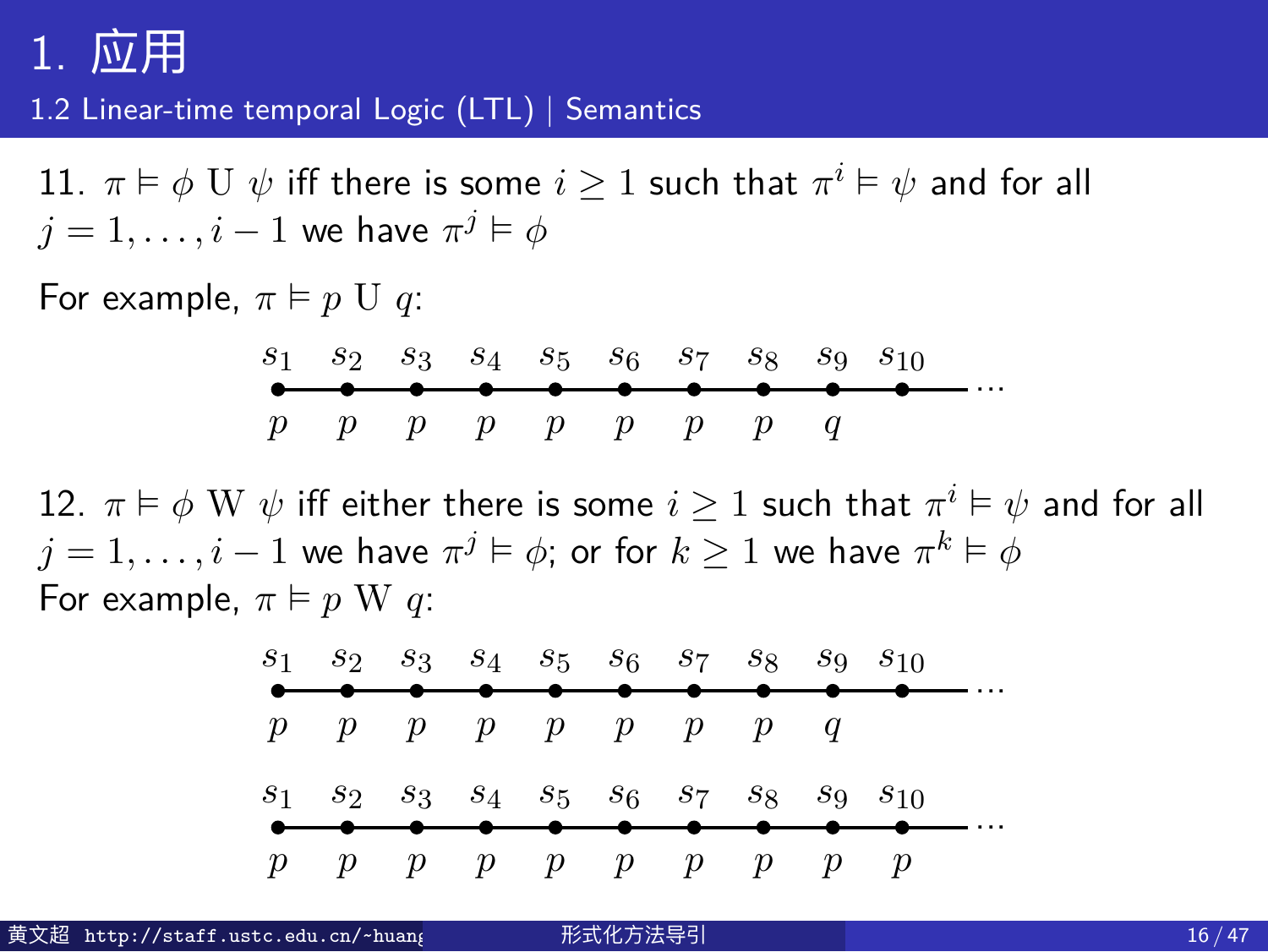1.2 Linear-time temporal Logic (LTL) | Semantics

 $11.$   $\pi \vDash \phi \, \mathrm{U} \; \psi$  iff there is some  $i \geq 1$  such that  $\pi^i \vDash \psi$  and for all  $j = 1, \ldots, i-1$  we have  $\pi^j \vDash \phi$ 

For example,  $\pi \models p \cup q$ :

$$
\begin{array}{cccccccccccc}\ns_1 & s_2 & s_3 & s_4 & s_5 & s_6 & s_7 & s_8 & s_9 & s_{10} \\
\hline\np & p & p & p & p & p & p & p & q & q\n\end{array} \cdots
$$

12.  $\pi \vDash \phi \ \text{W} \ \psi$  iff either there is some  $i \geq 1$  such that  $\pi^i \vDash \psi$  and for all  $j=1,\ldots,i-1$  we have  $\pi^j \vDash \phi;$  or for  $k \geq 1$  we have  $\pi^k \vDash \phi$ For example,  $\pi \models p \le q$ :

| $S_1$ $S_2$ $S_3$ $S_4$ $S_5$ $S_6$ $S_7$ $S_8$ $S_9$ $S_{10}$ |  |          |  |                 |  |
|----------------------------------------------------------------|--|----------|--|-----------------|--|
| $p$ $p$ $p$ $p$ $p$ $p$ $p$ $q$                                |  |          |  |                 |  |
| $S_1$ $S_2$ $S_3$ $S_4$ $S_5$ $S_6$ $S_7$ $S_8$ $S_9$ $S_{10}$ |  |          |  |                 |  |
| $p$ $p$ $p$ $p$ $p$ $p$ $p$ $p$ $p$                            |  | ________ |  | — <del>——</del> |  |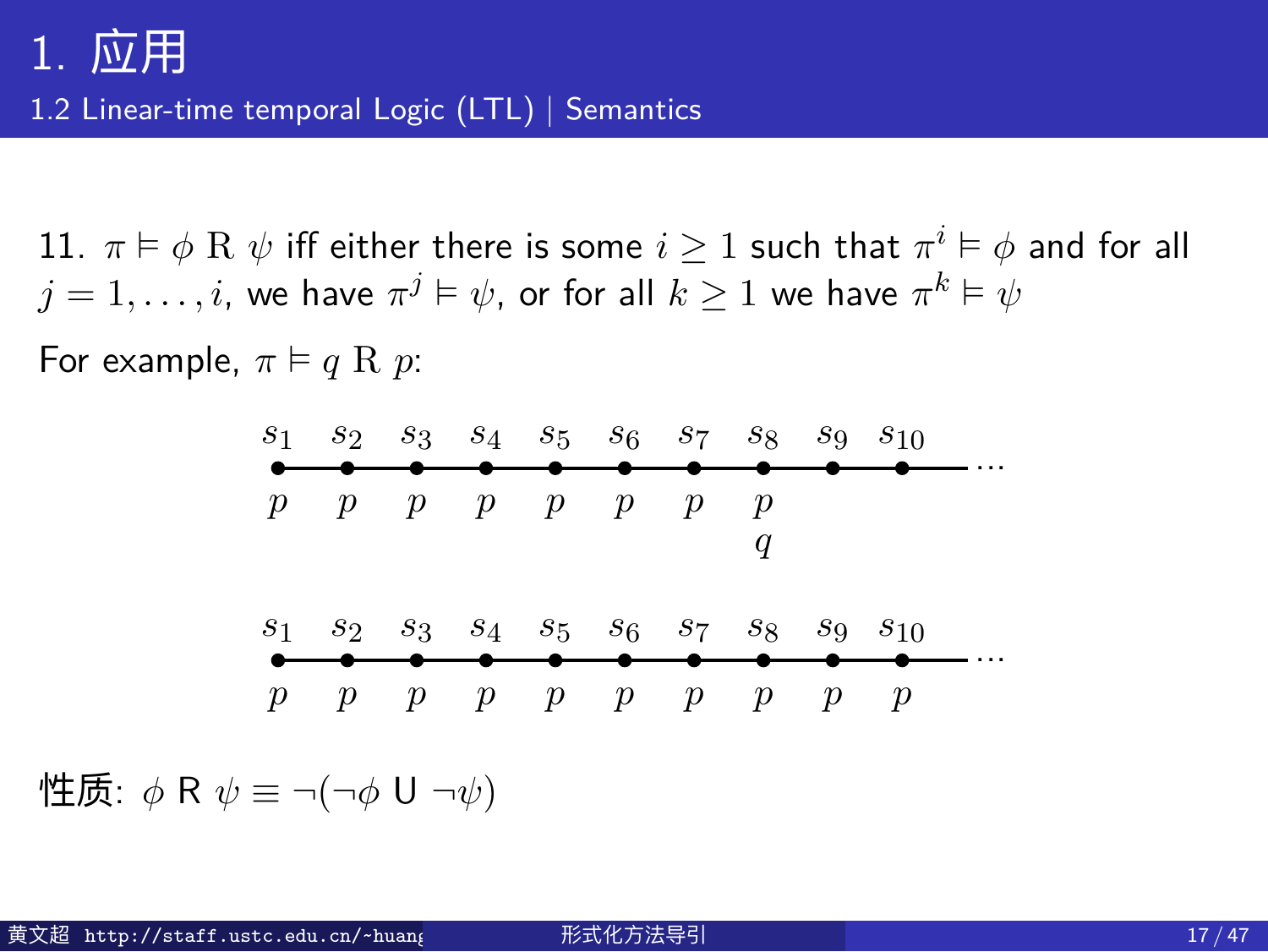1.2 Linear-time temporal Logic (LTL) | Semantics

 $11.$   $\pi \vDash \phi \;\text{R} \; \psi$  iff either there is some  $i \geq 1$  such that  $\pi^i \vDash \phi$  and for all  $j=1,\ldots,i,$  we have  $\pi^j \vDash \psi,$  or for all  $k \geq 1$  we have  $\pi^k \vDash \psi$ 

For example,  $\pi \models q \in p$ :

| $s_1$ | $s_2$ | $s_3$ | $s_4$ | $s_5$ | $s_6$ | $s_7$ | $s_8$ | $s_9$ | $s_{10}$ |     |     |     |     |     |     |     |     |     |     |     |     |     |     |     |     |     |     |     |
|-------|-------|-------|-------|-------|-------|-------|-------|-------|----------|-----|-----|-----|-----|-----|-----|-----|-----|-----|-----|-----|-----|-----|-----|-----|-----|-----|-----|-----|
| $p$   | $p$   | $p$   | $p$   | $p$   | $p$   | $p$   | $p$   |       |          |     |     |     |     |     |     |     |     |     |     |     |     |     |     |     |     |     |     |     |
| $s_1$ | $s_2$ | $s_3$ | $s_4$ | $s_5$ | $s_6$ | $s_7$ | $s_8$ | $s_9$ | $s_{10}$ |     |     |     |     |     |     |     |     |     |     |     |     |     |     |     |     |     |     |     |
| $s_1$ | $s_2$ | $s_3$ | $s_4$ | $s_5$ | $s_6$ | $s_7$ | $s_8$ | $s_9$ | $s_{10}$ |     |     |     |     |     |     |     |     |     |     |     |     |     |     |     |     |     |     |     |
| $p$   | $p$   | $p$   | $p$   | $p$   | $p$   | $p$   | $p$   | $p$   | $p$      | $p$ | $p$ | $p$ | $p$ | $p$ | $p$ | $p$ | $p$ | $p$ | $p$ | $p$ | $p$ | $p$ | $p$ | $p$ | $p$ | $p$ | $p$ | $p$ |

性质: *ϕ* R *ψ ≡ ¬*(*¬ϕ* U *¬ψ*)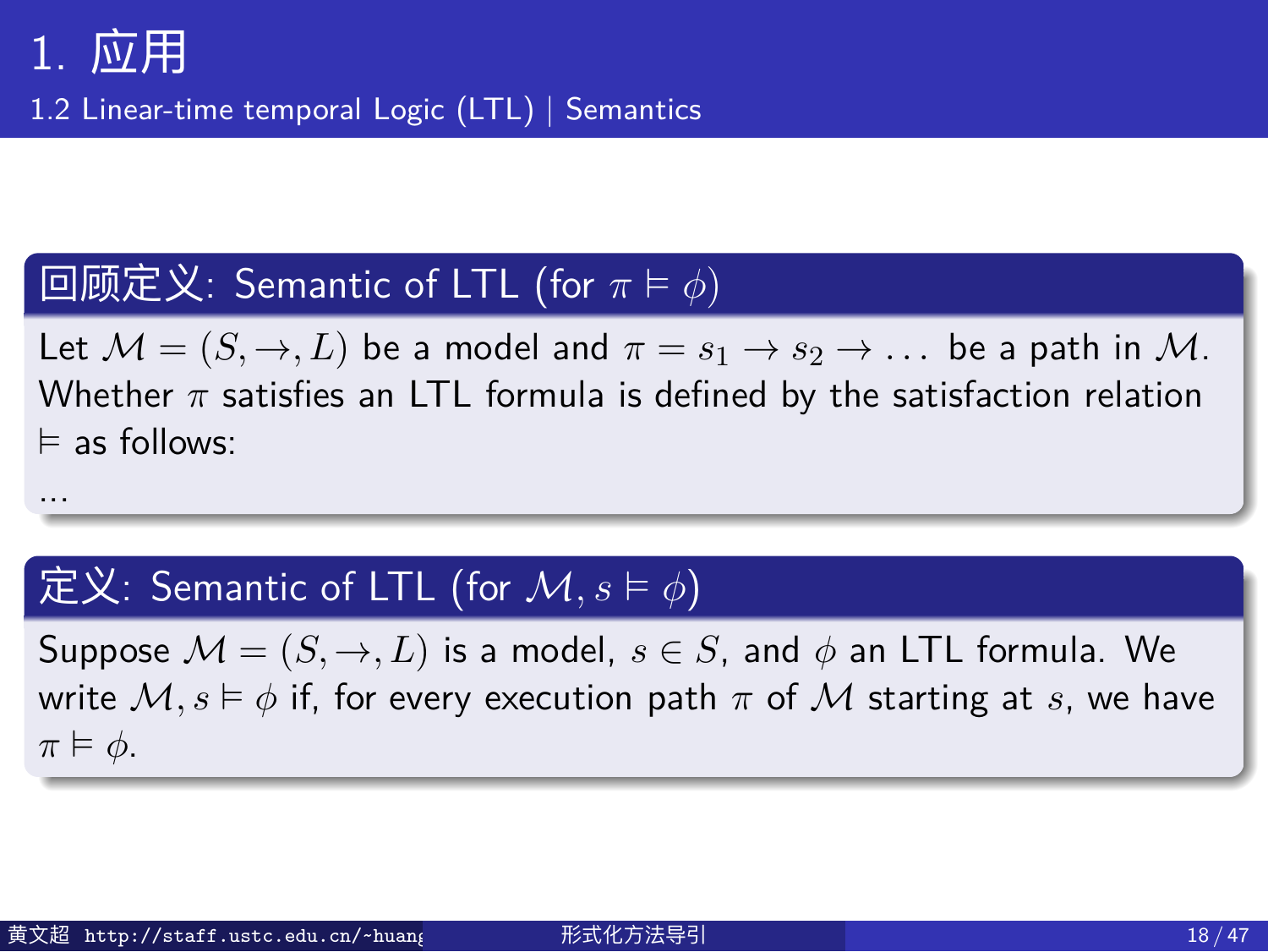...

1.2 Linear-time temporal Logic (LTL) | Semantics

#### 回顾定义: Semantic of LTL (for *π* ⊨ *ϕ*)

Let  $M = (S, \rightarrow, L)$  be a model and  $\pi = s_1 \rightarrow s_2 \rightarrow \dots$  be a path in M. Whether *π* satisfies an LTL formula is defined by the satisfaction relation ⊨ as follows:

#### $\int$ 定义: Semantic of LTL (for  $\mathcal{M}, s \vDash \phi$ )

Suppose  $M = (S, \rightarrow, L)$  is a model,  $s \in S$ , and  $\phi$  an LTL formula. We write  $M, s \models \phi$  if, for every execution path  $\pi$  of  $M$  starting at *s*, we have *π* ⊨ *ϕ*.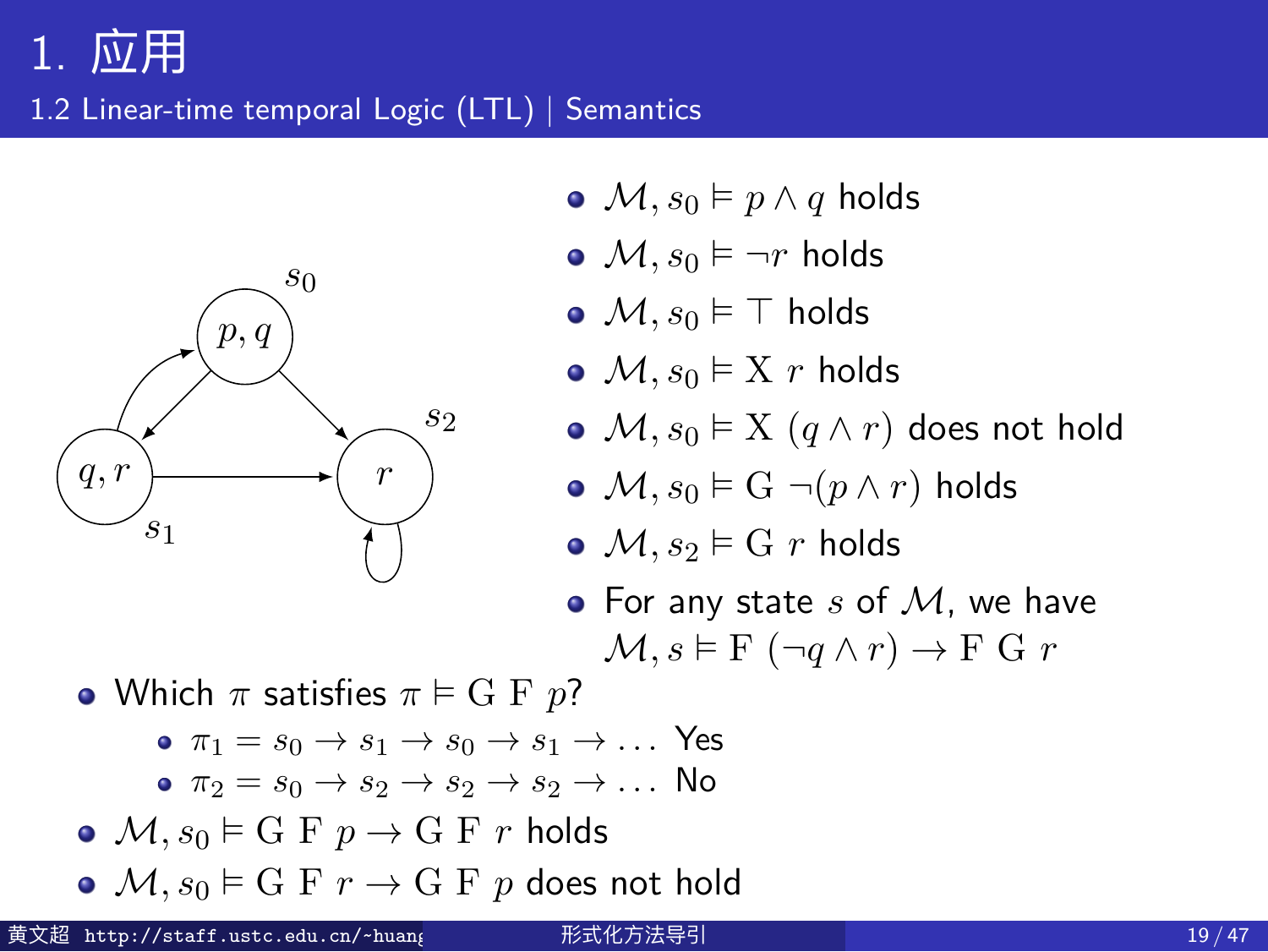1.2 Linear-time temporal Logic (LTL) | Semantics



- $\bullet$  *M, s*<sup>0</sup> ⊨ *p*  $\land$  *q* holds
- $M, s_0 \models \neg r$  holds
- *M, s*<sup>0</sup> ⊨ *⊤* holds
- $M, s_0 \models X \; r \; \text{holds}$
- $M, s_0 \models X$   $(q \land r)$  does not hold
- $M, s_0 \models G \neg (p \land r)$  holds
- $M$ ,  $s_2 \models G \r{r}$  holds
- For any state *s* of *M*, we have
	- $M, s \models F (\neg q \land r) \rightarrow F G r$
- Which  $\pi$  satisfies  $\pi \models G \to p$ ?
	- $\pi_1 = s_0 \rightarrow s_1 \rightarrow s_0 \rightarrow s_1 \rightarrow \ldots$  Yes  $\bullet \ \pi_2 = s_0 \rightarrow s_2 \rightarrow s_2 \rightarrow s_2 \rightarrow \dots$  No
- $M, s_0 \models G \to p \rightarrow G \to r$  holds
- $M, s_0 \models G \to r \rightarrow G \to p$  does not hold
- 黄文超 http://staff.ustc.edu.cn/~huangwc/fm.html 形式化方法导引 19 / 47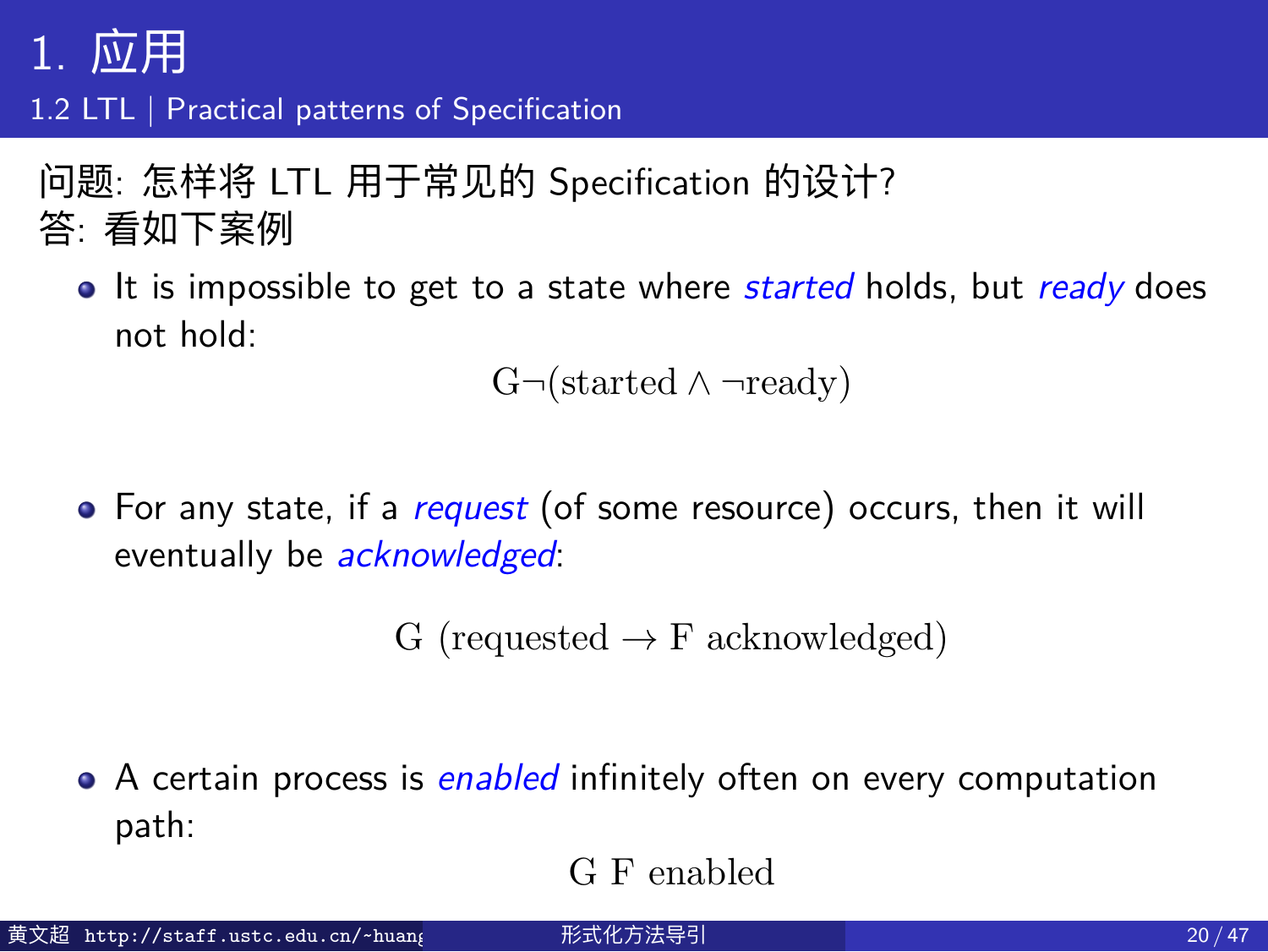#### 1. 应用 1.2 LTL | Practical patterns of Specification

问题: 怎样将 LTL 用于常见的 Specification 的设计? 答: 看如下案例

• It is impossible to get to a state where *started* holds, but *ready* does not hold:

G*¬*(started *∧ ¬*ready)

For any state, if a *request* (of some resource) occurs, then it will eventually be *acknowledged*:

G (requested *→* F acknowledged)

A certain process is *enabled* infinitely often on every computation path: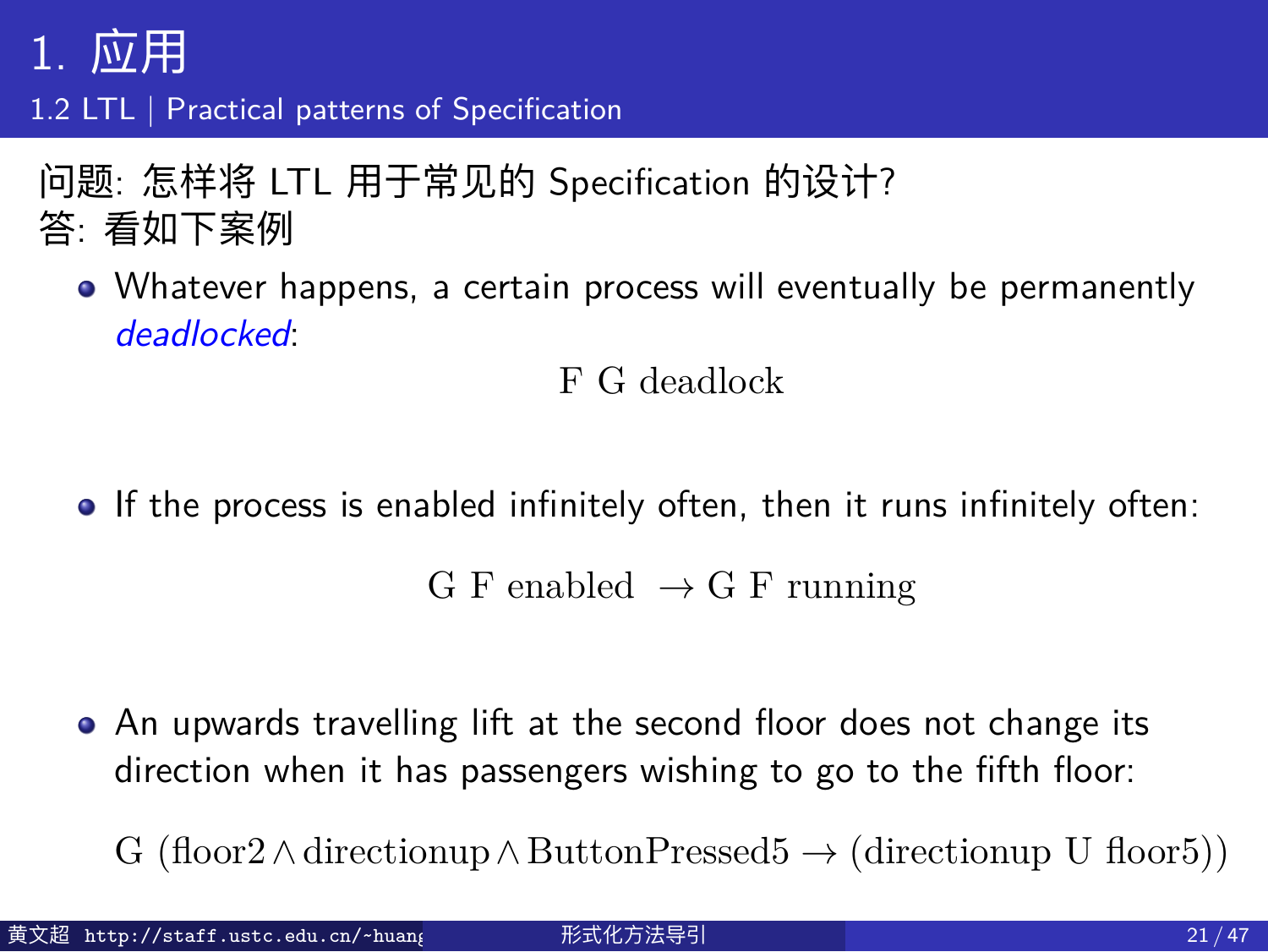#### 1. 应用 1.2 LTL | Practical patterns of Specification

问题: 怎样将 LTL 用于常见的 Specification 的设计? 答: 看如下案例

Whatever happens, a certain process will eventually be permanently *deadlocked*:

F G deadlock

• If the process is enabled infinitely often, then it runs infinitely often:

G F enabled *→* G F running

- An upwards travelling lift at the second floor does not change its direction when it has passengers wishing to go to the fifth floor:
	- G (floor2*∧*directionup*∧* ButtonPressed5 *→* (directionup U floor5))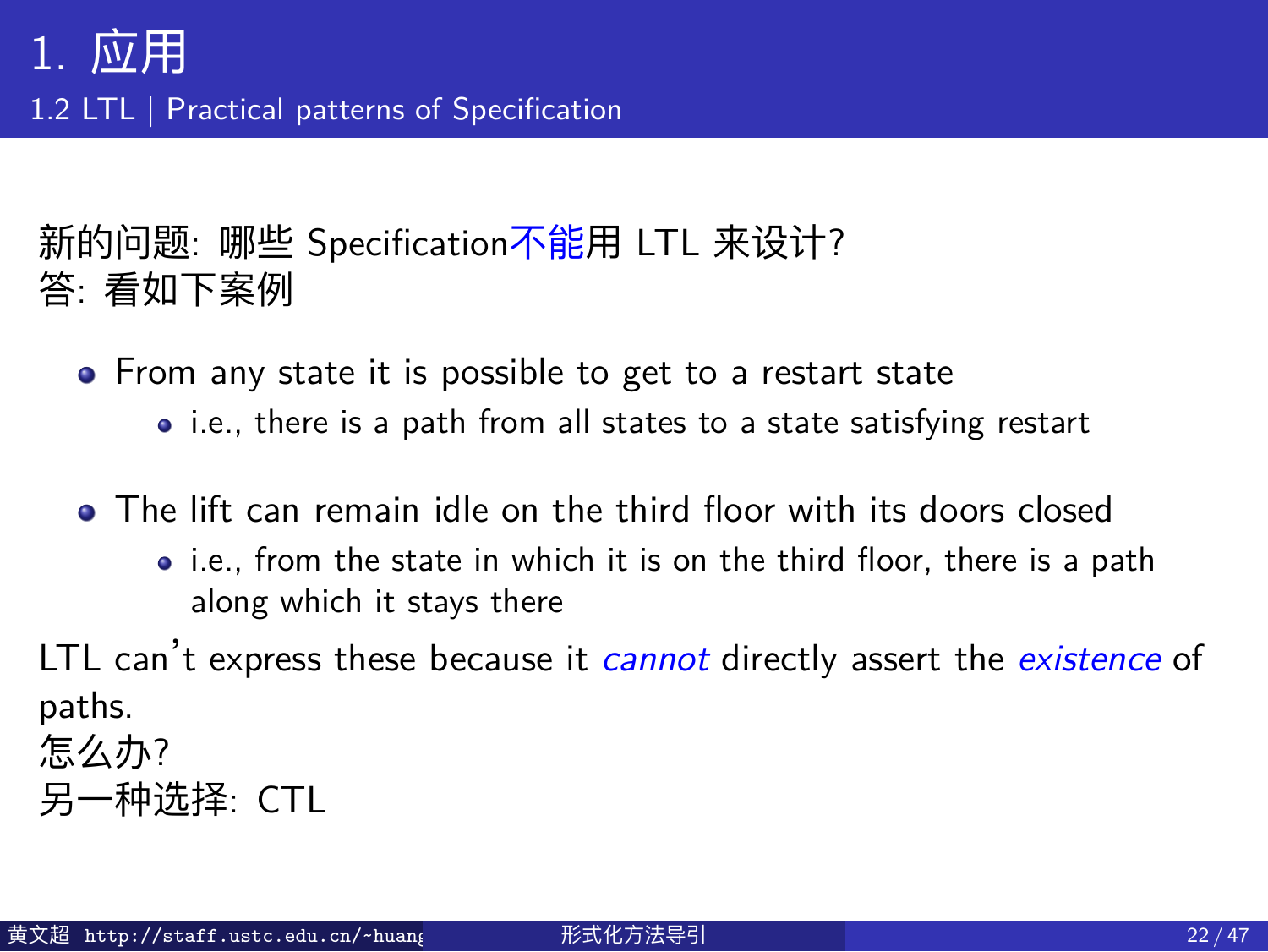#### 1. 应用 1.2 LTL | Practical patterns of Specification

新的问题: 哪些 Specification不能用 LTL 来设计? 答: 看如下案例

- From any state it is possible to get to a restart state • i.e., there is a path from all states to a state satisfying restart
- The lift can remain idle on the third floor with its doors closed
	- i.e., from the state in which it is on the third floor, there is a path along which it stays there

LTL can't express these because it *cannot* directly assert the *existence* of paths. 怎么办?

```
另一种选择: CTL
```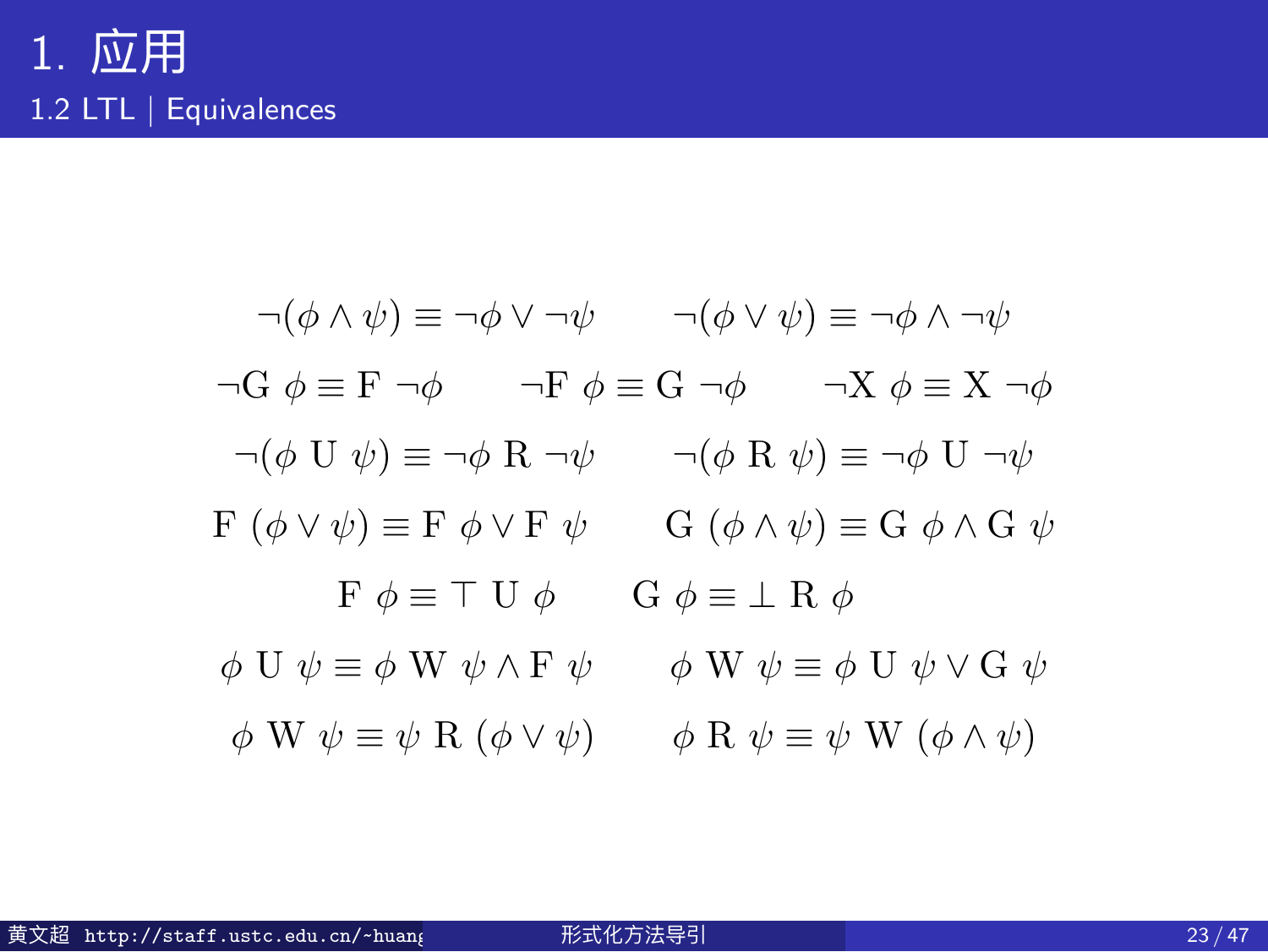$$
\neg(\phi \land \psi) \equiv \neg\phi \lor \neg\psi \qquad \neg(\phi \lor \psi) \equiv \neg\phi \land \neg\psi
$$
  
\n
$$
\neg G \phi \equiv F \neg\phi \qquad \neg F \phi \equiv G \neg\phi \qquad \neg X \phi \equiv X \neg\phi
$$
  
\n
$$
\neg(\phi \cup \psi) \equiv \neg\phi \land \neg\psi \qquad \neg(\phi \land \psi) \equiv \neg\phi \cup \neg\psi
$$
  
\n
$$
F (\phi \lor \psi) \equiv F \phi \lor F \psi \qquad G (\phi \land \psi) \equiv G \phi \land G \psi
$$
  
\n
$$
F \phi \equiv T \cup \phi \qquad G \phi \equiv \bot \land \phi
$$
  
\n
$$
\phi \cup \psi \equiv \phi \lor \psi \land F \psi \qquad \phi \lor \psi \equiv \phi \cup \psi \lor G \psi
$$
  
\n
$$
\phi \lor \psi \equiv \psi \land (\phi \lor \psi) \qquad \phi \land \psi \equiv \psi \lor (\phi \land \psi)
$$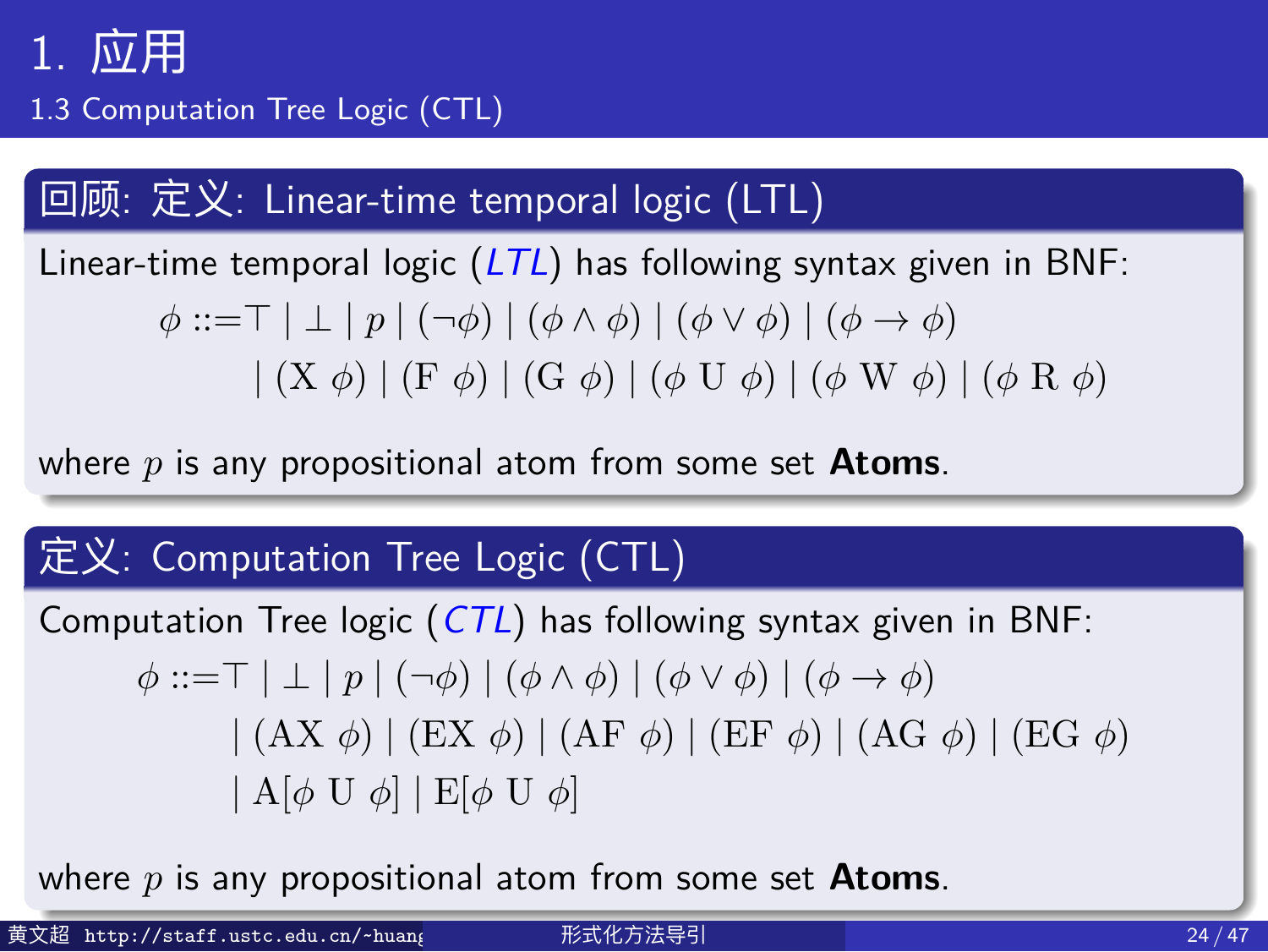1.3 Computation Tree Logic (CTL)

回顾: 定义: Linear-time temporal logic (LTL)

Linear-time temporal logic (*LTL*) has following syntax given in BNF:

*ϕ* ::=*⊤ | ⊥ | p |* (*¬ϕ*) *|* (*ϕ ∧ ϕ*) *|* (*ϕ ∨ ϕ*) *|* (*ϕ → ϕ*) *|* (X *ϕ*) *|* (F *ϕ*) *|* (G *ϕ*) *|* (*ϕ* U *ϕ*) *|* (*ϕ* W *ϕ*) *|* (*ϕ* R *ϕ*)

where *p* is any propositional atom from some set **Atoms**.

#### 定义: Computation Tree Logic (CTL)

Computation Tree logic (*CTL*) has following syntax given in BNF: *ϕ* ::=*⊤ | ⊥ | p |* (*¬ϕ*) *|* (*ϕ ∧ ϕ*) *|* (*ϕ ∨ ϕ*) *|* (*ϕ → ϕ*) *|* (AX *ϕ*) *|* (EX *ϕ*) *|* (AF *ϕ*) *|* (EF *ϕ*) *|* (AG *ϕ*) *|* (EG *ϕ*) *|* A[*ϕ* U *ϕ*] *|* E[*ϕ* U *ϕ*]

where *p* is any propositional atom from some set **Atoms**.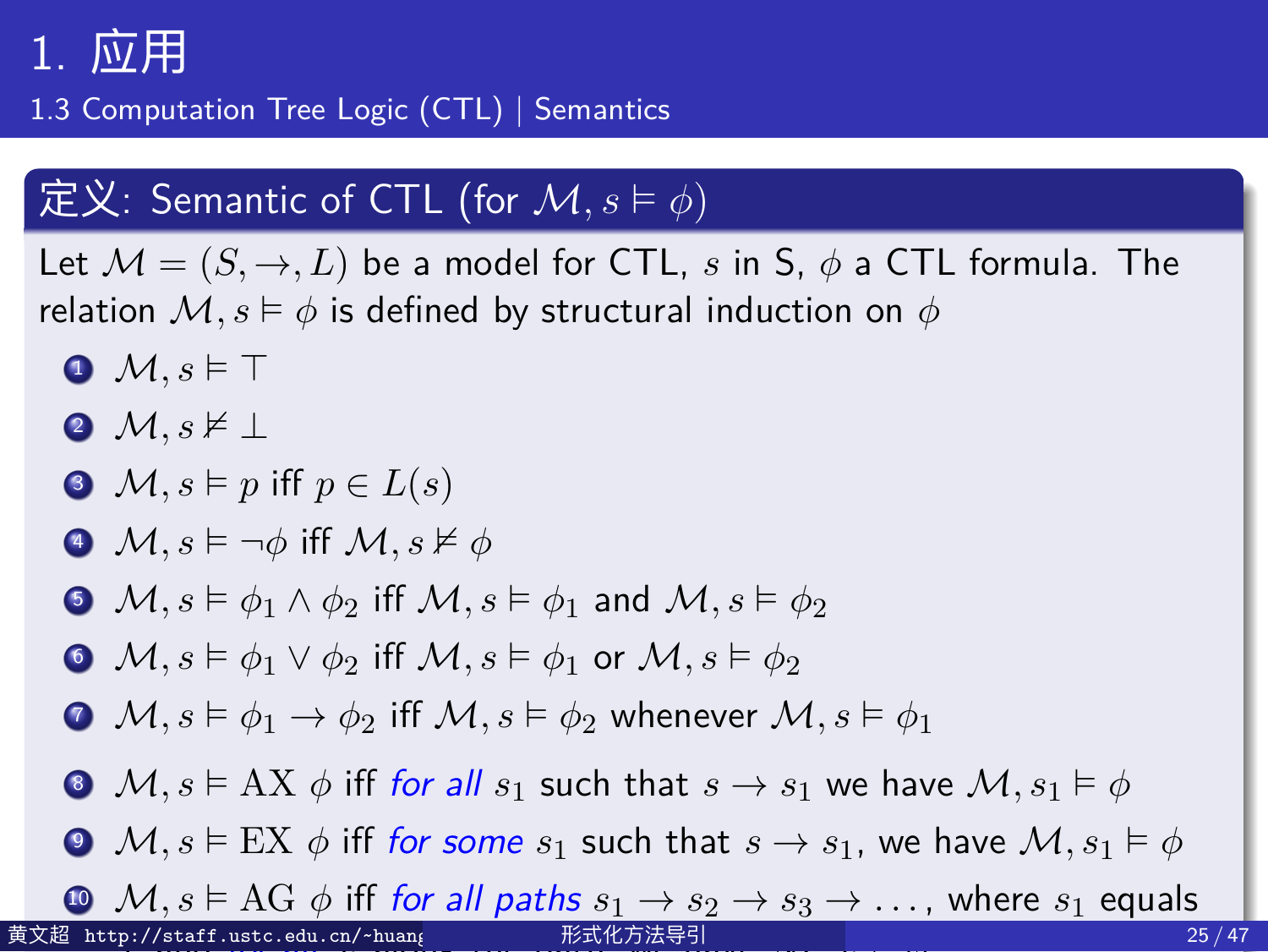1.3 Computation Tree Logic (CTL) | Semantics

#### $\boxed{\mathbf{\mathfrak{X}}\colon \mathsf{S}\mathsf{em}$ antic of <code>CTL</code> (for  $\mathcal{M},s\vDash\phi)$

Let  $M = (S, \rightarrow, L)$  be a model for CTL, *s* in S,  $\phi$  a CTL formula. The relation  $M, s \models \phi$  is defined by structural induction on  $\phi$ <sup>1</sup> *M, s* ⊨ *⊤* <sup>2</sup> *M, s* ⊭ *⊥*  $\Theta$  *M, s*  $\models$  *p* iff  $p \in L(s)$  $\boldsymbol{A}$   $\mathcal{M}, s \models \neg \phi$  iff  $\mathcal{M}, s \nvDash \phi$ **•** *M*,  $s \vDash \phi_1 \land \phi_2$  iff  $M, s \vDash \phi_1$  and  $M, s \vDash \phi_2$ **0** *M*,  $s \vDash \phi_1 \lor \phi_2$  iff *M*,  $s \vDash \phi_1$  or *M*,  $s \vDash \phi_2$  $\bullet$  *M, s* ⊨  $\phi_1$  →  $\phi_2$  iff *M, s* ⊨  $\phi_2$  whenever *M, s* ⊨  $\phi_1$ **a**  $\mathcal{M}, s \models AX \phi$  iff for all  $s_1$  such that  $s \rightarrow s_1$  we have  $\mathcal{M}, s_1 \models \phi$ **○**  $M, s \models EX \phi$  iff for some  $s_1$  such that  $s \rightarrow s_1$ , we have  $M, s_1 \models \phi$  $\bullet \mathcal{M}, s \models \text{AG } \phi \text{ iff for all paths } s_1 \rightarrow s_2 \rightarrow s_3 \rightarrow \dots$ , where  $s_1$  equals *s*, and *for all s<sup>i</sup>* along the path, we have *M, s<sup>i</sup>* ⊨ *ϕ* 黄文超 http://staff.ustc.edu.cn/~huang 形式化方法导引 25 / 47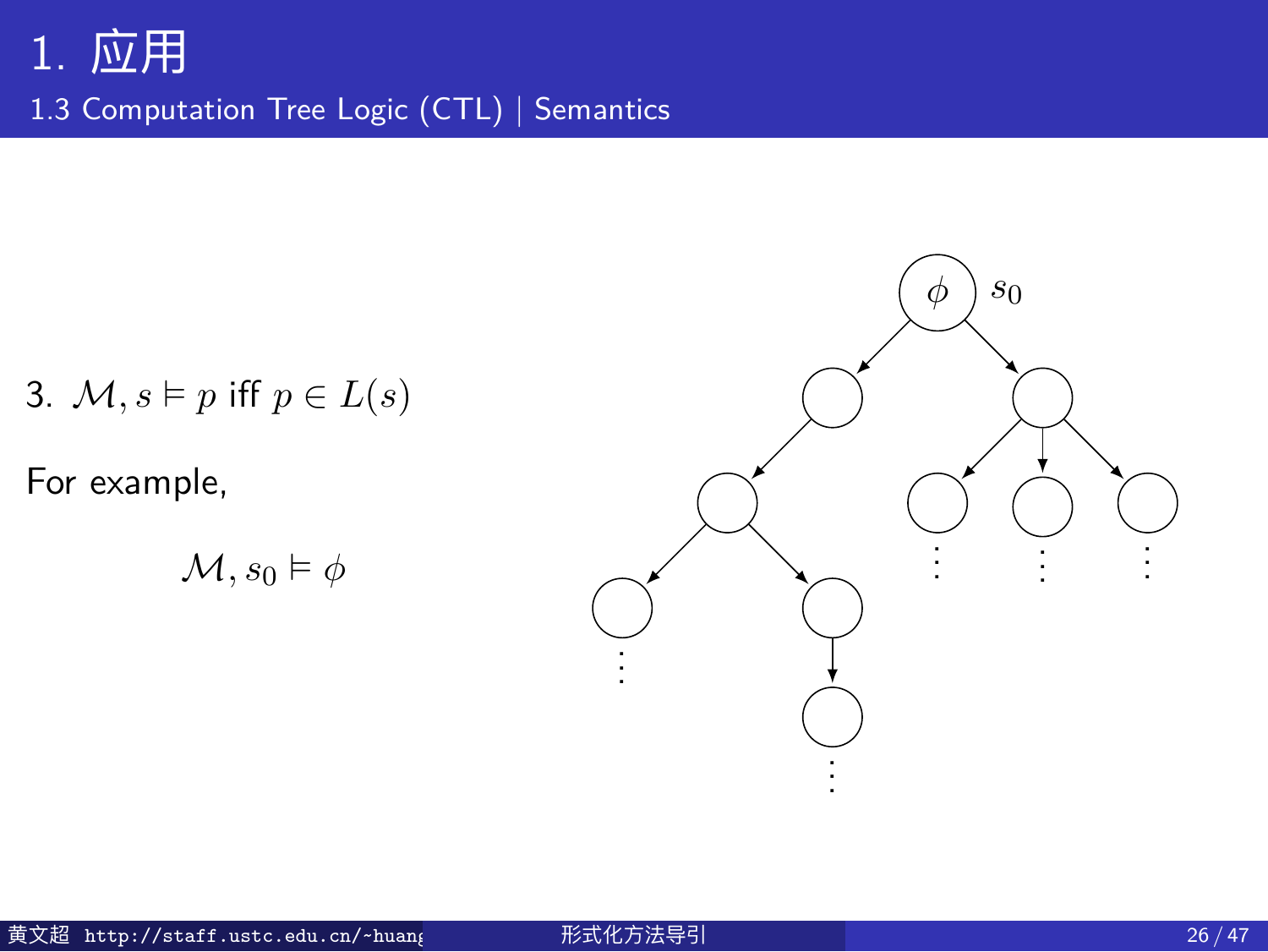1.3 Computation Tree Logic (CTL) | Semantics

3. *M, s* ⊨ *p* iff  $p \in L(s)$ 

For example,

$$
\mathcal{M}, s_0 \vDash \phi
$$

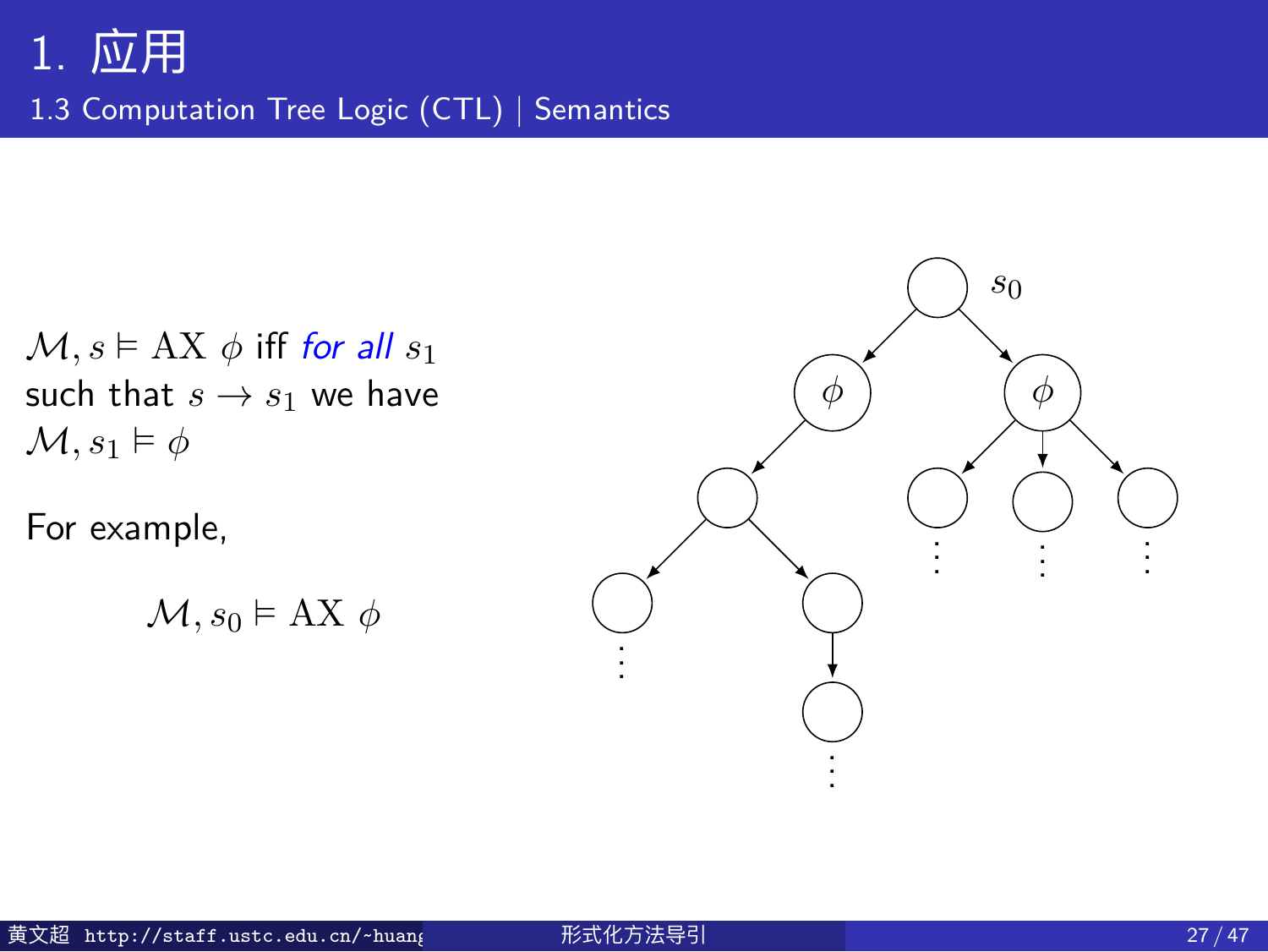1.3 Computation Tree Logic (CTL) | Semantics

 $M, s \models AX \phi$  iff *for all*  $s_1$ such that  $s \rightarrow s_1$  we have  $\mathcal{M}, s_1 \vDash \phi$ 

For example,

 $\mathcal{M}, s_0 \models \mathbf{AX} \phi$ 

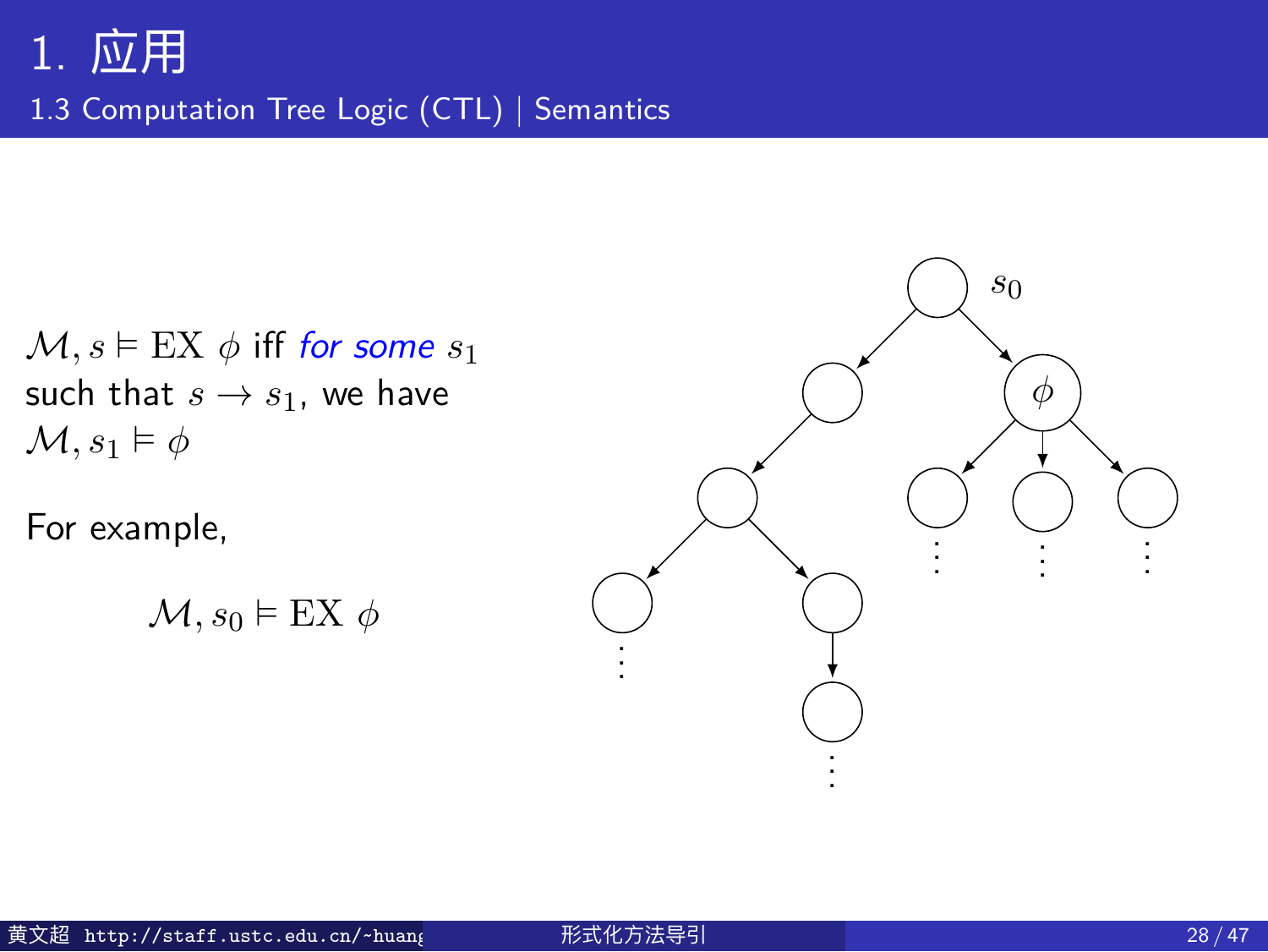1.3 Computation Tree Logic (CTL) | Semantics

 $M, s \models EX \phi$  iff *for some*  $s_1$ such that  $s \rightarrow s_1$ , we have  $\mathcal{M}, s_1 \vDash \phi$ 

For example,

$$
\mathcal{M}, s_0 \vDash \text{EX} \; \phi
$$

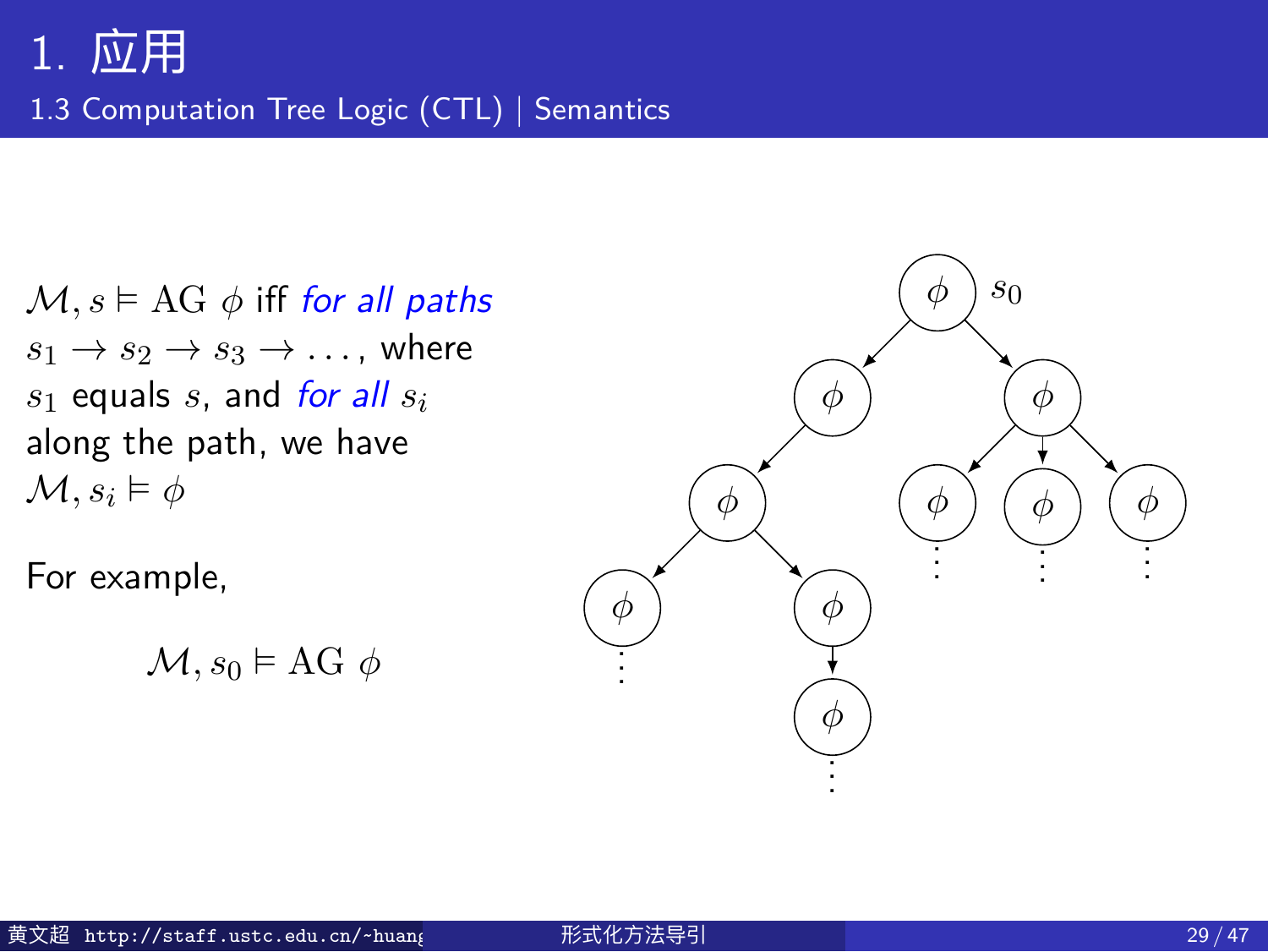1.3 Computation Tree Logic (CTL) | Semantics

 $M, s \models AG \phi$  iff *for all paths*  $s_1 \rightarrow s_2 \rightarrow s_3 \rightarrow \ldots$ , where *s*<sup>1</sup> equals *s*, and *for all s<sup>i</sup>* along the path, we have  $\mathcal{M}, s_i \models \phi$ 

For example,

$$
\mathcal{M}, s_0 \vDash \text{AG } \phi
$$

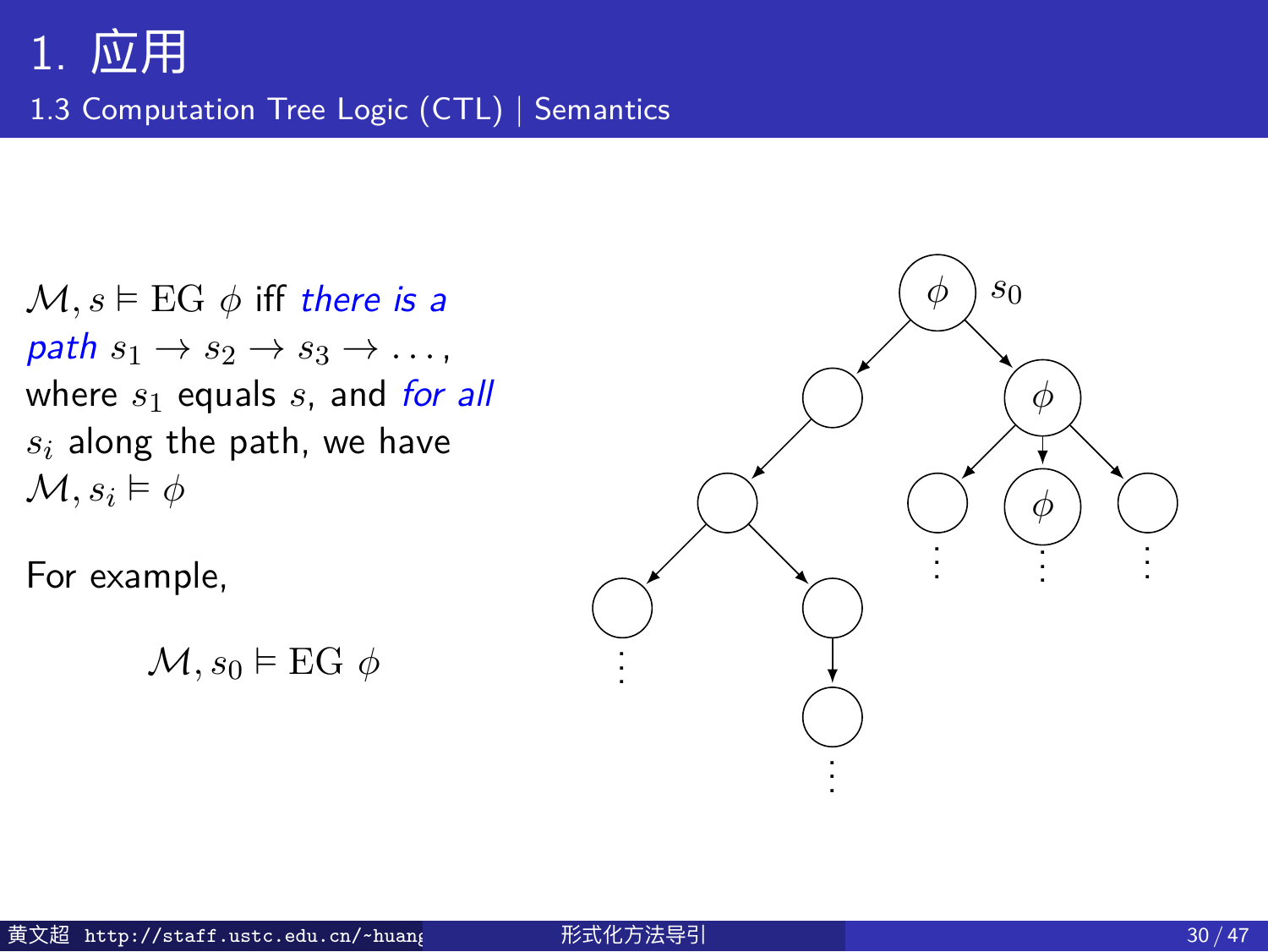1.3 Computation Tree Logic (CTL) | Semantics

 $M, s \vDash EG \phi$  iff *there is a*  $path s_1 \rightarrow s_2 \rightarrow s_3 \rightarrow \ldots$ where *s*<sup>1</sup> equals *s*, and *for all s<sup>i</sup>* along the path, we have  $\mathcal{M}, s_i \models \phi$ 

For example,

 $\mathcal{M}, s_0 \models \text{EG } \phi$ 

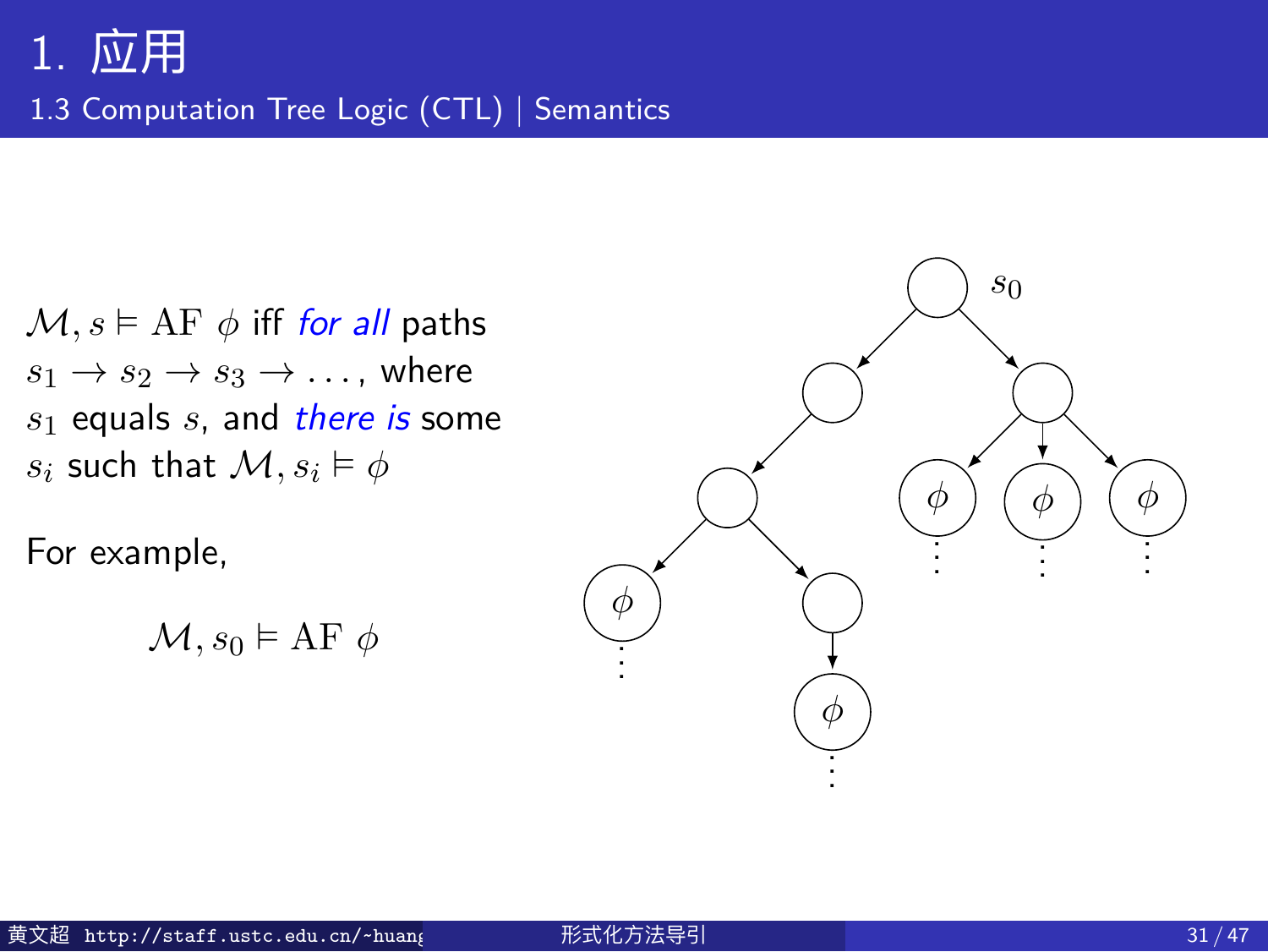1.3 Computation Tree Logic (CTL) | Semantics

 $M, s \models AF \phi$  iff *for all* paths  $s_1 \rightarrow s_2 \rightarrow s_3 \rightarrow \ldots$ , where *s*<sup>1</sup> equals *s*, and *there is* some *s*<sup>*i*</sup> such that  $\mathcal{M}, s_i \models \phi$ 

For example,

$$
\mathcal{M}, s_0 \vDash \mathrm{AF}\; \phi
$$

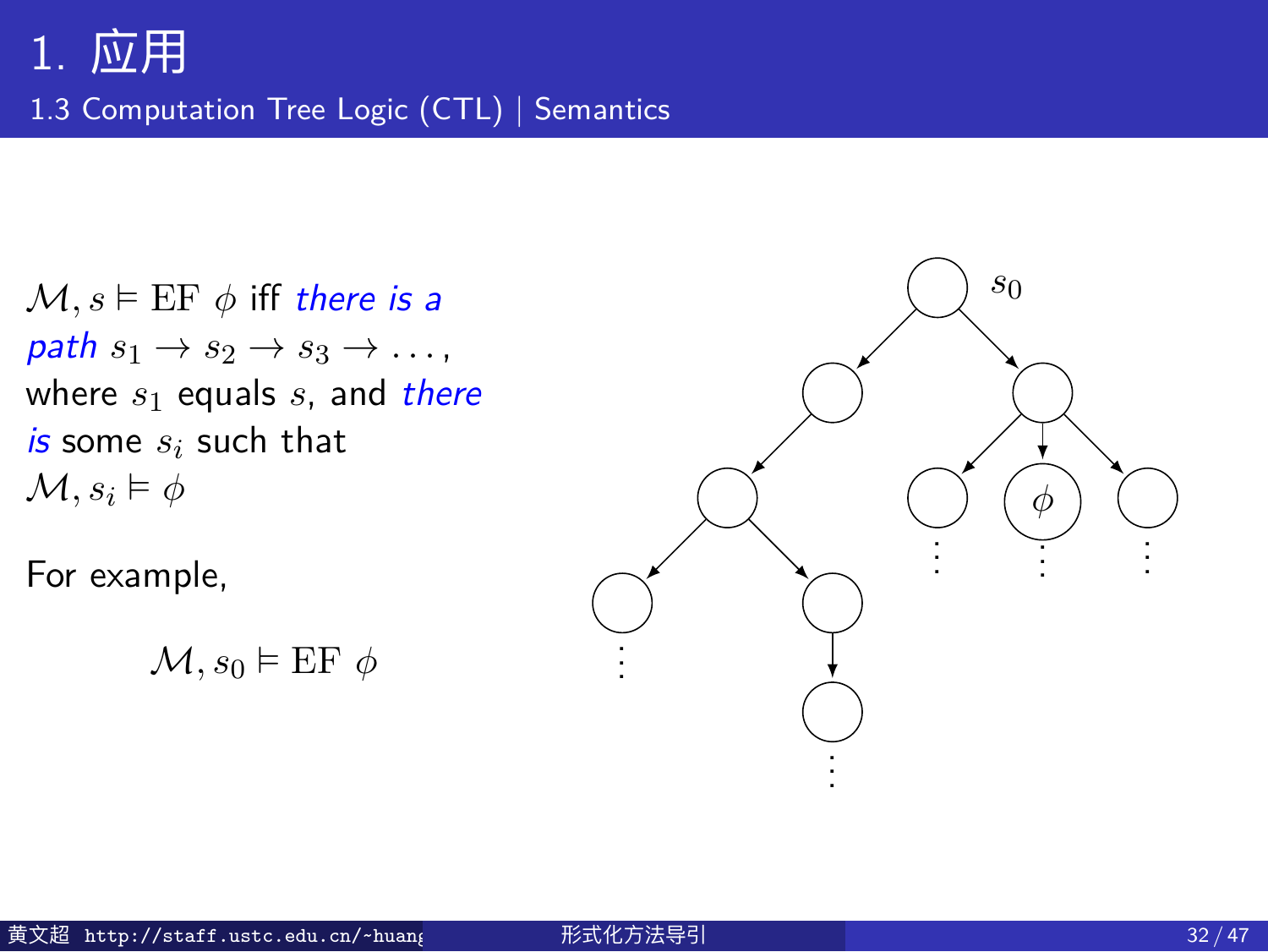1.3 Computation Tree Logic (CTL) | Semantics

 $M, s \vDash EF \phi$  iff *there is a*  $path s_1 \rightarrow s_2 \rightarrow s_3 \rightarrow \ldots$ where *s*<sup>1</sup> equals *s*, and *there is* some *s<sup>i</sup>* such that  $M, s_i \models \phi$ 

For example,

 $\mathcal{M}, s_0 \vDash \text{EF } \phi$ 

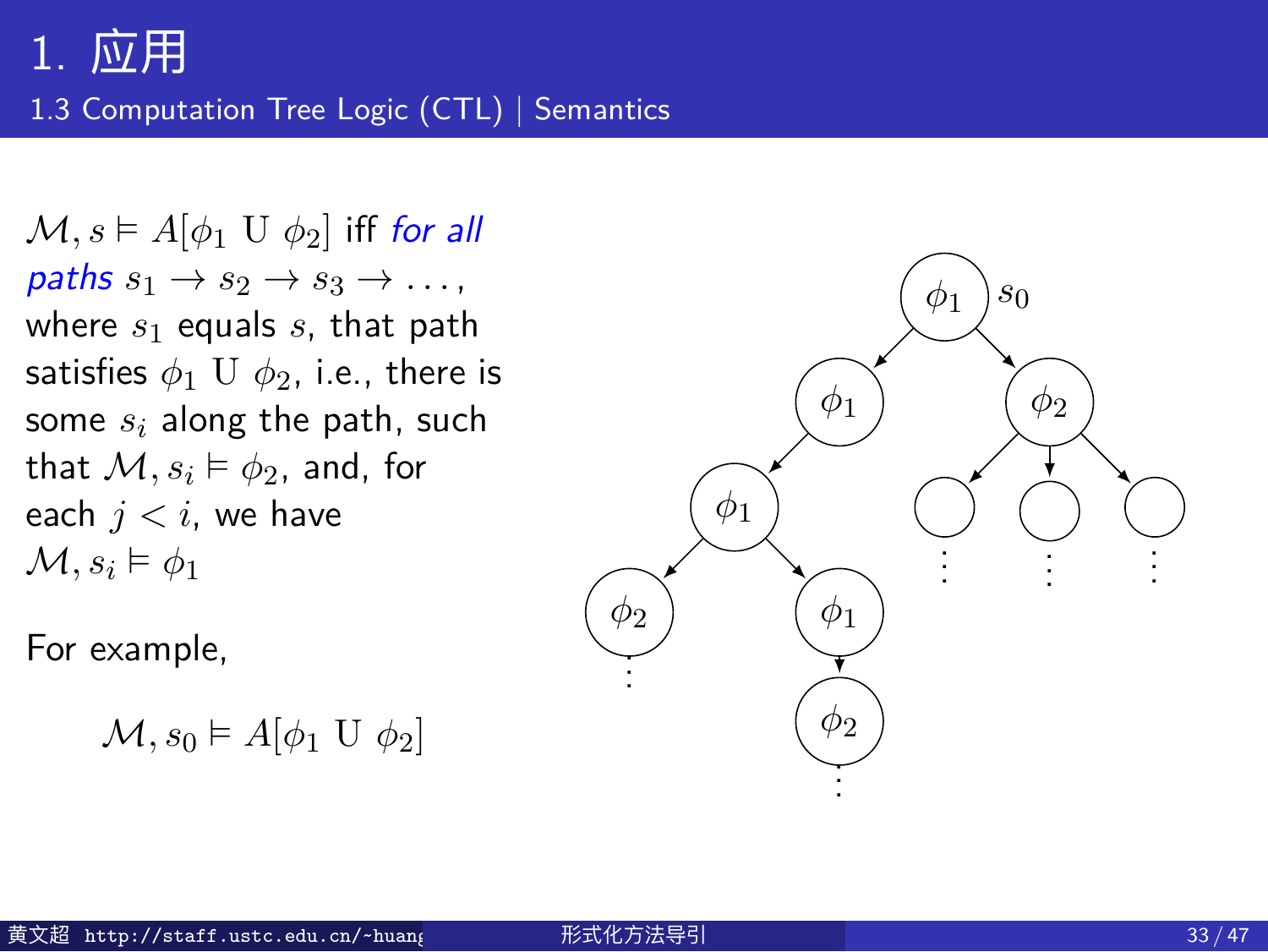1.3 Computation Tree Logic (CTL) | Semantics

 $M, s \models A[\phi_1 \cup \phi_2]$  iff *for all*  $\mathit{paths} \ s_1 \rightarrow s_2 \rightarrow s_3 \rightarrow \ldots$ where *s*<sup>1</sup> equals *s*, that path satisfies  $\phi_1$  U  $\phi_2$ , i.e., there is some *s<sup>i</sup>* along the path, such that  $\mathcal{M}, s_i \vDash \phi_2$ , and, for each  $j < i$ , we have  $\mathcal{M}, s_i \models \phi_1$ 

For example,

```
\mathcal{M}, s_0 \models A[\phi_1 \mathbf{U} \phi_2]
```
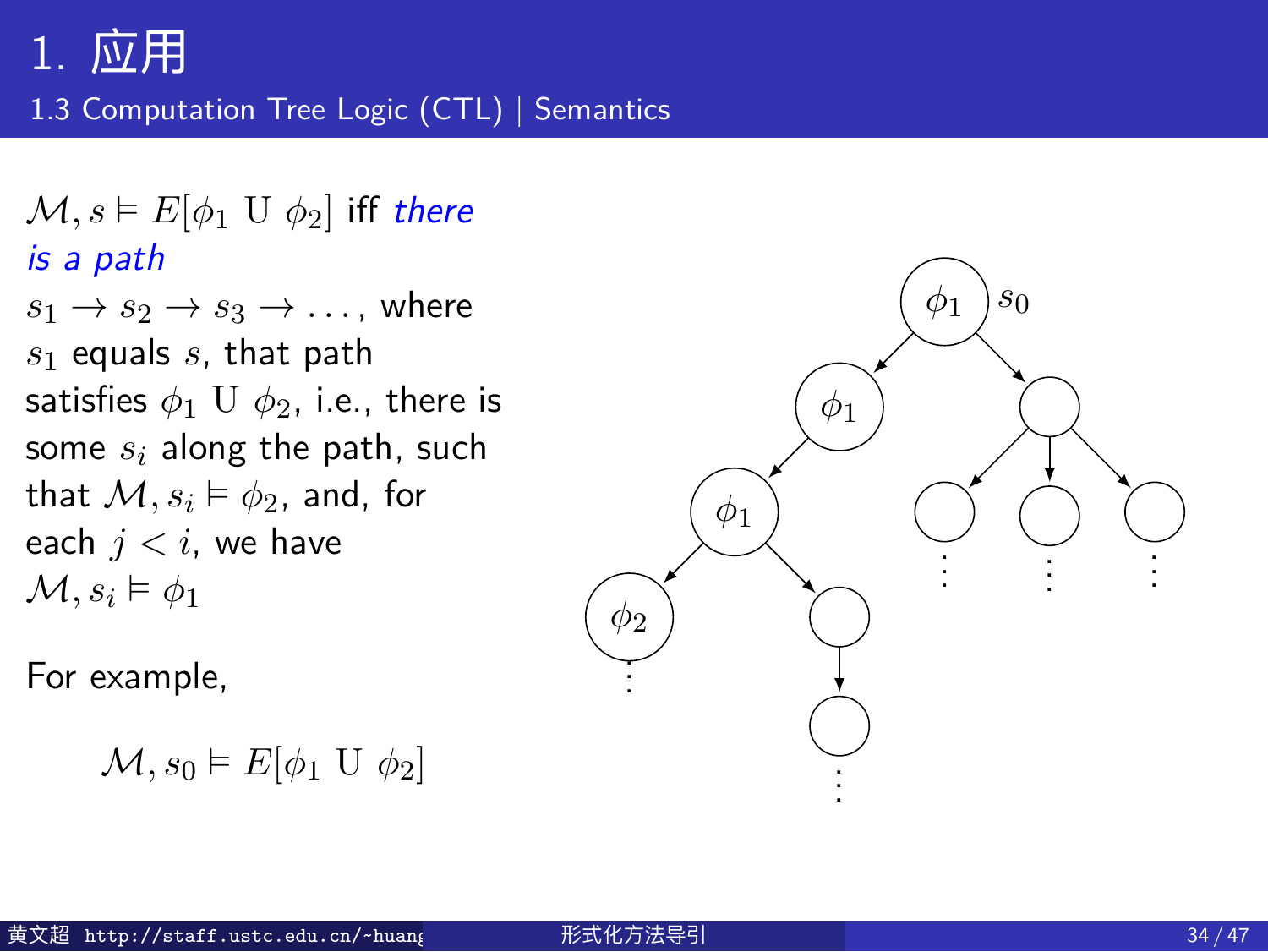1.3 Computation Tree Logic (CTL) | Semantics

 $\mathcal{M}, s \vDash E[\phi_1 \cup \phi_2]$  iff *there is a path*  $s_1 \rightarrow s_2 \rightarrow s_3 \rightarrow \ldots$ , where *s*<sup>1</sup> equals *s*, that path satisfies *ϕ*<sup>1</sup> U *ϕ*2, i.e., there is some *s<sup>i</sup>* along the path, such that  $\mathcal{M}, s_i \vDash \phi_2$ , and, for each  $j < i$ , we have  $\mathcal{M}, s_i \models \phi_1$ 

For example,

*M, s*<sup>0</sup> ⊨ *E*[ $\phi$ <sup>1</sup> U  $\phi$ <sup>2</sup>]

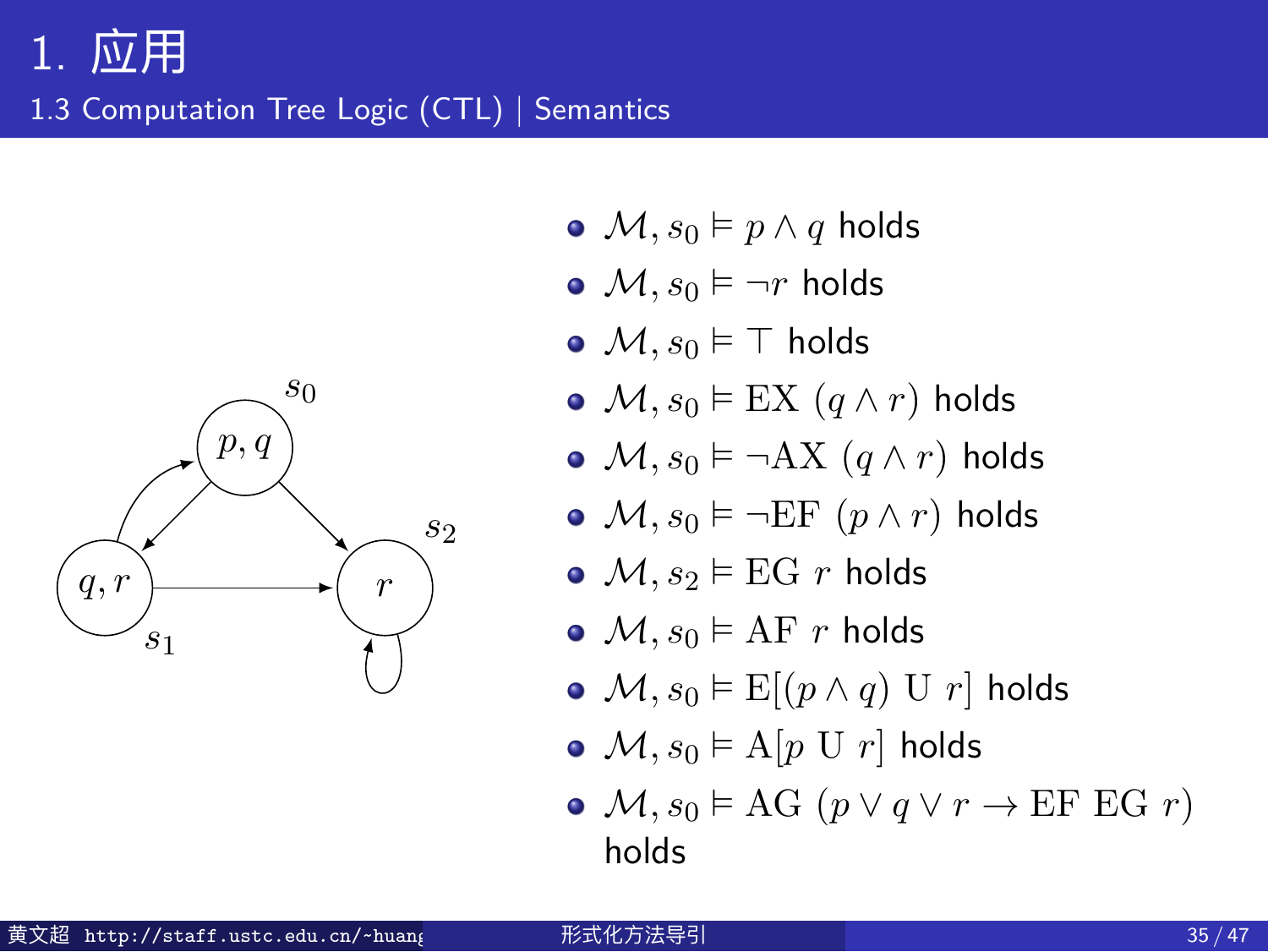#### 1. 应用 1.3 Computation Tree Logic (CTL) | Semantics



- $\bullet$  *M, s*<sup>0</sup> ⊨ *p*  $\land$  *q* holds
- $M, s_0 \models \neg r$  holds
- *M, s*<sup>0</sup> ⊨ *⊤* holds
- $M, s_0 \vDash \text{EX} (q \wedge r)$  holds
- $M, s_0 \vDash \neg AX (q \land r)$  holds
- $M, s_0 \vDash \neg \text{EF } (p \land r)$  holds
- $M, s_2 \models EG \; r \;$  holds
- $M, s_0 \models AF \; r \; \text{holds}$
- $M, s_0 \vDash E[(p \wedge q) \cup r]$  holds
- $M, s_0 \models A[p \cup r]$  holds
- $\bullet$  *M, s*<sup>0</sup> ⊨ AG (*p*  $\lor$  *q*  $\lor$  *r*  $\rightarrow$  EF EG *r*) holds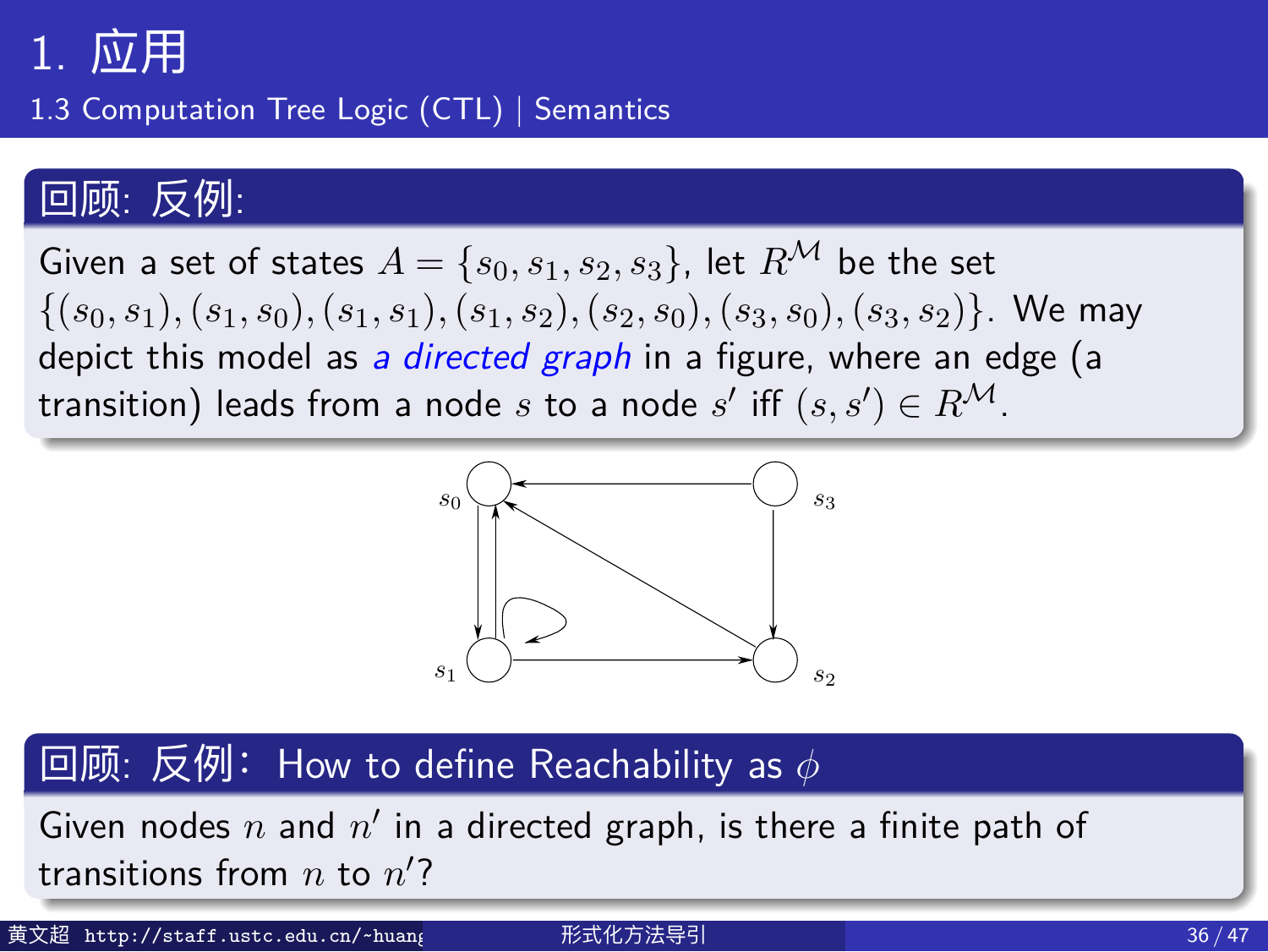1.3 Computation Tree Logic (CTL) | Semantics

#### 回顾: 反例:

Given a set of states  $A = \{s_0, s_1, s_2, s_3\}$ , let  $R^{\mathcal{M}}$  be the set  $\{(s_0,s_1),(s_1,s_0),(s_1,s_1),(s_1,s_2),(s_2,s_0),(s_3,s_0),(s_3,s_2)\}.$  We may depict this model as *a directed graph* in a figure, where an edge (a  $\textsf{transition)}$  leads from a node  $s$  to a node  $s'$  iff  $(s,s')\in R^\mathcal{M}.$ 



#### 別: How to define Reachability as *6*  $\Box$ 顾: 反例: How to define Reachability as *ϕ* \_\_\_\_\_\_\_\_\_\_

Given nodes  $n$  and  $n'$  in a directed graph, is there a finite path of  $R_{\rm B}$  and  $R_{\rm B}$  and  $R_{\rm B}$  and  $R_{\rm B}$  is the and  $R_{\rm B}$  is the affine a finite a finite a finite and  $R_{\rm B}$ 黄文超 http://staff.ustc.edu.cn/~huan<sub>{</sub> 形式化方法导引 36 / 47 形式化方法导引 transitions from *n* to *n ′* ?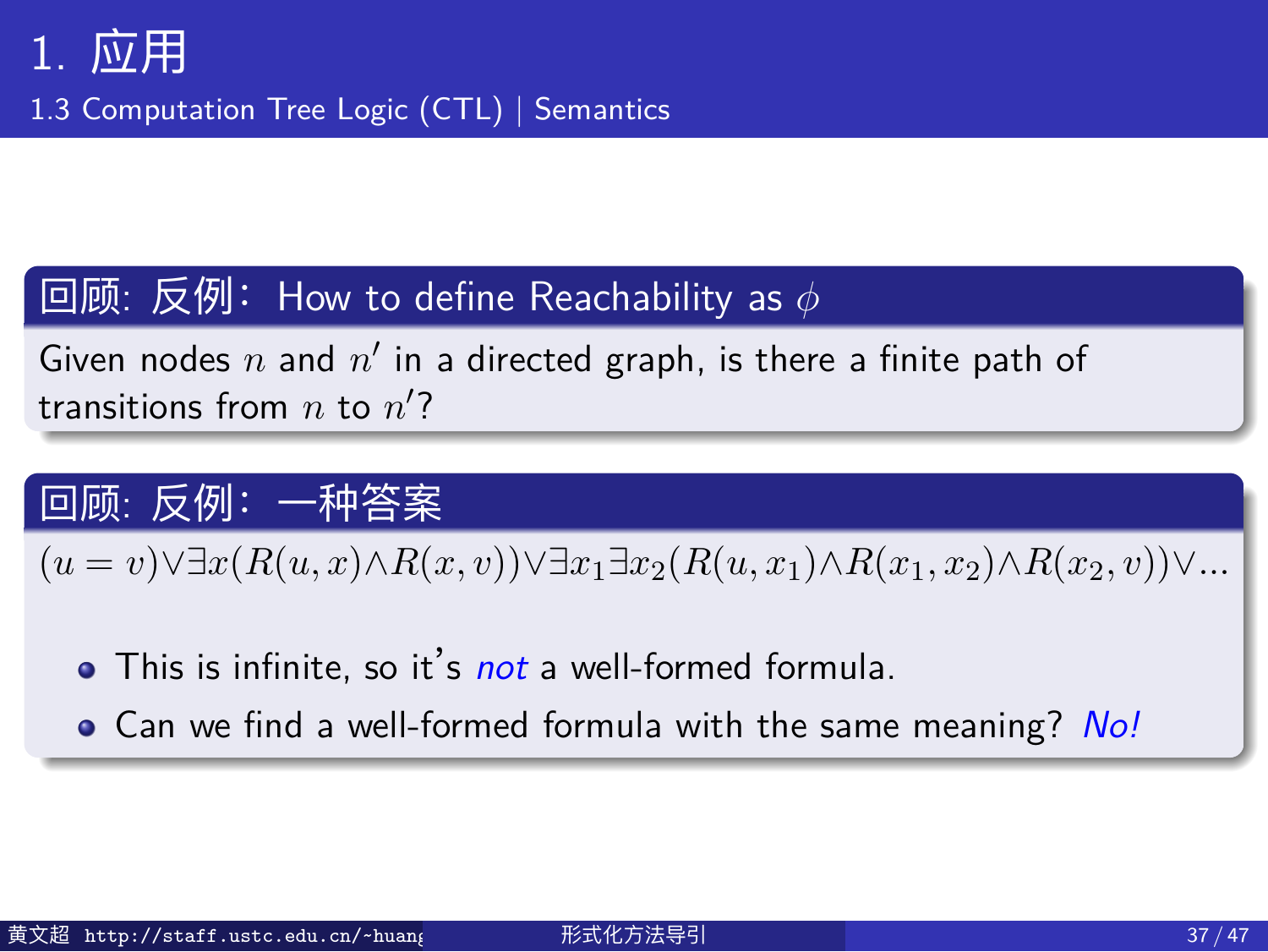1.3 Computation Tree Logic (CTL) | Semantics

#### 回顾: 反例:How to define Reachability as  $\phi$

Given nodes  $n$  and  $n'$  in a directed graph, is there a finite path of transitions from *n* to *n ′* ?

#### 回顾: 反例:一种答案

 $(u = v) \vee \exists x (R(u,x) \wedge R(x,v)) \vee \exists x_1 \exists x_2 (R(u,x_1) \wedge R(x_1,x_2) \wedge R(x_2,v)) \vee ...$ 

- This is infinite, so it's *not* a well-formed formula.
- Can we find a well-formed formula with the same meaning? *No!*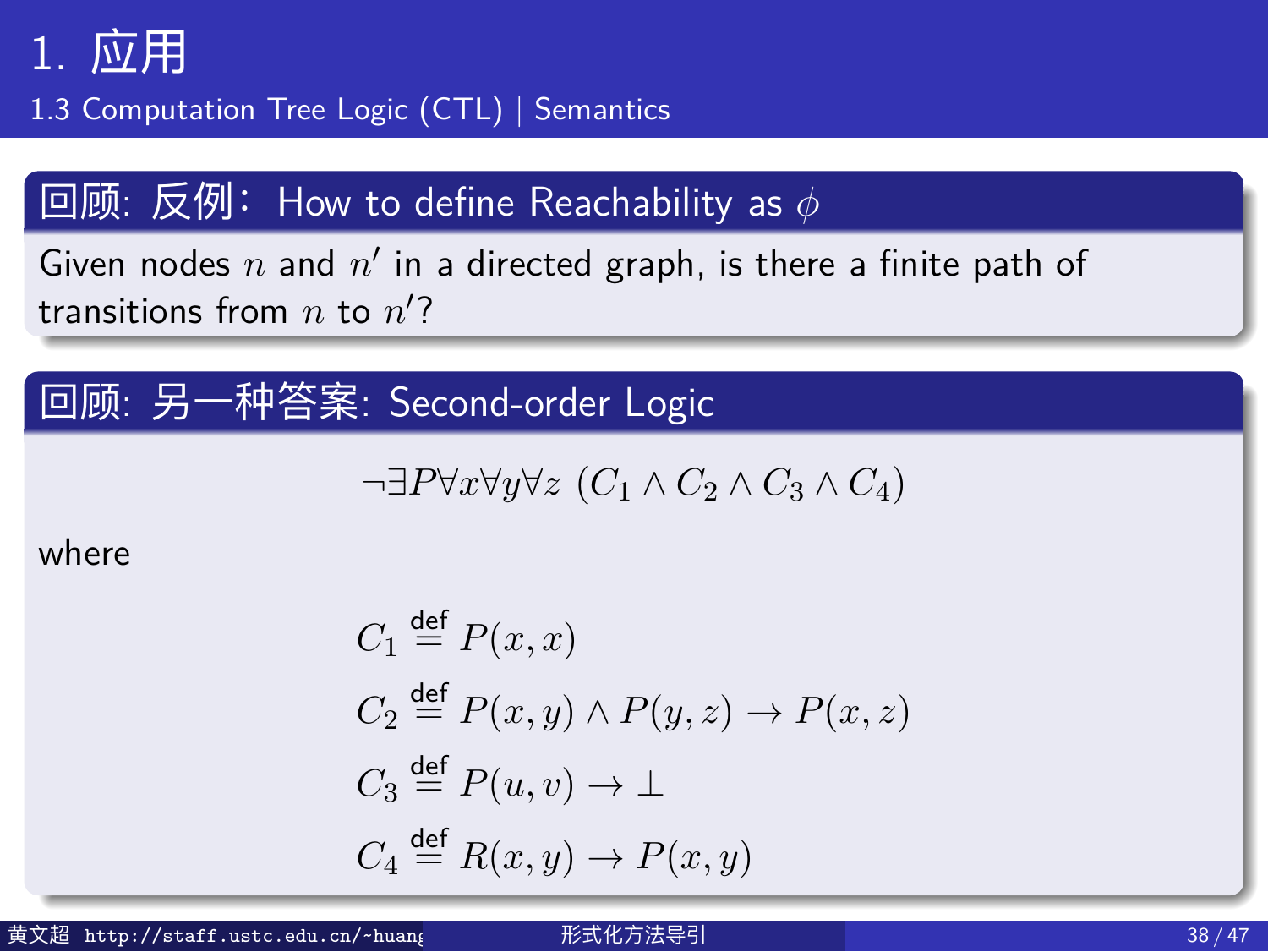1.3 Computation Tree Logic (CTL) | Semantics

#### $\frac{1}{2}$  回顾: 反例: How to define Reachability as  $\phi$

Given nodes  $n$  and  $n'$  in a directed graph, is there a finite path of transitions from *n* to *n ′* ?

#### 回顾: 另一种答案: Second-order Logic

$$
\neg \exists P \forall x \forall y \forall z (C_1 \land C_2 \land C_3 \land C_4)
$$

where

$$
C_1 \stackrel{\text{def}}{=} P(x, x)
$$
  
\n
$$
C_2 \stackrel{\text{def}}{=} P(x, y) \land P(y, z) \to P(x, z)
$$
  
\n
$$
C_3 \stackrel{\text{def}}{=} P(u, v) \to \bot
$$
  
\n
$$
C_4 \stackrel{\text{def}}{=} R(x, y) \to P(x, y)
$$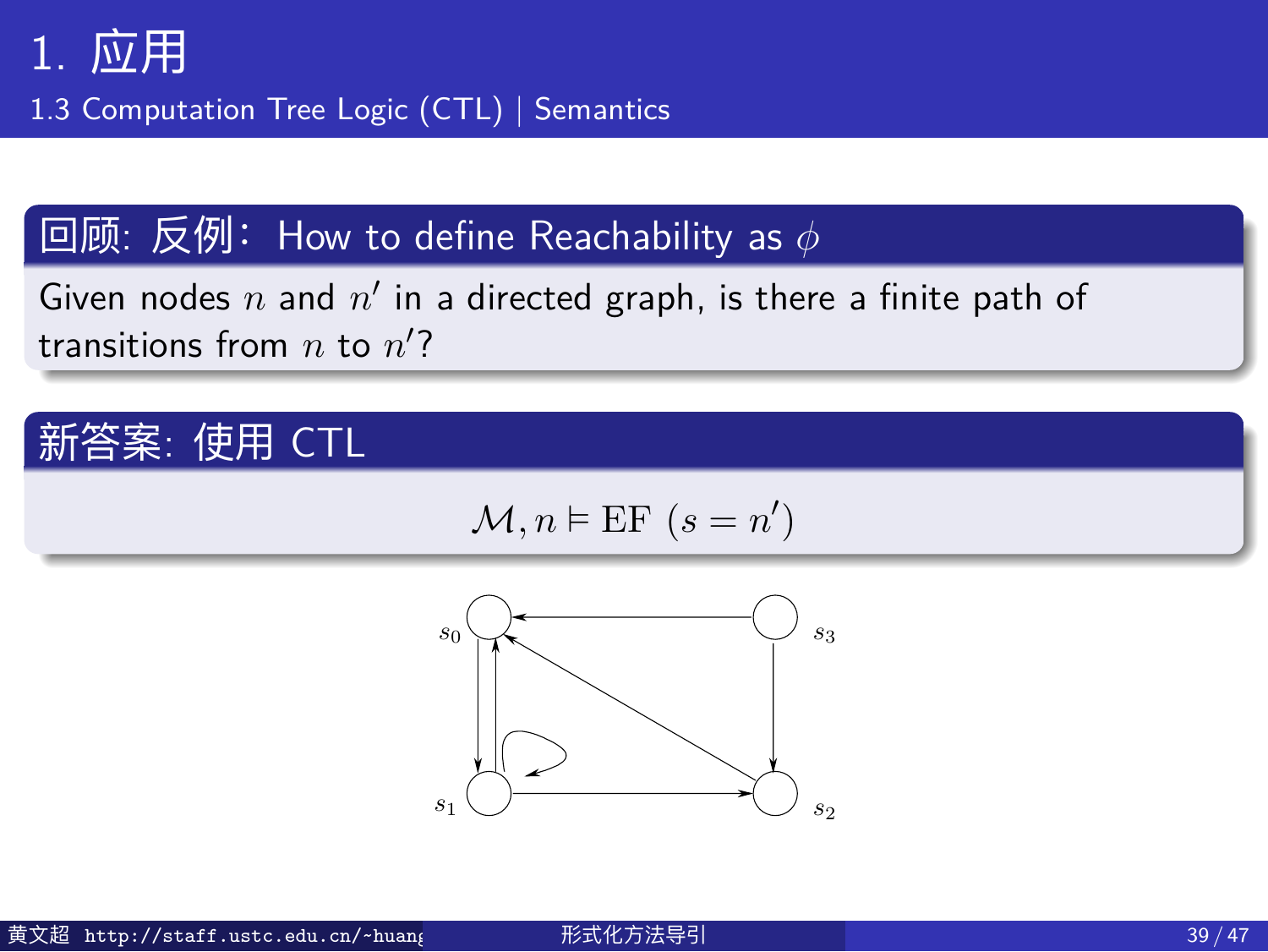1.3 Computation Tree Logic (CTL) | Semantics

#### 回顾: 反例:How to define Reachability as *ϕ*

Given nodes  $n$  and  $n'$  in a directed graph, is there a finite path of transitions from *n* to *n ′* ?

## 新答案: 使用 CTL

$$
\mathcal{M}, n \vDash \text{EF}(s = n')
$$

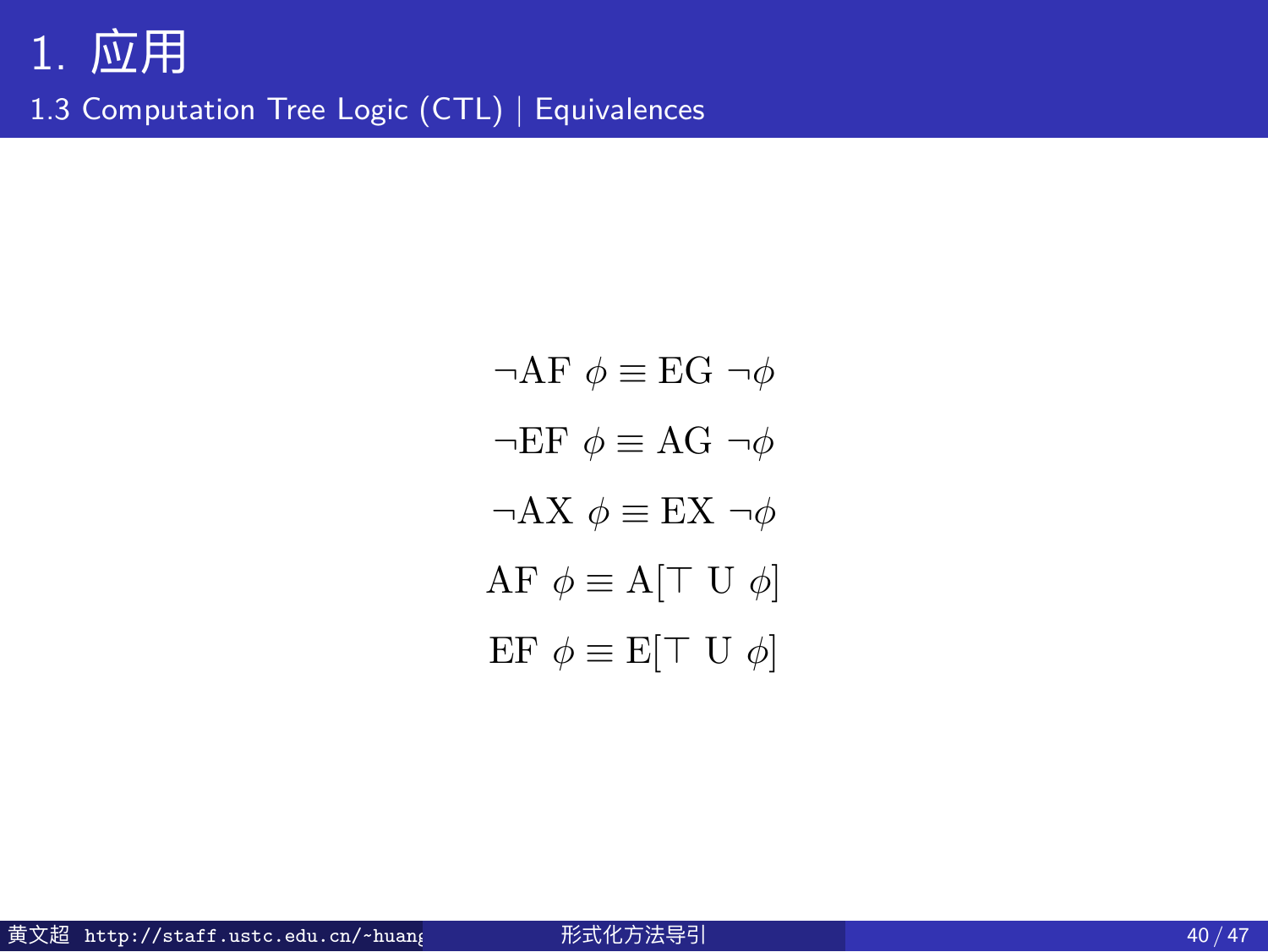## 1. 应用 1.3 Computation Tree Logic (CTL) | Equivalences

 $\neg$ **AF**  $\phi$  ≡ **EG**  $\neg$  $\phi$ *¬*EF *ϕ ≡* AG *¬ϕ ¬*AX *ϕ ≡* EX *¬ϕ* AF *ϕ ≡* A[*⊤* U *ϕ*]  $\mathrm{EF}~\phi \equiv \mathrm{E}[\top~\mathrm{U}~\phi]$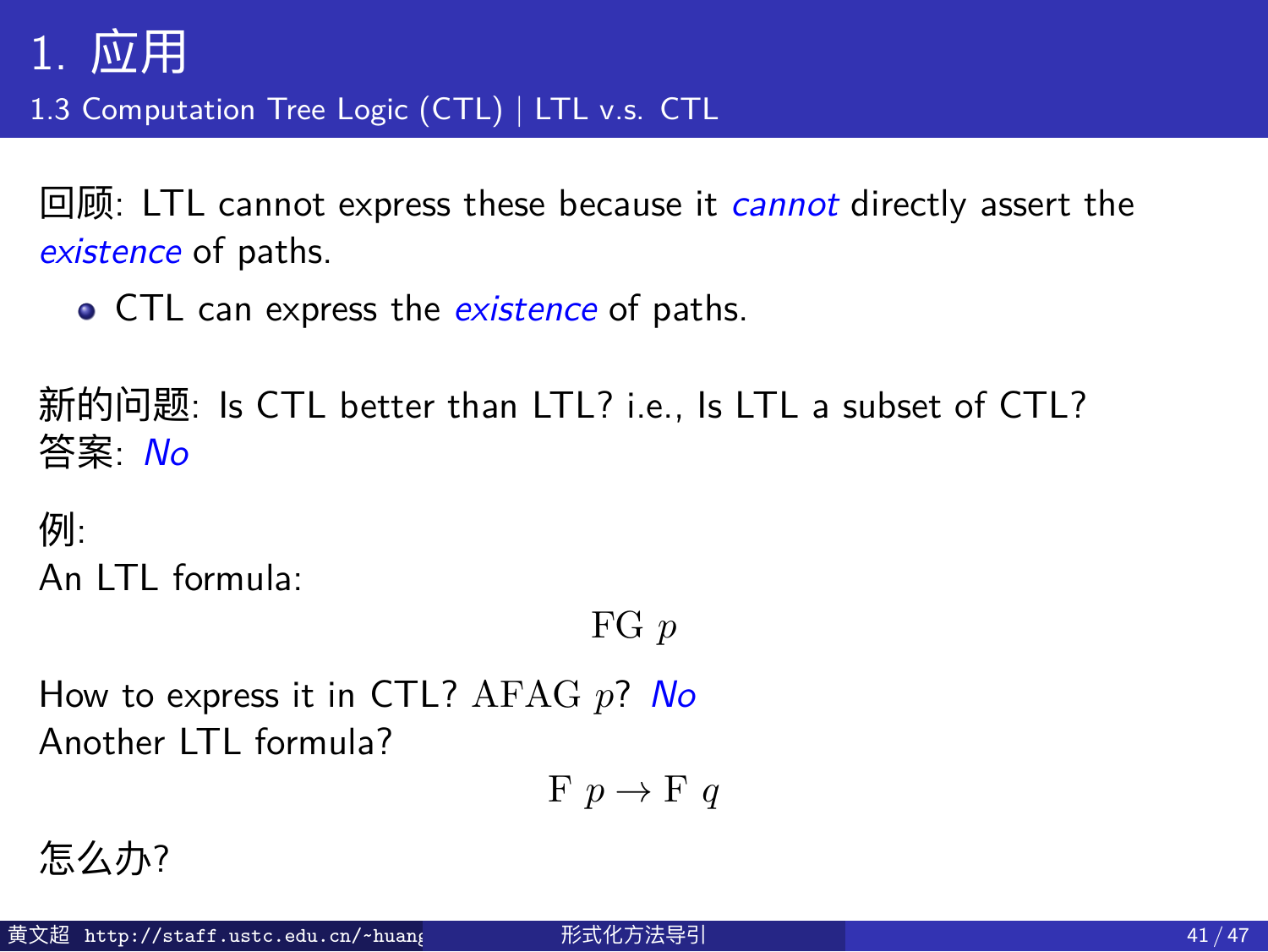1.3 Computation Tree Logic (CTL) | LTL v.s. CTL

回顾: LTL cannot express these because it *cannot* directly assert the *existence* of paths.

CTL can express the *existence* of paths.

新的问题: Is CTL better than LTL? i.e., Is LTL a subset of CTL? 答案: *No*

例: An LTL formula:

FG *p*

How to express it in CTL? AFAG *p*? *No* Another LTL formula?

 $F p \rightarrow F q$ 

怎么办?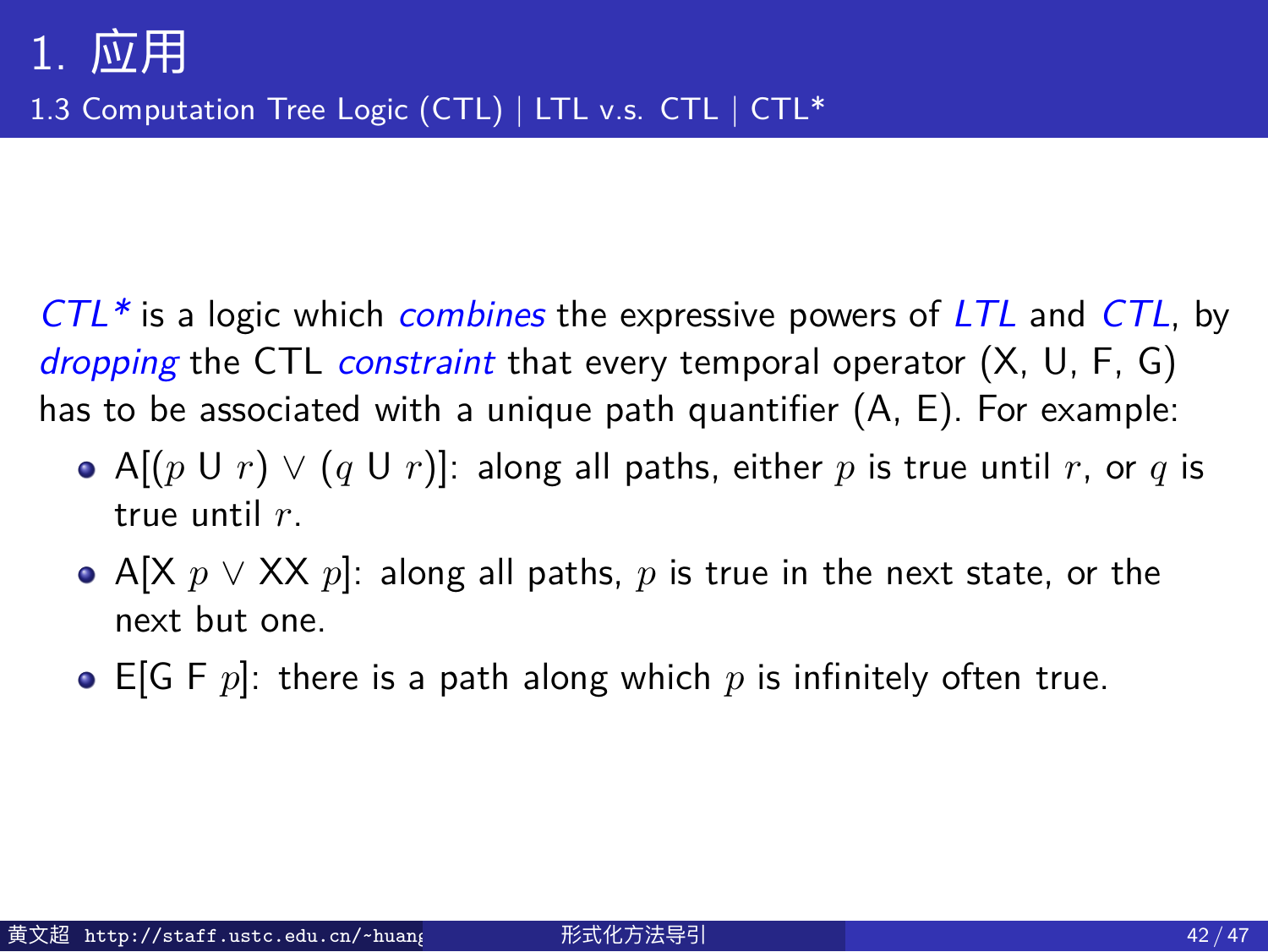1.3 Computation Tree Logic (CTL) | LTL v.s. CTL | CTL\*

*CTL\** is a logic which *combines* the expressive powers of *LTL* and *CTL*, by *dropping* the CTL *constraint* that every temporal operator (X, U, F, G) has to be associated with a unique path quantifier (A, E). For example:

- A[(*p* U *r*) *∨* (*q* U *r*)]: along all paths, either *p* is true until *r*, or *q* is true until *r*.
- A[X *p ∨* XX *p*]: along all paths, *p* is true in the next state, or the next but one.
- E[G F *p*]: there is a path along which *p* is infinitely often true.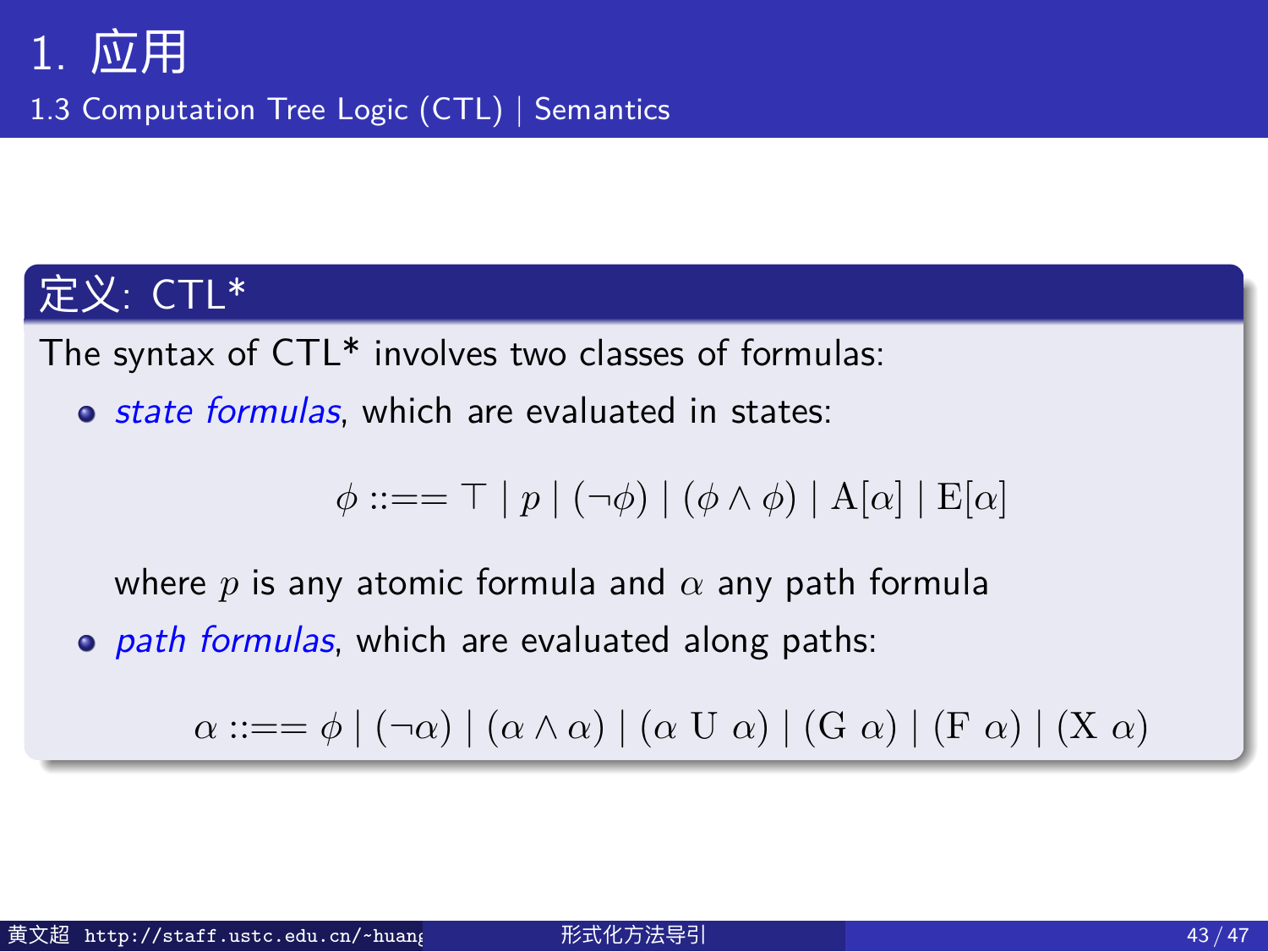1.3 Computation Tree Logic (CTL) | Semantics

#### 定义: CTL\*

The syntax of CTL\* involves two classes of formulas:

*state formulas*, which are evaluated in states:

 $\phi$  ::== <sup>⊤</sup> | *p* | (¬ $\phi$ ) | ( $\phi$  ∧  $\phi$ ) | A[ $\alpha$ ] | E[ $\alpha$ ]

where *p* is any atomic formula and *α* any path formula

*path formulas*, which are evaluated along paths:

*α* ::== *ϕ* | (¬*α*) | ( $\alpha \land \alpha$ ) | ( $\alpha$  U *α*) | ( $G$  *α*) | ( $F$  *α*) | ( $X$  *α*)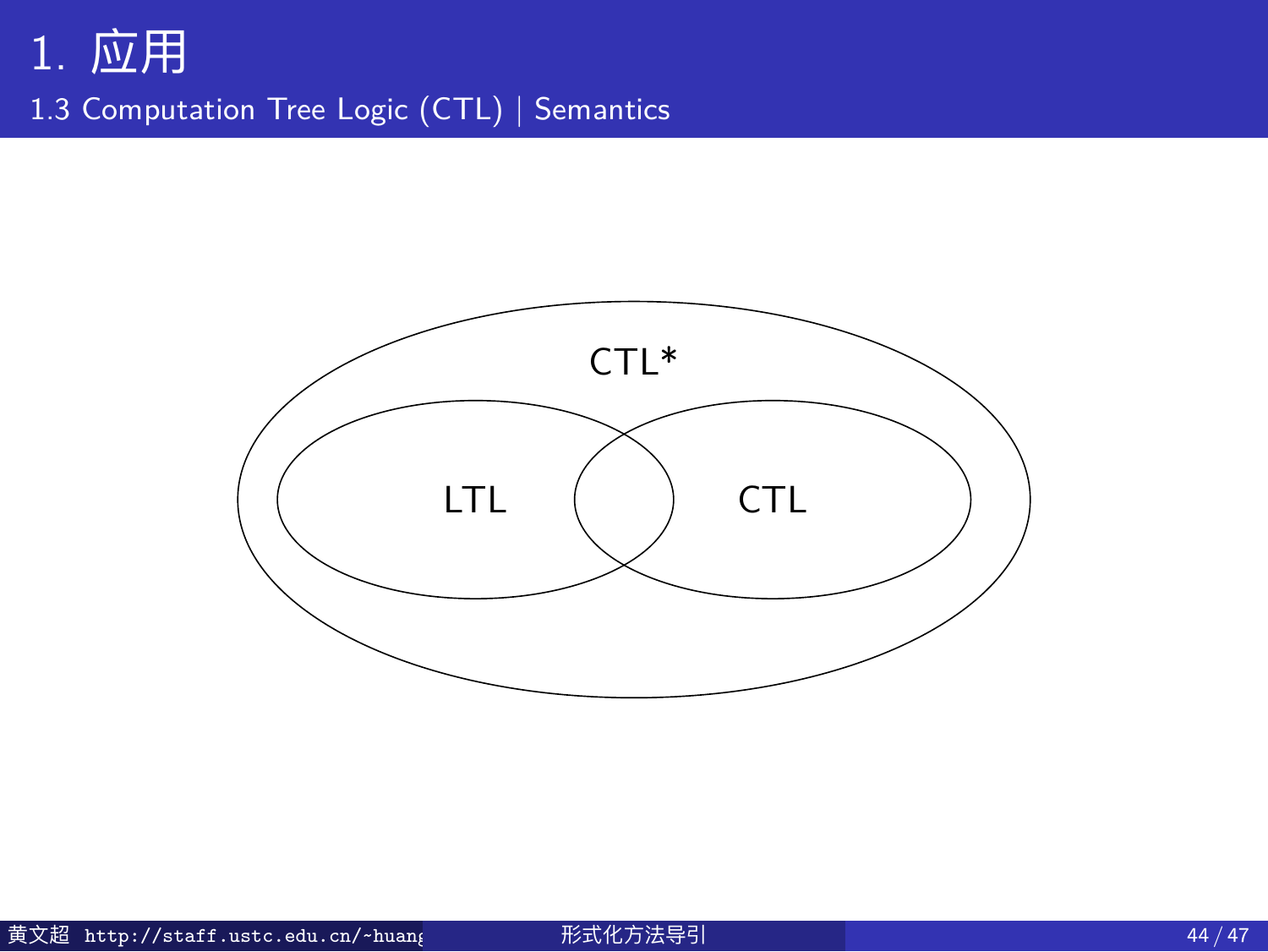1.3 Computation Tree Logic (CTL) | Semantics

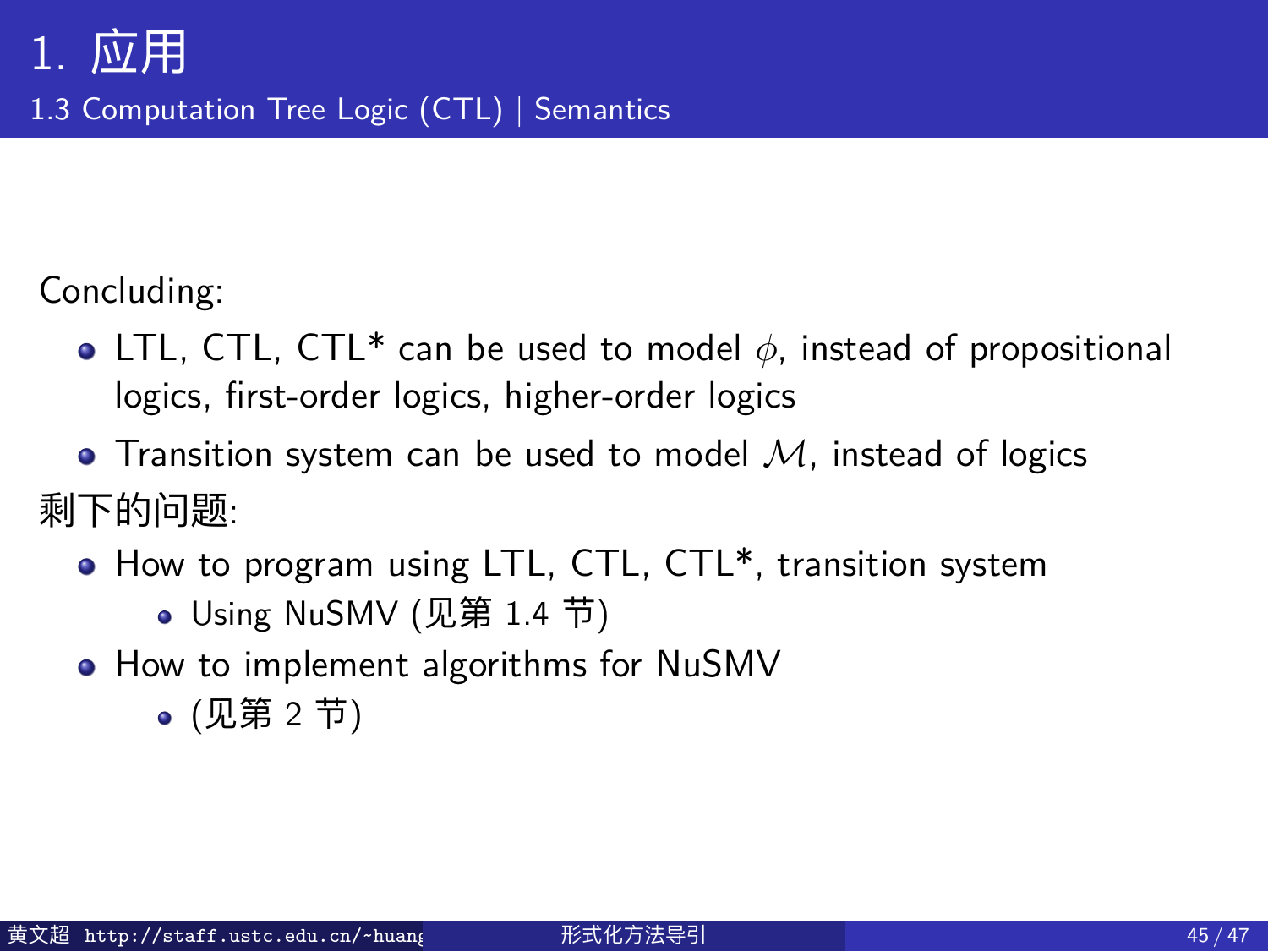1.3 Computation Tree Logic (CTL) | Semantics

Concluding:

- LTL, CTL, CTL\* can be used to model *ϕ*, instead of propositional logics, first-order logics, higher-order logics
- Transition system can be used to model *M*, instead of logics 剩下的问题:
	- $\bullet$  How to program using LTL, CTL, CTL\*, transition system Using NuSMV (见第 1.4 节)
	- How to implement algorithms for NuSMV
		- (见第 2 节)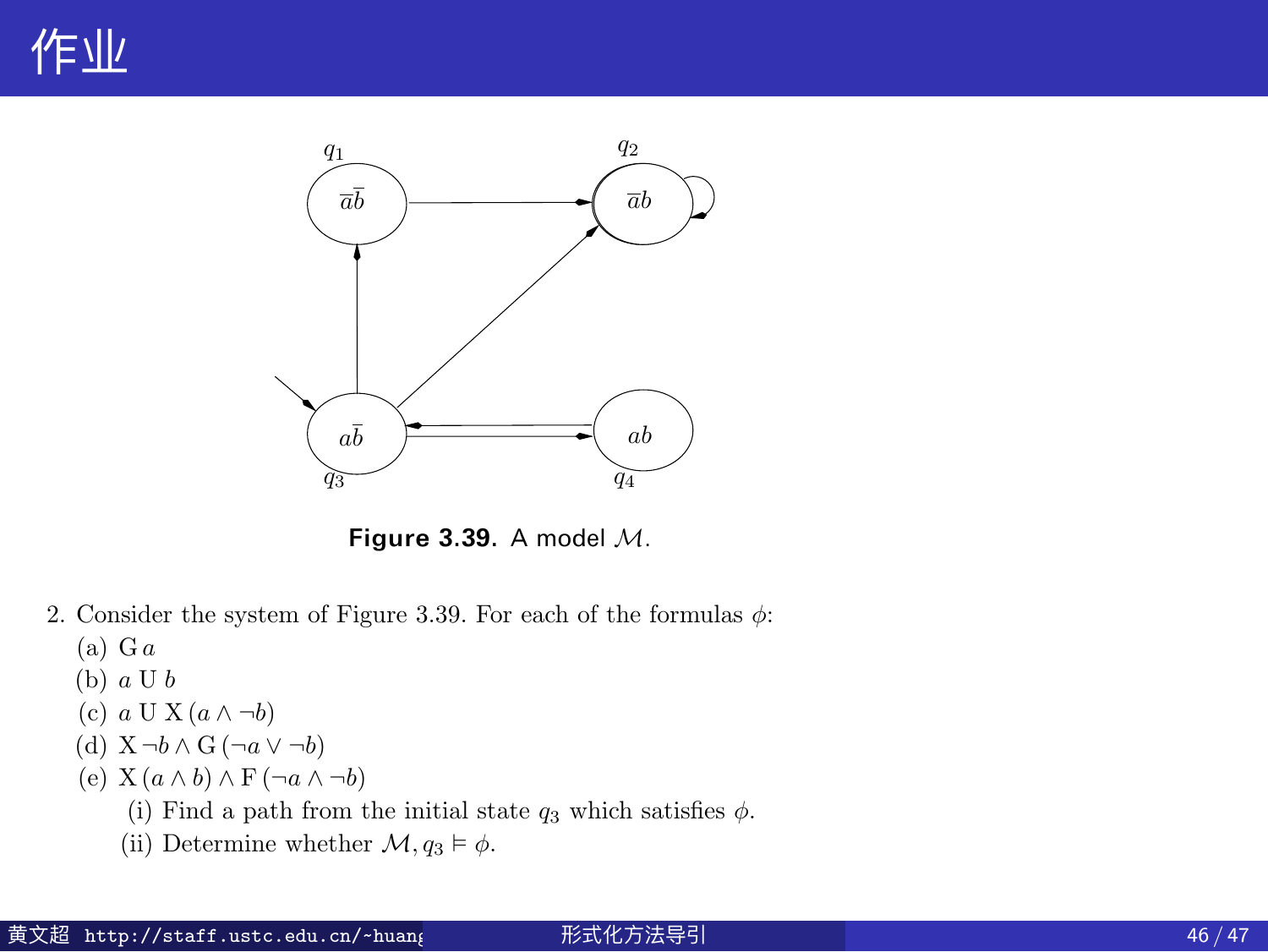## 作业



**Figure 3.39.** A model *M*.

- 2. Consider the system of Figure 3.39. For each of the formulas  $\phi\colon$ (a) G *a*
	- (b) *a* U *b*
	-
	- (c) *a* UX(*a* ∧ *¬b*) (d) X *¬b* ∧ G (*¬a* ∨ *¬b*)
	-
	- (e)  $X(a \wedge b) \wedge F(\neg a \wedge \neg b)$ <br>(i) Find a path from the initial state  $q_3$  which satisfies  $\phi$ .

 $246$  Verification by model checking  $\sim$  100  $\mu$  model checking  $\sim$ 

(ii) Determine whether  $\mathcal{M}, q_3 \vDash \phi$ .